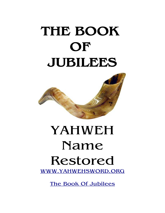# **THE BOOK OF JUBILEES**



# YAHWEH Name Restored [WWW.YAHWEHSWORD.ORG](http://WWW.YAHWEHSWORD.ORG/)

[The Book Of Jubilees](http://www.yahwehsword.org/book_of_jubilees/)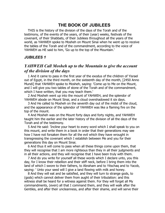# **THE BOOK OF JUBILEES**

THIS is the history of the division of the days of the Torah and of the testimony, of the events of the years, of their (year) weeks, festivals of the covenant, of their Shabbats, of their Jubilees throughout all the years of the world, as YAHWEH spoke to Mosheh on Mount Sinai when he went up to receive the tables of the Torah and of the commandment, according to the voice of YAHWEH as HE said to him, 'Go up to the top of the Mountain.'

# *JUBILEES 1*

# *YAHWEH Call Mosheh up to the Mountain to give the account of the division of the days*

1 And it came to pass in the first year of the exodus of the children of Yisrael out of Egypt, in the third month, on the sixteenth day of the month, [2450 Anno Mundi] that YAHWEH spoke to Mosheh, saying: 'Come up to Me on the Mount, and I will give you two tables of stone of the Torah and of the commandment, which I have written, that you may teach them.'

2 And Mosheh went up into the mount of YAHWEH, and the splendor of YAHWEH abode on Mount Sinai, and a cloud overshadowed it six days.

3 And He called to Mosheh on the seventh day out of the midst of the cloud, and the appearance of the splendor of YAHWEH was like a flaming fire on the top of the mount.

4 And Mosheh was on the Mount forty days and forty nights, and YAHWEH taught him the earlier and the later history of the division of all the days of the Torah and of the testimony.

5 And He said: 'Incline your heart to every word which I shall speak to you on this mount, and write them in a book in order that their generations may see how I have not forsaken them for all the evil which they have wrought in transgressing the covenant which I establish between Me and you for their generations this day on Mount Sinai.

6 And thus it will come to pass when all these things come upon them, that they will recognise that I am more righteous than they in all their judgments and in all their actions, and they will recognise that I have been truly with them.

7 And do you write for yourself all these words which I declare unto, you this day, for I know their rebellion and their stiff neck, before I bring them into the land of which I swore to their fathers, to Abraham and to Yitschaq and to Yacob, saying: ' Unto your seed will I give a land flowing with milk and honey.

8 And they will eat and be satisfied, and they will turn to strange gods, to (gods) which cannot deliver them from aught of their tribulation: and this witness shall be heard for a witness against them. For they will forget all My commandments, (even) all that I command them, and they will walk after the Gentiles, and after their uncleanness, and after their shame, and will serve their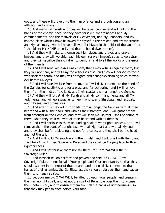gods, and these will prove unto them an offence and a tribulation and an affliction and a snare.

10 And many will perish and they will be taken captive, and will fall into the hands of the enemy, because they have forsaken My ordinances and My commandments, and the festivals of My covenant, and My Shabbats, and My kodesh place which I have hallowed for Myself in their midst, and My tabernacle, and My sanctuary, which I have hallowed for Myself in the midst of the land, that I should set MY NAME upon it, and that it should dwell (there).

11 And they will make to themselves high places and groves and graven images, and they will worship, each his own (graven image), so as to go astray, and they will sacrifice their children to demons, and to all the works of the error of their hearts.

12 And I will send witnesses unto them, that I may witness against them, but they will not hear, and will slay the witnesses also, and they will persecute those who seek the torah, and they will abrogate and change everything so as to work evil before My eyes.

13 And I will hide My face from them, and I will deliver them into the hand of the Gentiles for captivity, and for a prey, and for devouring, and I will remove them from the midst of the land, and I will scatter them amongst the Gentiles.

14 And they will forget all My Torah and all My commandments and all My judgments, and will go astray as to new months, and Shabbats, and festivals, and jubilees, and ordinances.

15 And after this they will turn to Me from amongst the Gentiles with all their heart and with all their soul and with all their strength, and I will gather them from amongst all the Gentiles, and they will seek me, so that I shall be found of them, when they seek me with all their heart and with all their soul.

16 And I will disclose to them abounding shalom with righteousness, and I will remove them the plant of uprightness, with all My heart and with all My soul, and they shall be for a blessing and not for a curse, and they shall be the head and not the tail.

17 And I will build My sanctuary in their midst, and I will dwell with them, and I will be YAHWEH their Sovereign Ruler and they shall be My people in truth and righteousness.

18 And I will not forsake them nor fail them; for I am YAHWEH their Sovereign Ruler.'

19 And Mosheh fell on his face and prayed and said, 'O YAHWEH my Sovereign Ruler, do not forsake Your people and Your inheritance, so that they should wander in the error of their hearts, and do not deliver them into the hands of their enemies, the Gentiles, lest they should rule over them and cause them to sin against You.

20 Let your mercy, O YAHWEH, be lifted up upon Your people, and create in them an upright spirit, and let not the spirit of Belial rule over them to accuse them before You, and to ensnare them from all the paths of righteousness, so that they may perish from before Your face.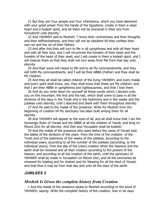21 But they are Your people and Your inheritance, which you have delivered with your great power from the hands of the Egyptians: create in them a clean heart and a kodesh spirit, and let them not be ensnared in their sins from henceforth until eternity.'

22 And YAHWEH said to Mosheh: 'I know their contrariness and their thoughts and their stiffneckedness, and they will not be obedient till they confess their own sin and the sin of their fathers.

23 And after this they will turn to Me in all uprightness and with all their heart and with all their soul, and I will circumcise the foreskin of their heart and the foreskin of the heart of their seed, and I will create in them a kodesh spirit, and I will cleanse them so that they shall not turn away from Me from that day unto eternity.

24 And their souls will cleave to Me and to all My commandments, and they will fulfill My commandments, and I will be their ABBA (Father) and they shall be My children.

25 And they all shall be called children of the living YAHWEH, and every malak and every spirit shall know, yes, they shall know that these are My children, and that I am their ABBA in uprightness and righteousness, and that I love them.

26 And do you write down for yourself all these words which I declare unto you on this mountain, the first and the last, which shall come to pass in all the divisions of the days in the Torah and in the testimony and in the weeks and the jubilees unto eternity, until I descend and dwell with them throughout eternity.'

27 And He said to the malak of the presence: Write for Mosheh from the beginning of creation till My sanctuary has been built among them for all eternity.

28 And YAHWEH will appear to the eyes of all, and all shall know that I am the Sovereign Ruler of Yisrael and the ABBA of all the children of Yacob, and King on Mount Zion for all eternity. And Zion and Yerusalem shall be kodesh.'

29 And the malak of the presence who went before the camp of Yisrael took the tables of the divisions of the years -from the time of the creation- of the Torah and of the testimony of the weeks of the jubilees, according to the individual years, according to all the number of the jubilees [according, to the individual years], from the day of the [new] creation when the heavens and the earth shall be renewed and all their creation according to the powers of the heaven, and according to all the creation of the earth, until the sanctuary of YAHWEH shall be made in Yerusalem on Mount Zion, and all the luminaries be renewed for healing and for shalom and for blessing for all the elect of Yisrael, and that thus it may be from that day and unto all the days of the earth.

#### *JUBILEES 2*

#### *Mosheh Is Given the complete history from Creation*

1 And the malak of the presence spoke to Mosheh according to the word of YAHWEH, saying: Write the complete history of the creation, how in six days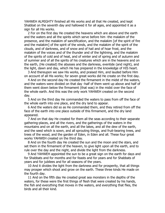YAHWEH ALMIGHTY finished all His works and all that He created, and kept Shabbat on the seventh day and hallowed it for all ages, and appointed it as a sign for all His works.

2 For on the first day He created the heavens which are above and the earth and the waters and all the spirits which serve before him -the malakim of the presence, and the malakim of sanctification, and the malakim [of the spirit of fire and the malakim] of the spirit of the winds, and the malakim of the spirit of the clouds, and of darkness, and of snow and of hail and of hoar frost, and the malakim of the voices and of the thunder and of the lightning, and the malakim of the spirits of cold and of heat, and of winter and of spring and of autumn and of summer and of all the spirits of his creatures which are in the heavens and on the earth, (He created) the abysses and the darkness, eventide (and night), and the light, dawn and day, which He has prepared in the knowledge of HIS heart.

3 And thereupon we saw His works, and praised Him, and lauded before Him on account of all His works; for seven great works did He create on the first day.

4 And on the second day He created the firmament in the midst of the waters, and the waters were divided on that day -half of them went up above and half of them went down below the firmament (that was) in the midst over the face of the whole earth. And this was the only work YAHWEH created on the second day.

5 And on the third day He commanded the waters to pass from off the face of the whole earth into one place, and the dry land to appear.

6 And the waters did so as He commanded them, and they retired from off the face of the earth into one place outside of this firmament, and the dry land appeared.

7 And on that day He created for them all the seas according to their separate gathering-places, and all the rivers, and the gatherings of the waters in the mountains and on all the earth, and all the lakes, and all the dew of the earth, and the seed which is sown, and all sprouting things, and fruit-bearing trees, and trees of the wood, and the garden of Eden, in Eden and all. These four great works YAHWEH created on the third day.

8 And on the fourth day He created the sun and the moon and the stars, and set them in the firmament of the heaven, to give light upon all the earth, and to rule over the day and the night, and divide the light from the darkness.

9 And YAHWEH appointed the sun to be a great sign on the earth for days and for Shabbats and for months and for feasts and for years and for Shabbats of years and for jubilees and for all seasons of the years.

10 And it divides the light from the darkness and for prosperity, that all things may prosper which shoot and grow on the earth. These three kinds He made on the fourth day.

11 And on the fifth day He created great sea monsters in the depths of the waters, for these were the first things of flesh that were created by his hands, the fish and everything that moves in the waters, and everything that flies, the birds and all their kind.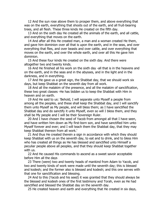12 And the sun rose above them to prosper them, and above everything that was on the earth, everything that shoots out of the earth, and all fruit-bearing trees, and all flesh. These three kinds He created on the fifth day.

13 And on the sixth day He created all the animals of the earth, and all cattle, and everything that moves on the earth.

14 And after all this He created man, a man and a woman created He them, and gave him dominion over all that is upon the earth, and in the seas, and over everything that flies, and over beasts and over cattle, and over everything that moves on the earth, and over the whole earth, and over all this He gave him dominion.

15 And these four kinds He created on the sixth day. And there were altogether two and twenty kinds.

16 And He finished all his work on the sixth day -all that is in the heavens and on the earth, and in the seas and in the abysses, and in the light and in the darkness, and in everything.

17 And He gave us a great sign, the Shabbat day, that we should work six days, but keep Shabbat on the seventh day from all work.

18 And all the malakim of the presence, and all the malakim of sanctification, these two great classes -He has bidden us to keep the Shabbat with Him in heaven and on earth.

19 And He said to us: 'Behold, I will separate unto Myself a people from among all the peoples, and these shall keep the Shabbat day, and I will sanctify them unto Myself as My people, and will bless them; as I have sanctified the Shabbat day and do sanctify it unto Myself, even so will I bless them, and they shall be My people and I will be their Sovereign Ruler.

20 And I have chosen the seed of Yacob from amongst all that I have seen, and have written him down as My first-born son, and have sanctified him unto Myself forever and ever; and I will teach them the Shabbat day, that they may keep Shabbat thereon from all work.'

21 And thus He created therein a sign in accordance with which they should keep Shabbat with us on the seventh day, to eat and to drink, and to bless Him who has created all things as He has blessed and sanctified unto Himself a peculiar people above all peoples, and that they should keep Shabbat together with us.

22 And He caused His commands to ascend as a sweet savoir acceptable before Him all the days

23 There (were) two and twenty heads of mankind from Adam to Yacob, and two and twenty kinds of work were made until the seventh day; this is blessed and kodesh; and the former also is blessed and kodesh; and this one serves with that one for sanctification and blessing.

24 And to this (Yacob and his seed) it was granted that they should always be the blessed and kodesh ones of the first testimony and Torah, even as He had sanctified and blessed the Shabbat day on the seventh day.

25 He created heaven and earth and everything that He created in six days,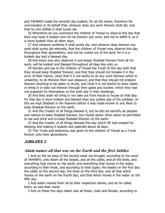and YAHWEH made the seventh day kodesh, for all His works; therefore He commanded on its behalf that, whoever does any work thereon shall die, and that he who defiles it shall surely die.

26 Wherefore do you command the children of Yisrael to observe this day that they may keep it kodesh and not do thereon any work, and not to defile it, as it is more kodesh than all other days.

27 And whoever profanes it shall surely die, and whoever does thereon any work shall surely die eternally, that the children of Yisrael may observe this day throughout their generations, and not be rooted out of the land; for it is a kodesh day and a blessed day.

28 And every one who observes it and keeps Shabbat thereon from all his work, will be kodesh and blessed throughout all days like unto us.

29 Declare and say to the children of Yisrael the Torah of this day both that they should keep Shabbat thereon, and that they should not forsake it in the error of their hearts; (and) that it is not lawful to do any work thereon which is unseemly, to do thereon their own pleasure, and that they should not prepare thereon anything to be eaten or drunk, and (that it is not lawful) to draw water, or bring in or take out thereon through their gates any burden, which they had not prepared for themselves on the sixth day in their dwellings.

30 And they shall not bring in nor take out from house to house on that day; for that day is more kodesh and blessed than any jubilee day of the jubilees; on this we kept Shabbat in the heavens before it was made known to any flesh to keep Shabbat thereon on the earth.

31 And the Creator of all things blessed it, but he did not sanctify all peoples and nations to keep Shabbat thereon, but Yisrael alone: them alone he permitted to eat and drink and to keep Shabbat thereon on the earth.

32 And the Creator of all things blessed this day which HE had created for blessing and making it kodesh and splendid above all days.

33 This Torah and testimony was given to the children of Yisrael as a Torah forever unto their generations.

# *JUBILEES 3*

#### *Adam names all that was on the Earth and the first Jubilee*

1 And on the six days of the second week we brought, according to the word of YAHWEH, unto Adam all the beasts, and all the cattle, and all the birds, and everything that moves on the earth, and everything that moves in the water, according to their kinds, and according to their types: the beasts on the first day; the cattle on the second day; the birds on the third day; and all that which moves on the earth on the fourth day; and that which moves in the water on the fifth day.

2 And Adam named them all by their respective names, and as he called them, so was their name.

3 And on these five days Adam saw all these, male and female, according to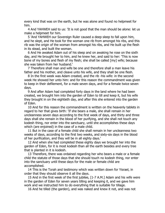every kind that was on the earth, but he was alone and found no helpmeet for him.

4 And YAHWEH said to us: 'It is not good that the man should be alone: let us make a helpmeet for him.

5 'And YAHWEH our Sovereign Ruler caused a deep sleep to fall upon him, and he slept, and He took for the woman one rib from amongst his ribs, and this rib was the origin of the woman from amongst his ribs, and He built up the flesh in its stead, and built the woman.

6 And He awaked Adam out of his sleep and on awaking he rose on the sixth day, and He brought her to him, and he knew her, and said to her: 'This is now bone of my bones and flesh of my flesh; she shall be called [my] wife; because she was taken from her husband.'

7 Therefore shall man and wife be one and therefore shall a man leave his father and his mother, and cleave unto his wife, and they shall be one flesh.

8 In the first week was Adam created, and the rib -his wife: in the second week He showed her unto him: and for this reason the commandment was given to keep in their defilement, for a male seven days, and for a female twice seven days.

9 And after Adam had completed forty days in the land where he had been created, we brought him into the garden of Eden to till and keep it, but his wife they brought in on the eightieth day, and after this she entered into the garden of Eden.

10 And for this reason the commandment is written on the heavenly tablets in regard to her that gives birth: 'If she bears a male, she shall remain in her uncleanness seven days according to the first week of days, and thirty and three days shall she remain in the blood of her purifying, and she shall not touch any kodesh thing, nor enter into the sanctuary, until she accomplishes these days which (are enjoined) in the case of a male child.

11 But in the case of a female child she shall remain in her uncleanness two weeks of days, according to the first two weeks, and sixty-six days in the blood of her purification, and they will be in all eighty days.'

12 And when she had completed these eighty days we brought her into the garden of Eden, for it is most kodesh than all the earth besides and every tree that is planted in it is kodesh.

13 Therefore, there was ordained regarding her who bears a male or a female child the statute of those days that she should touch no kodesh thing, nor enter into the sanctuary until these days for the male or female child are accomplished.

14 This is the Torah and testimony which was written down for Yisrael, in order that they should observe it all the days.

15 And in the first week of the first jubilee, [1-7 A.M.] Adam and his wife were in the garden of Eden for seven years tilling and keeping it, and we gave him work and we instructed him to do everything that is suitable for tillage.

16 And he tilled (the garden), and was naked and knew it not, and was not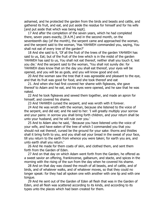ashamed, and he protected the garden from the birds and beasts and cattle, and gathered its fruit, and eat, and put aside the residue for himself and for his wife [and put aside that which was being kept].

17 And after the completion of the seven years, which he had completed there, seven years exactly, [8 A.M.] and in the second month, on the seventeenth day (of the month), the serpent came and approached the woman, and the serpent said to the woman, 'Has YAHWEH commanded you, saying, You shall not eat of every tree of the garden?'

18 And she said to it, 'Of all the fruit of the trees of the garden YAHWEH has said to us, Eat; but of the fruit of the tree which is in the midst of the garden YAHWEH has said to us, You shall not eat thereof, neither shall you touch it, lest you die.' And the serpent said to the woman, 'You shall not surely die: for YAHWEH does know that on the day you shall eat thereof, your eyes will be opened, and you will be as gods, and you will know good and evil.

20 And the woman saw the tree that it was agreeable and pleasant to the eye, and that its fruit was good for food, and she took thereof and eat

21. And when she had first covered her shame with figleaves, she gave thereof to Adam and he eat, and his eyes were opened, and he saw that he was naked.

22 And he took figleaves and sewed them together, and made an apron for himself, and covered his shame.

23 And YAHWEH cursed the serpent, and was wroth with it forever.

24 And He was wroth with the woman, because she listened to the voice of the serpent, and did eat; and He said to her: 'I will greatly multiply your sorrow and your pains: in sorrow you shall bring forth children, and your return shall be unto your husband, and he will rule over you.'

25 And to Adam also he said, ' Because you have listened unto the voice of your wife, and have eaten of the tree of which I commanded you that you should not eat thereof, cursed be the ground for your sake: thorns and thistles shall it bring forth to you, and you shall eat your bread in the sweat of your face, till you return to the earth from whence you were taken; for earth you are, and unto earth shall you return.'

26 And He made for them coats of skin, and clothed them, and sent them forth from the Garden of Eden.

27 And on that day on which Adam went forth from the Garden, he offered as a sweet savior an offering, frankincense, galbanum, and stacte, and spices in the morning with the rising of the sun from the day when he covered his shame.

28 And on that day was closed the mouth of all beasts, and of cattle, and of birds, and of whatever walks, and of whatever moves, so that they could no longer speak: for they had all spoken one with another with one lip and with one tongue.

29 And He sent out of the Garden of Eden all flesh that was in the Garden of Eden, and all flesh was scattered according to its kinds, and according to its types unto the places which had been created for them.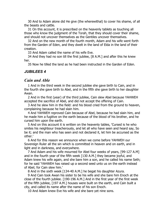30 And to Adam alone did He give (the wherewithal) to cover his shame, of all the beasts and cattle.

31 On this account, it is prescribed on the heavenly tablets as touching all those who know the judgment of the Torah, that they should cover their shame, and should not uncover themselves as the Gentiles uncover themselves.

32 And on the new month of the fourth month, Adam and his wife went forth from the Garden of Eden, and they dwelt in the land of Elda in the land of their creation.

33 And Adam called the name of his wife Eve.

34 And they had no son till the first jubilee, [8 A.M.] and after this he knew her.

35 Now he tilled the land as he had been instructed in the Garden of Eden.

#### *JUBILEES 4*

#### *Cain and Able*

1 And in the third week in the second jubilee she gave birth to Cain, and in the fourth she gave birth to Abel, and in the fifth she gave birth to her daughter Awan.

2 And in the first (year) of the third jubilee, Cain slew Abel because YAHWEH accepted the sacrifice of Abel, and did not accept the offering of Cain.

3 And he slew him in the field: and his blood cried from the ground to heaven, complaining because he had slain him.

4 And YAHWEH reproved Cain because of Abel, because he had slain him, and he made him a fugitive on the earth because of the blood of his brother, and he cursed him upon the earth.

5 And on this account it is written on the heavenly tables, 'Cursed is he who smites his neighbour treacherously, and let all who have seen and heard say, So be it; and the man who has seen and not declared it, let him be accursed as the other.'

6 And for this reason we announce when we come before YAHWEH our Sovereign Ruler all the sin which is committed in heaven and on earth, and in light and in darkness, and everywhere.

7 And Adam and his wife mourned for Abel four weeks of years, [99-127 A.M] and in the fourth year of the fifth week [130 A.M.] they became joyful, and Adam knew his wife again, and she bare him a son, and he called his name Seth; for he said 'YAHWEH has raised up a second seed unto us on the earth instead of Abel; for Cain slew him.'

8 And in the sixth week [134-40 A.M.] he begat his daughter Azura.

9 And Cain took Awan his sister to be his wife and she bare him Enoch at the close of the fourth jubilee. [190-196 A.M.] And in the first year of the first week of the fifth jubilee, [197 A.M.] houses were built on the earth, and Cain built a city, and called its name after the name of his son Enoch.

10 And Adam knew Eve his wife and she bare yet nine sons.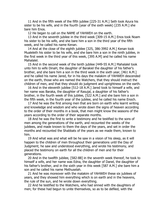11 And in the fifth week of the fifth jubilee [225-31 A.M.] Seth took Azura his sister to be his wife, and in the fourth (year of the sixth week) [235 A.M.] she bare him Enos.

12 He began to call on the NAME of YAHWEH on the earth.

13 And in the seventh jubilee in the third week [309-15 A.M.] Enos took Noam his sister to be his wife, and she bare him a son in the third year of the fifth week, and he called his name Kenan.

14 And at the close of the eighth jubilee [325, 386-3992 A.M.] Kenan took Mualeleth his sister to be his wife, and she bare him a son in the ninth jubilee, in the first week in the third year of this week, [395 A.M] and he called his name Mahalalel.

15 And in the second week of the tenth jubilee [449-55 A.M.] Mahalalel took unto him to wife DinaH, the daughter of Barakiel the daughter of his father's brother, and she bare him a son in the third week in the sixth year, [461 A.M.] and he called his name Jared, for in his days the malakim of YAHWEH descended on the earth, those who are named the Watchers, that they should instruct the children of men, and that they should do judgment and uprightness on the earth.

16 And in the eleventh jubilee [512-18 A.M.] Jared took to himself a wife, and her name was Baraka, the daughter of Rasujal, a daughter of his father's brother, in the fourth week of this jubilee, [522 A.M.] and she bare him a son in the fifth week, in the fourth year of the jubilee, and he called his name Enoch.

17 And he was the first among men that are born on earth who learnt writing and knowledge and wisdom and who wrote down the signs of heaven according to the order of their months in a book, that men might know the seasons of the years according to the order of their separate months.

18 And he was the first to write a testimony and he testified to the sons of men among the generations of the earth, and recounted the weeks of the jubilees, and made known to them the days of the years, and set in order the months and recounted the Shabbats of the years as we made them, known to him.

19 And what was and what will be he saw in a vision of his sleep, as it will happen to the children of men throughout their generations until the Day of Judgment; he saw and understood everything, and wrote his testimony, and placed the testimony on earth for all the children of men and for their generations.

20 And in the twelfth jubilee, [582-88] in the seventh week thereof, he took to himself a wife, and her name was Edna, the daughter of Danel, the daughter of his father's brother, and in the sixth year in this week [587 A.M.] she bare him a son and he called his name Methuselah.

21 And he was moreover with the malakim of YAHWEH these six jubilees of years, and they showed him everything which is on earth and in the heavens, the rule of the sun, and he wrote down everything.

22 And he testified to the Watchers, who had sinned with the daughters of men; for these had begun to unite themselves, so as to be defiled, with the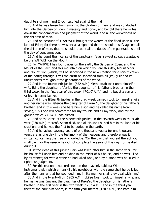daughters of men, and Enoch testified against them all.

23 And he was taken from amongst the children of men, and we conducted him into the Garden of Eden in majesty and honor, and behold there he writes down the condemnation and judgment of the world, and all the wickedness of the children of men.

24 And on account of it YAHWEH brought the waters of the flood upon all the land of Eden; for there he was set as a sign and that he should testify against all the children of men, that he should recount all the deeds of the generations until the day of condemnation.

25 And he burnt the incense of the sanctuary, (even) sweet spices acceptable before YAHWEH on the Mount.

26 For YAHWEH has four places on the earth, the Garden of Eden, and the Mount of the East, and this mountain on which you are this day, Mount Sinai, and Mount Zion (which) will be sanctified in the new creation for a sanctification of the earth; through it will the earth be sanctified from all (its) guilt and its uncleanness throughout the generations of the world.

27 And in the fourteenth jubilee [652 A.M.] Methuselah took unto himself a wife, Edna the daughter of Azrial, the daughter of his father's brother, in the third week, in the first year of this week, [701-7 A.M.] and he begat a son and called his name Lamech.

28 And in the fifteenth jubilee in the third week Lamech took to himself a wife, and her name was Betenos the daughter of Baraki'il, the daughter of his father's brother, and in this week she bare him a son and he called his name Noah, saying, 'This one will comfort me for my trouble and all my work, and for the ground which YAHWEH has cursed.'

29 And at the close of the nineteenth jubilee, in the seventh week in the sixth year [930 A.M.] thereof, Adam died, and all his sons buried him in the land of his creation, and he was the first to be buried in the earth.

30 And he lacked seventy years of one thousand years; for one thousand years are as one day in the testimony of the heavens and therefore was it written concerning the tree of knowledge: 'On the day that you eat thereof you shall die.' For this reason he did not complete the years of this day; for he died during it.

31 At the close of this jubilee Cain was killed after him in the same year; for his house fell upon him and he died in the midst of his house, and he was killed by its stones; for with a stone he had killed Abel, and by a stone was he killed in righteous judgment.

32 For this reason it was ordained on the heavenly tablets: With the instrument with which a man kills his neighbour with the same shall he be killed; after the manner that he wounded him, in like manner shall they deal with him.'

33 And in the twenty-fifth [1205 A.M.] jubilee Noah took to himself a wife, and her name was Emzara, the daughter of Rake'el, the daughter of his father's brother, in the first year in the fifth week [1207 A.M.]: and in the third year thereof she bare him Shem, in the fifth year thereof [1209 A.M.] she bare him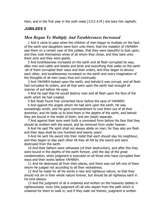Ham, and in the first year in the sixth week [1212 A.M.] she bare him Japheth.

# *JUBILEES 5*

# *Men Began To Multiply And Torahlessness Increased*

1 And it came to pass when the children of men began to multiply on the face of the earth and daughters were born unto them, that the malakim of YAHWEH saw them on a certain year of this jubilee, that they were beautiful to look upon; and they took themselves wives of all whom they chose, and they bare unto them sons and they were giants.

2 And torahlessness increased on the earth and all flesh corrupted its way, alike men and cattle and beasts and birds and everything that walks on the earth -all of them corrupted their ways and their orders, and they began to devour each other, and torahlessness increased on the earth and every imagination of the thoughts of all men (was) thus evil continually.

3 And YAHWEH looked upon the earth, and behold it was corrupt, and all flesh had corrupted its orders, and all that were upon the earth had wrought all manner of evil before His eyes.

4 And He said that He would destroy man and all flesh upon the face of the earth which He had created.

5 But Noah found free unmerited favor before the eyes of YAHWEH.

6 And against the angels whom He had sent upon the earth, He was exceedingly wroth, and He gave commandment to root them out of all their dominion, and He bade us to bind them in the depths of the earth, and behold they are bound in the midst of them, and are (kept) separate.

7 And against their sons went forth a command from before His face that they should be smitten with the sword, and be removed from under heaven.

8 And He said 'My spirit shall not always abide on man; for they also are flesh and their days shall be one hundred and twenty years'.

9 And He sent His sword into their midst that each should slay his neighbour, and they began to slay each other till they all fell by the sword and were destroyed from the earth.

10 And their fathers were witnesses (of their destruction), and after this they were bound in the depths of the earth forever, until the day of the great condemnation, when judgment is executed on all those who have corrupted their ways and their works before YAHWEH.

11 And He destroyed all from their places, and there was not left one of them whom He judged not according to all their wickedness.

12 And he made for all his works a new and righteous nature, so that they should not sin in their whole nature forever, but should be all righteous each in his kind always.

13 And the judgment of all is ordained and written on the heavenly tablets in righteousness -even (the judgment of) all who depart from the path which is ordained for them to walk in; and if they walk not therein, judgment is written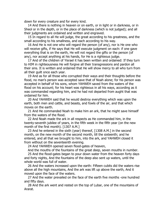down for every creature and for every kind.

14 And there is nothing in heaven or on earth, or in light or in darkness, or in Sheol or in the depth, or in the place of darkness (which is not judged); and all their judgments are ordained and written and engraved.

15 In regard to all He will judge, the great according to his greatness, and the small according to his smallness, and each according to his way.

16 And He is not one who will regard the person (of any), nor is He one who will receive gifts, if He says that He will execute judgment on each: if one gave everything that is on the earth, He will not regard the gifts or the person (of any), nor accept anything at his hands, for He is a righteous judge.

17 And of the children of Yisrael it has been written and ordained: If they turn to HIM in righteousness He will forgive all their transgressions and pardon all their sins. It is written and ordained that He will show mercy to all who turn from all their guilt once each year.

19 And as for all those who corrupted their ways and their thoughts before the flood, no man's person was accepted save that of Noah alone; for his person was accepted in behalf of his sons, whom YAHWEH saved from the waters of the flood on his account; for his heart was righteous in all his ways, according as it was commanded regarding him, and he had not departed from aught that was ordained for him.

20 And YAHWEH said that he would destroy everything which was upon the earth, both men and cattle, and beasts, and fowls of the air, and that which moves on the earth.

21 And He commanded Noah to make him an ark, that he might save himself from the waters of the flood.

22 And Noah made the ark in all respects as He commanded him, in the twenty-seventh jubilee of years, in the fifth week in the fifth year (on the new month of the first month). [1307 A.M.]

23 And he entered in the sixth (year) thereof, [1308 A.M.] in the second month, on the new month of the second month, till the sixteenth; and he entered, and all that we brought to him, into the ark, and YAHWEH closed it from without on the seventeenth evening.

24 And YAHWEH opened seven flood-gates of heaven,

And the mouths of the fountains of the great deep, seven mouths in number.

25 And the flood-gates began to pour down water from the heaven forty days and forty nights, And the fountains of the deep also sent up waters, until the whole world was full of water.

26 And the waters increased upon the earth: Fifteen cubits did the waters rise above all the high mountains, And the ark was lift up above the earth, And it moved upon the face of the waters.

27 And the water prevailed on the face of the earth five months -one hundred and fifty days.

28 And the ark went and rested on the top of Lubar, one of the mountains of Ararat.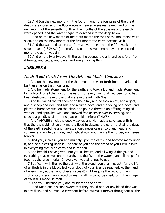29 And (on the new month) in the fourth month the fountains of the great deep were closed and the flood-gates of heaven were restrained; and on the new month of the seventh month all the mouths of the abysses of the earth were opened, and the water began to descend into the deep below.

30 And on the new month of the tenth month the tops of the mountains were seen, and on the new month of the first month the earth became visible.

31 And the waters disappeared from above the earth in the fifth week in the seventh year [1309 A.M.] thereof, and on the seventeenth day in the second month the earth was dry.

32 And on the twenty-seventh thereof he opened the ark, and sent forth from it beasts, and cattle, and birds, and every moving thing.

#### *JUBILEES 6*

#### *Noah Went Forth From The Ark And Made Atonement*

1 And on the new month of the third month he went forth from the ark, and built an altar on that mountain.

2 And he made atonement for the earth, and took a kid and made atonement by its blood for all the guilt of the earth; for everything that had been on it had been destroyed, save those that were in the ark with Noah.

3 And he placed the fat thereof on the altar, and he took an ox, and a goat, and a sheep and kids, and salt, and a turtle-dove, and the young of a dove, and placed a burnt sacrifice on the altar, and poured thereon an offering mingled with oil, and sprinkled wine and strewed frankincense over everything, and caused a goodly savior to arise, acceptable before YAHWEH.

4 And YAHWEH smelt the goodly savior, and He made a covenant with him that there should not be any more a flood to destroy the earth; that all the days of the earth seed-time and harvest should never cease; cold and heat, and summer and winter, and day and night should not change their order, nor cease forever.

5 'And you, increase you and multiply upon the earth, and become many upon it, and be a blessing upon it. The fear of you and the dread of you I will inspire in everything that is on earth and in the sea.

6 And behold I have given unto you all beasts, and all winged things, and everything that moves on the earth, and the fish in the waters, and all things for food; as the green herbs, I have given you all things to eat.

7 But flesh, with the life thereof, with the blood, you shall not eat; for the life of all flesh is in the blood, lest your blood of your lives be required. At the hand of every man, at the hand of every (beast) will I require the blood of man.

8 Whoso sheds man's blood by man shall his blood be shed, for in the image of YAHWEH made He man.

9 And you, increase you, and multiply on the earth.'

10 And Noah and his sons swore that they would not eat any blood that was in any flesh, and he made a covenant before YAHWEH forever throughout all the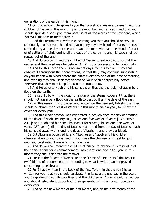generations of the earth in this month.

11 On this account He spoke to you that you should make a covenant with the children of Yisrael in this month upon the mountain with an oath, and that you should sprinkle blood upon them because of all the words of the covenant, which YAHWEH made with them forever.

12 And this testimony is written concerning you that you should observe it continually, so that you should not eat on any day any blood of beasts or birds or cattle during all the days of the earth, and the man who eats the blood of beast or of cattle or of birds during all the days of the earth, he and his seed shall be rooted out of the land.

13 And do you command the children of Yisrael to eat no blood, so that their names and their seed may be before YAHWEH our Sovereign Ruler continually.

14 And for this Torah there is no limit of days, for it is forever. They shall observe it throughout their generations, so that they may continue supplicating on your behalf with blood before the altar; every day and at the time of morning and evening they shall seek forgiveness on your behalf perpetually before YAHWEH that they may keep it and not be rooted out.

15 And He gave to Noah and his sons a sign that there should not again be a flood on the earth.

16 He set His bow in the cloud for a sign of the eternal covenant that there should not again be a flood on the earth to destroy it all the days of the earth.

17 For this reason it is ordained and written on the heavenly tablets, that they should celebrate the "Feast of Weeks" in this month once a year, to renew the covenant every year.

18 And this whole festival was celebrated in heaven from the day of creation till the days of Noah -twenty six jubilees and five weeks of years [1309-1659 A.M.]: and Noah and his sons observed it for seven jubilees and one week of years (350 years), till the day of Noah's death, and from the day of Noah's death his sons did away with it until the days of Abraham, and they eat blood.

19 But Abraham observed it, and Yitschaq and Yacob and his children observed it up to your days, and in your days the children of Yisrael forgot it until you celebrated it anew on this mountain.

20 And do you command the children of Yisrael to observe this festival in all their generations for a commandment unto them: one day in the year in this month they shall celebrate the festival.

21 For it is the "Feast of Weeks" and the "Feast of First Fruits:" this feast is twofold and of a double nature: according to what is written and engraved concerning it, celebrate it.

22 For I have written in the book of the first Torah, in that which I have written for you, that you should celebrate it in its season, one day in the year, and I explained to you its sacrifices that the children of Yisrael should remember and should celebrate it throughout their generations in this month, one day in every year.

23 And on the new month of the first month, and on the new month of the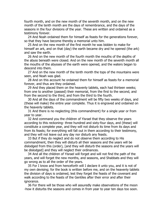fourth month, and on the new month of the seventh month, and on the new month of the tenth month are the days of remembrance, and the days of the seasons in the four divisions of the year. These are written and ordained as a testimony forever.

24 And Noah ordained them for himself as feasts for the generations forever, so that they have become thereby a memorial unto him.

25 And on the new month of the first month he was bidden to make for himself an ark, and on that (day) the earth became dry and he opened (the ark) and saw the earth.

26 And on the new month of the fourth month the mouths of the depths of the abyss beneath were closed. And on the new month of the seventh month all the mouths of the abysses of the earth were opened, and the waters began to descend into them.

27 And on the new month of the tenth month the tops of the mountains were seen, and Noah was glad.

28 And on this account he ordained them for himself as feasts for a memorial forever, and thus are they ordained.

29 And they placed them on the heavenly tablets, each had thirteen weeks; from one to another (passed) their memorial, from the first to the second, and from the second to the third, and from the third to the fourth.

30 And all the days of the commandment will be fifty two weeks of days, and (these will make) the entire year complete. Thus it is engraved and ordained on the heavenly tablets.

31 And there is no neglecting (this commandment) for a single year or from year to year.

32 And command you the children of Yisrael that they observe the years according to this reckoning- three hundred and sixty-four days, and (these) will constitute a complete year, and they will not disturb its time from its days and from its feasts; for everything will fall out in them according to their testimony, and they will not leave out any day nor disturb any feasts.

33 But if they do neglect and do not observe them according to His commandment, then they will disturb all their seasons and the years will be dislodged from this (order), [and they will disturb the seasons and the years will be dislodged] and they will neglect their ordinances.

34 And all the children of Yisrael will forget and will not find the path of the years, and will forget the new months, and seasons, and Shabbats and they will go wrong as to all the order of the years.

35 For I know and from henceforth will I declare it unto you, and it is not of my own devising; for the book is written before me, and on the heavenly tablets the division of days is ordained, lest they forget the feasts of the covenant and walk according to the feasts of the Gentiles after their error and after their ignorance.

36 For there will be those who will assuredly make observations of the moon -how it disturbs the seasons and comes in from year to year ten days too soon.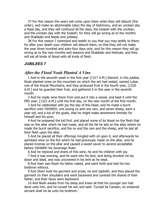37 For this reason the years will come upon them when they will disturb (the order), and make an abominable (day) the day of testimony, and an unclean day a feast day, and they will confound all the days, the kodesh with the unclean, and the unclean day with the kodesh; for they will go wrong as to the months and Shabbats and feasts and jubilees.

38 For this reason I command and testify to you that you may testify to them; for after your death your children will disturb them, so that they will not make the year three hundred and sixty-four days only, and for this reason they will go wrong as to the new months and seasons and Shabbats and festivals, and they will eat all kinds of blood with all kinds of flesh.

#### *JUBILEES 7*

# *After the Flood Noah Planted A Vine*

1 And in the seventh week in the first year [1317 A.M.] thereof, in this jubilee, Noah planted vines on the mountain on which the ark had rested, named Lubar, one of the Ararat Mountains, and they produced fruit in the fourth year, [1320 A.M.] and he guarded their fruit, and gathered it in this year in the seventh month.

2 And he made wine there from and put it into a vessel, and kept it until the fifth year, [1321 A.M.] until the first day, on the new month of the first month.

3 And he celebrated with joy the day of this feast, and he made a burnt sacrifice unto YAHWEH, one young ox and one ram, and seven sheep, each a year old, and a kid of the goats, that he might make atonement thereby for himself and his sons.

4 And he prepared the kid first, and placed some of its blood on the flesh that was on the altar which he had made, and all the fat he laid on the altar where he made the burnt sacrifice, and the ox and the ram and the sheep, and he laid all their flesh upon the altar.

5 And he placed all their offerings mingled with oil upon it, and afterwards he sprinkled wine on the fire which he had previously made on the altar, and he placed incense on the altar and caused a sweet savoir to ascend acceptable before YAHWEH his Sovereign Ruler.

6 And he rejoiced and drank of this wine, he and his children with joy.

7 And it was evening, and he went into his tent, and being drunken he lay down and slept, and was uncovered in his tent as he slept.

8 And Ham saw Noah his father naked, and went forth and told his two brethren without.

9 And Shem took his garment and arose, he and Japheth, and they placed the garment on their shoulders and went backward and covered the shame of their father, and their faces were backward.

10 And Noah awoke from his sleep and knew all that his younger son had done unto him, and he cursed his son and said: 'Cursed be Canaan; an enslaved servant shall he be unto his brethren.'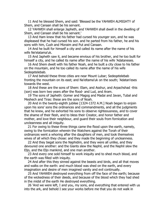11 And he blessed Shem, and said: 'Blessed be the YAHWEH ALMIGHTY of Shem, and Canaan shall be his servant.

12 YAHWEH shall enlarge Japheth, and YAHWEH shall dwell in the dwelling of Shem, and Canaan shall be his servant.'

13 And Ham knew that his father had cursed his younger son, and he was displeased that he had cursed his son. and he parted from his father, he and his sons with him, Cush and Mizraim and Put and Canaan.

14 And he built for himself a city and called its name after the name of his wife Ne'elatama'uk.

15 And Japheth saw it, and became envious of his brother, and he too built for himself a city, and he called its name after the name of his wife 'Adataneses.

16 And Shem dwelt with his father Noah, and he built a city close to his father on the mountain, and he too called its name after the name of his wife Sedeqetelebab.

17 And behold these three cities are near Mount Lubar; Sedeqetelebab fronting the mountain on its east; and Na'eltama'uk on the south; 'Adatan'eses towards the west.

18 And these are the sons of Shem: Elam, and Asshur, and Arpachshad -this (son) was born two years after the flood- and Lud, and Aram.

19 The sons of Japheth: Gomer and Magog and Madai and Javan, Tubal and Meshech and Tiras: these are the sons of Noah.

20 And in the twenty-eighth jubilee [1324-1372 A.M.] Noah began to enjoin upon his sons' sons the ordinances and commandments, and all the judgments that he knew, and he exhorted his sons to observe righteousness, and to cover the shame of their flesh, and to bless their Creator, and honor father and mother, and love their neighbour, and guard their souls from fornication and uncleanness and all iniquity.

21 For owing to these three things came the flood upon the earth, namely, owing to the fornication wherein the Watchers against the Torah of their ordinances went a whoring after the daughters of men, and took themselves wives of all which they chose: and they made the beginning of uncleanness.

22 And they begat sons the Naphidim, and they were all unlike, and they devoured one another: and the Giants slew the Naphil, and the Naphil slew the Eljo, and the Eljo mankind, and one man another.

23 And every one sold himself to work iniquity and to shed much blood, and the earth was filled with iniquity.

24 And after this they sinned against the beasts and birds, and all that moves and walks on the earth: and much blood was shed on the earth, and every imagination and desire of men imagined vanity and evil continually.

25 And YAHWEH destroyed everything from off the face of the earth; because of the wickedness of their deeds, and because of the blood which they had shed in the midst of the earth He destroyed everything.

26 'And we were left, I and you, my sons, and everything that entered with us into the ark, and behold I see your works before me that you do not walk in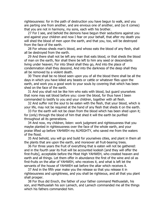righteousness: for in the path of destruction you have begun to walk, and you are parting one from another, and are envious one of another, and (so it comes) that you are not in harmony, my sons, each with his brother.

27 For I see, and behold the demons have begun their seductions against you and against your children and now I fear on your behalf, that after my death you will shed the blood of men upon the earth, and that you, too, will be destroyed from the face of the earth.

28 For whoso sheds man's blood, and whoso eats the blood of any flesh, shall all be destroyed from the earth.

29 And there shall not be left any man that eats blood, or that sheds the blood of man on the earth, Nor shall there be left to him any seed or descendants living under heaven; For into Sheol shall they go, And into the place of condemnation shall they descend, And into the darkness of the deep shall they all be removed by a violent death.

30 There shall be no blood seen upon you of all the blood there shall be all the days in which you have killed any beasts or cattle or whatever flies upon the earth, and work you a good work to your souls by covering that which has been shed on the face of the earth.

31 And you shall not be like him who eats with blood, but guard yourselves that none may eat blood before you: cover the blood, for thus have I been commanded to testify to you and your children, together with all flesh.

32 And suffer not the soul to be eaten with the flesh, that your blood, which is your life, may not be required at the hand of any flesh that sheds it on the earth.

33 For the earth will not be clean from the blood which has been shed upon it; for (only) through the blood of him that shed it will the earth be purified throughout all its generations.

34 And now, my children, listen: work judgment and righteousness that you maybe planted in righteousness over the face of the whole earth, and your praise lifted up before YAHWEH my ALMIGHTY, who saved me from the waters of the flood.

35 And behold, you will go and build for yourselves cities, and plant in them all the plants that are upon the earth, and moreover all fruit-bearing trees.

36 For three years the fruit of everything that is eaten will not be gathered: and in the fourth year its fruit will be accounted kodesh [and they will offer the first-fruits], acceptable before the Most High YAHWEH, who created heaven and earth and all things. Let them offer in abundance the first of the wine and oil as first-fruits on the altar of YAHWEH, who receives it, and what is left let the servants of the house of YAHWEH eat before the altar which receives it.

37 And in the fifth year make you the release so that you release it in righteousness and uprightness, and you shall be righteous, and all that you plant shall prosper.

38 For thus did Enoch, the father of your father command Methuselah, his son, and Methuselah his son Lamech, and Lamech commanded me all the things which his fathers commanded him.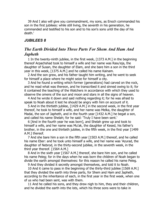39 And I also will give you commandment, my sons, as Enoch commanded his son in the first jubilees: while still living, the seventh in his generation, he commanded and testified to his son and to his son's sons until the day of his death.'

#### *JUBILEES 8*

# *The Earth Divided Into Three Parts For Shem And Ham And Japheth*

1 In the twenty-ninth jubilee, in the first week, [1373 A.M.] in the beginning thereof Arpachshad took to himself a wife and her name was Rasu'eja, the daughter of Susan, the daughter of Elam, and she bare him a son in the third year in this week, [1375 A.M.] and he called his name Kainam.

2 And the son grew, and his father taught him writing, and he went to seek for himself a place where he might seize for himself a city.

3 And he found a writing which former (generations) had carved on the rock, and he read what was thereon, and he transcribed it and sinned owing to it; for it contained the teaching of the Watchers in accordance with which they used to observe the omens of the sun and moon and stars in all the signs of heaven.

4 And he wrote it down and said nothing regarding it; for he was afraid to speak to Noah about it lest he should be angry with him on account of it.

5 And in the thirtieth jubilee, [1429 A.M.] in the second week, in the first year thereof, he took to himself a wife, and her name was Melka, the daughter of Madai, the son of Japheth, and in the fourth year [1432 A.M.] he begat a son, and called his name Shelah; for he said: 'Truly I have been sent.'

6 [And in the fourth year he was born], and Shelah grew up and took to himself a wife, and her name was Mu'ak, the daughter of Kesed, his father's brother, in the one and thirtieth jubilee, in the fifth week, in the first year [1499 A.M.] thereof.

7 And she bare him a son in the fifth year [1503 A.M.] thereof, and he called his name Eber: and he took unto himself a wife, and her name was 'Azurad, the daughter of Nebrod, in the thirty-second jubilee, in the seventh week, in the third year thereof. [1564 A.M.]

8 And in the sixth year [1567 A.M.] thereof, she bare him son, and he called his name Peleg; for in the days when he was born the children of Noah began to divide the earth amongst themselves: for this reason he called his name Peleg.

9 And they divided it secretly amongst themselves, and told it to Noah.

10 And it came to pass in the beginning of the thirty-third jubilee [1569 A.M.] that they divided the earth into three parts, for Shem and Ham and Japheth, according to the inheritance of each, in the first year in the first week, when one of us who had been sent, was with them.

11 And he called his sons, and they drew nigh to him, they and their children, and he divided the earth into the lots, which his three sons were to take in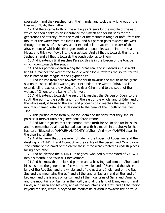possession, and they reached forth their hands, and took the writing out of the bosom of Noah, their father.

12 And there came forth on the writing as Shem's lot the middle of the earth which he should take as an inheritance for himself and for his sons for the generations of eternity, from the middle of the mountain range of Rafa, from the mouth of the water from the river Tina, and his portion goes towards the west through the midst of this river, and it extends till it reaches the water of the abysses, out of which this river goes forth and pours its waters into the sea Me'at, and this river flows into the great sea. And all that is towards the north is Japheth's, and all that is towards the south belongs to Shem.

13 And it extends till it reaches Karaso: this is in the bosom of the tongue which looks towards the south.

14 And his portion extends along the great sea, and it extends in a straight line till it reaches the west of the tongue which looks towards the south: for this sea is named the tongue of the Egyptian Sea.

15 And it turns from here towards the south towards the mouth of the great sea on the shore of (its) waters, and it extends to the west to 'Afra, and it extends till it reaches the waters of the river Gihon, and to the south of the waters of Gihon, to the banks of this river.

16 And it extends towards the east, till it reaches the Garden of Eden, to the south thereof, [to the south] and from the east of the whole land of Eden and of the whole east, it turns to the east and proceeds till it reaches the east of the mountain named Rafa, and it descends to the bank of the mouth of the river Tina.

17 This portion came forth by lot for Shem and his sons, that they should possess it forever unto his generations forevermore.

18 And Noah rejoiced that this portion came forth for Shem and for his sons, and he remembered all that he had spoken with his mouth in prophecy; for he had said: 'Blessed be YAHWEH ALMIGHTY of Shem And may YAHWEH dwell in the dwelling of Shem.'

19 And he knew that the Garden of Eden is the kodesh of kodeshim, and the dwelling of YAHWEH, and Mount Sinai the centre of the desert, and Mount Zion -the centre of the navel of the earth: these three were created as kodesh places facing each other.

20 And he blessed the ALMIGHTY of gods, who had put the Word of YAHWEH into his mouth, and YAHWEH forevermore.

21 And he knew that a blessed portion and a blessing had come to Shem and his sons unto the generations forever -the whole land of Eden and the whole land of the Red Sea, and the whole land of the east and India, and on the Red Sea and the mountains thereof, and all the land of Bashan, and all the land of Lebanon and the islands of Kaftur, and all the mountains of Sanir and 'Amana, and the mountains of Asshur in the north, and all the land of Elam, Asshur, and Babel, and Susan and Ma'edai, and all the mountains of Ararat, and all the region beyond the sea, which is beyond the mountains of Asshur towards the north, a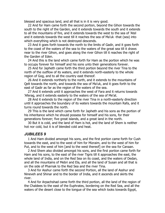blessed and spacious land, and all that is in it is very good.

22 And for Ham came forth the second portion, beyond the Gihon towards the south to the right of the Garden, and it extends towards the south and it extends to all the mountains of fire, and it extends towards the west to the sea of 'Atel and it extends towards the west till it reaches the sea of Ma'uk -that (sea) into which everything which is not destroyed descends.

23 And it goes forth towards the north to the limits of Gadir, and it goes forth to the coast of the waters of the sea to the waters of the great sea till it draws near to the river Gihon, and goes along the river Gihon till it reaches the right of the Garden of Eden.

24 And this is the land which came forth for Ham as the portion which he was to occupy forever for himself and his sons unto their generations forever.

25 And for Japheth came forth the third portion beyond the river Tina to the north of the outflow of its waters, and it extends north-easterly to the whole region of Gog, and to all the country east thereof.

26 And it extends northerly to the north, and it extends to the mountains of Qelt towards the north, and towards the sea of Ma'uk, and it goes forth to the east of Gadir as far as the region of the waters of the sea.

27 And it extends until it approaches the west of Fara and it returns towards 'Aferag, and it extends easterly to the waters of the sea of Me'at.

28 And it extends to the region of the river Tina in a north-easterly direction until it approaches the boundary of its waters towards the mountain Rafa, and it turns round towards the north.

29 This is the land which came forth for Japheth and his sons as the portion of his inheritance which he should possess for himself and his sons, for their generations forever; five great islands, and a great land in the north.

30 But it is cold, and the land of Ham is hot, and the land of Shem is neither hot nor cold, but it is of blended cold and heat.

#### *JUBILEES 9*

1 And Ham divided amongst his sons, and the first portion came forth for Cush towards the east, and to the west of him for Mizraim, and to the west of him for Put, and to the west of him [and to the west thereof] on the sea for Canaan.

2 And Shem also divided amongst his sons, and the first portion came forth for Ham and his sons, to the east of the river Tigris till it approaches the east, the whole land of India, and on the Red Sea on its coast, and the waters of Dedan, and all the mountains of Mebri and Ela, and all the land of Susan and all that is on the side of Pharnak to the Red Sea and the river Tina.

3 And for Asshur came forth the second Portion, all the land of Asshur and Nineveh and Shinar and to the border of India, and it ascends and skirts the river.

4 And for Arpachshad came forth the third portion, all the land of the region of the Chaldees to the east of the Euphrates, bordering on the Red Sea, and all the waters of the desert close to the tongue of the sea which looks towards Egypt,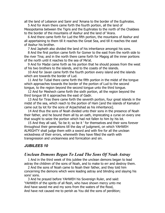all the land of Lebanon and Sanir and 'Amana to the border of the Euphrates.

5 And for Aram there came forth the fourth portion, all the land of Mesopotamia between the Tigris and the Euphrates to the north of the Chaldees to the border of the mountains of Asshur and the land of 'Arara.

6 And there came forth for Lud the fifth portion, the mountains of Asshur and all appertaining to them till it reaches the Great Sea, and till it reaches the east of Asshur his brother.

7 And Japheth also divided the land of his inheritance amongst his sons.

8 And the first portion came forth for Gomer to the east from the north side to the river Tina; and in the north there came forth for Magog all the inner portions of the north until it reaches to the sea of Me'at.

9 And for Madai came forth as his portion that he should posses from the west of his two brothers to the islands, and to the coasts of the islands.

10 And for Javan came forth the fourth portion every island and the islands which are towards the border of Lud.

11 And for Tubal there came forth the fifth portion in the midst of the tongue which approaches towards the border of the portion of Lud to the second tongue, to the region beyond the second tongue unto the third tongue.

12 And for Meshech came forth the sixth portion, all the region beyond the third tongue till it approaches the east of Gadir.

13 And for Tiras there came forth the seventh portion, four great islands in the midst of the sea, which reach to the portion of Ham [and the islands of Kamaturi came out by lot for the sons of Arpachshad as his inheritance].

14 And thus the sons of Noah divided unto their sons in the presence of Noah their father, and he bound them all by an oath, imprecating a curse on every one that sought to seize the portion which had not fallen to him by his lot.

15 And they all said, 'So be it; so be it ' for themselves and their sons forever throughout their generations till the day of judgment, on which YAHWEH ALMIGHTY shall judge them with a sword and with fire for all the unclean wickedness of their errors, wherewith they have filled the earth with transgression and uncleanness and fornication and sin.

# *JUBILEES 10*

# *Unclean Demons Began To Lead The Sons Of Noah Astray*

1 And in the third week of this jubilee the unclean demons began to lead astray the children of the sons of Noah, and to make to err and destroy them.

2 And the sons of Noah came to Noah their father, and they told him concerning the demons which were leading astray and blinding and slaying his sons' sons.

3 And he prayed before YAHWEH his Sovereign Ruler, and said: 'YAHWEH of the spirits of all flesh, who have shown mercy unto me And have saved me and my sons from the waters of the flood, And have not caused me to perish as You did the sons of perdition;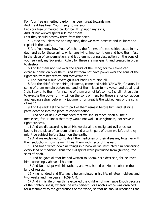For Your free unmerited pardon has been great towards me, And great has been Your mercy to my soul;

Let Your free unmerited pardon be lift up upon my sons,

And let not wicked spirits rule over them

Lest they should destroy them from the earth.

4 But do You bless me and my sons, that we may increase and Multiply and replenish the earth.

5 And You know how Your Watchers, the fathers of these spirits, acted in my day: and as for these spirits which are living, imprison them and hold them fast in the place of condemnation, and let them not bring destruction on the sons of your servant, my Sovereign Ruler; for these are malignant, and created in order to destroy.

6 And let them not rule over the spirits of the living; for You alone can exercise dominion over them. And let them not have power over the sons of the righteous from henceforth and forevermore.'

7 And YAHWEH our Sovereign Ruler bade us to bind all.

8 And the chief of the spirits, Mastema, came and said: 'YAHWEH, Creator, let some of them remain before me, and let them listen to my voice, and do all that I shall say unto them; for if some of them are not left to me, I shall not be able to execute the power of my will on the sons of men; for these are for corruption and leading astray before my judgment, for great is the wickedness of the sons of men.'

9 And He said: Let the tenth part of them remain before him, and let nine parts descend into the place of condemnation.'

10 And one of us He commanded that we should teach Noah all their medicines; for He knew that they would not walk in uprightness, nor strive in righteousness.

11 And we did according to all His words: all the malignant evil ones we bound in the place of condemnation and a tenth part of them we left that they might be subject before Satan on the earth.

12 And we explained to Noah all the medicines of their diseases, together with their seductions, how he might heal them with herbs of the earth.

13 And Noah wrote down all things in a book as we instructed him concerning every kind of medicine. Thus the evil spirits were precluded from (hurting) the sons of Noah.

14 And he gave all that he had written to Shem, his eldest son; for he loved him exceedingly above all his sons.

15 And Noah slept with his fathers, and was buried on Mount Lubar in the land of Ararat.

16 Nine hundred and fifty years he completed in his life, nineteen jubilees and two weeks and five years. [1659 A.M.]

17 And in his life on earth he excelled the children of men save Enoch because of the righteousness, wherein he was perfect. For Enoch's office was ordained for a testimony to the generations of the world, so that he should recount all the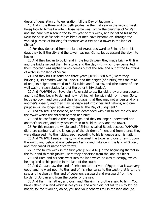deeds of generation unto generation, till the Day of Judgment.

18 And in the three and thirtieth jubilee, in the first year in the second week, Peleg took to himself a wife, whose name was Lomna the daughter of Sina'ar, and she bare him a son in the fourth year of this week, and he called his name Reu; for he said: 'Behold the children of men have become evil through the wicked purpose of building for themselves a city and a tower in the land of Shinar.'

19 For they departed from the land of Ararat eastward to Shinar; for in his days they built the city and the tower, saying, 'Go to, let us ascend thereby into heaven.'

20 And they began to build, and in the fourth week they made brick with fire, and the bricks served them for stone, and the clay with which they cemented them together was asphalt which comes out of the sea, and out of the fountains of water in the land of Shinar.

21 And they built it: forty and three years [1645-1688 A.M.] were they building it; its breadth was 203 bricks, and the height (of a brick) was the third of one; its height amounted to 5433 cubits and 2 palms, and (the extent of one wall was) thirteen stades (and of the other thirty stades).

22 And YAHWEH our Sovereign Ruler said to us: Behold, they are one people, and (this) they begin to do, and now nothing will be withheld from them. Go to, let us go down and confound their language, that they may not understand one another's speech, and they may be dispersed into cities and nations, and one purpose will no longer abide with them till the Day of Judgment.'

23 And YAHWEH descended, and we descended with him to see the city and the tower which the children of men had built.

24 And he confounded their language, and they no longer understood one another's speech, and they ceased then to build the city and the tower.

25 For this reason the whole land of Shinar is called Babel, because YAHWEH did there confound all the language of the children of men, and from thence they were dispersed into their cities, each according to his language and his nation.

26 And YAHWEH sent a mighty wind against the tower and overthrew it upon the earth, and behold it was between Asshur and Babylon in the land of Shinar, and they called its name 'Overthrow'.

27 In the fourth week in the first year [1688 A.M.] in the beginning thereof in the four and thirtieth jubilee, were they dispersed from the land of Shinar.

28 And Ham and his sons went into the land which he was to occupy, which he acquired as his portion in the land of the south.

29 And Canaan saw the land of Lebanon to the river of Egypt, that it was very good, and he went not into the land of his inheritance to the west (that is to) the sea, and he dwelt in the land of Lebanon, eastward and westward from the border of Jordan and from the border of the sea.

30 And Ham, his father, and Cush and Mizraim his brothers said to him: 'You have settled in a land which is not yours, and which did not fall to us by lot: do not do so; for if you do, do so, you and your sons will fall in the land and (be)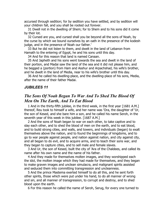accursed through sedition; for by sedition you have settled, and by sedition will your children fall, and you shall be rooted out forever.

31 Dwell not in the dwelling of Shem; for to Shem and to his sons did it come by their lot.

32 Cursed are you, and cursed shall you be beyond all the sons of Noah, by the curse by which we bound ourselves by an oath in the presence of the kodesh judge, and in the presence of Noah our father.'

33 But he did not listen to them, and dwelt in the land of Lebanon from Hamath to the entering of Egypt, he and his sons until this day.

34 And for this reason that land is named Canaan.

35 And Japheth and his sons went towards the sea and dwelt in the land of their portion, and Madai saw the land of the sea and it did not please him, and he begged a (portion) from Ham and Asshur and Arpachshad, his wife's brother, and he dwelt in the land of Media, near to his wife's brother until this day.

36 And he called his dwelling-place, and the dwelling-place of his sons, Media, after the name of their father Madai.

#### *JUBILEES 11*

# *The Sons Of Noah Began To War And To Shed The Blood Of Men On The Earth, And To Eat Blood*

1 And in the thirty-fifth jubilee, in the third week, in the first year [1681 A.M.] thereof, Reu took to himself a wife, and her name was 'Ora, the daughter of 'Ur, the son of Kesed, and she bare him a son, and he called his name Seroh, in the seventh year of this week in this jubilee. [1687 A.M.]

2 And the sons of Noah began to war on each other, to take captive and to slay each other, and to shed the blood of men on the earth, and to eat blood, and to build strong cities, and walls, and towers, and individuals (began) to exalt themselves above the nation, and to found the beginnings of kingdoms, and to go to war people against people, and nation against nation, and city against city, and all began to do evil, and to acquire arms, and to teach their sons war, and they began to capture cities, and to sell male and female slaves.

3 And Ur, the son of Kesed, built the city of 'Ara of the Chaldees, and called its name after his own name and the name of his father.

4 And they made for themselves molten images, and they worshipped each the idol, the molten image which they had made for themselves, and they began to make graven images and unclean simulacra, and malignant spirits assisted and seduced them into committing transgression and uncleanness.

5 And the prince Mastema exerted himself to do all this, and he sent forth other spirits, those which were put under his hand, to do all manner of wrong and sin, and all manner of transgression, to corrupt and destroy, and to shed blood upon the earth.

6 For this reason he called the name of Seroh, Serug, for every one turned to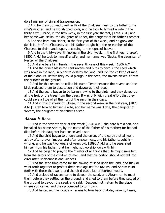do all manner of sin and transgression.

7 And he grew up, and dwelt in Ur of the Chaldees, near to the father of his wife's mother, and he worshipped idols, and he took to himself a wife in the thirty-sixth jubilee, in the fifth week, in the first year thereof, [1744 A.M.] and her name was Melka, the daughter of Kaber, the daughter of his father's brother.

8 And she bare him Nahor, in the first year of this week, and he grew and dwelt in Ur of the Chaldees, and his father taught him the researches of the Chaldees to divine and augur, according to the signs of heaven.

9 And in the thirty-seventh jubilee in the sixth week, in the first year thereof, [1800 A.M.] he took to himself a wife, and her name was 'Ijaska, the daughter of Nestag of the Chaldees.

10 And she bare him Terah in the seventh year of this week. [1806 A.M.]

11 And the prince Mastema sent ravens and birds to devour the seed which was sown in the land, in order to destroy the land, and rob the children of men of their labours. Before they could plough in the seed, the ravens picked it from the surface of the ground.

12 And for this reason he called his name Terah because the ravens and the birds reduced them to destitution and devoured their seed.

13 And the years began to be barren, owing to the birds, and they devoured all the fruit of the trees from the trees: It was only with great effort that they could save a little of all the fruit of the earth in their days.

14 And in this thirty-ninth jubilee, in the second week in the first year, [1870 A.M.] Terah took to himself a wife, and her name was 'Edna, the daughter of 'Abram, the daughter of his father's sister.

# *Abram is Born*

15 And in the seventh year of this week [1876 A.M.] she bare him a son, and he called his name Abram, by the name of the father of his mother; for he had died before his daughter had conceived a son.

16 And the child began to understand the errors of the earth that all went astray after graven images and after uncleanness, and his father taught him writing, and he was two weeks of years old, [1890 A.M.] and he separated himself from his father, that he might not worship idols with him.

17 And he began to pray to the Creator of all things that He might save him from the errors of the children of men, and that his portion should not fall into error after uncleanness and vileness.

18 And the seed time came for the sowing of seed upon the land, and they all went forth together to protect their seed against the ravens, and Abram went forth with those that went, and the child was a lad of fourteen years.

19 And a cloud of ravens came to devour the seed, and Abram ran to meet them before they settled on the ground, and cried to them before they settled on the ground to devour the seed, and said, ' Descend not: return to the place where you came,' and they proceeded to turn back.

20 And he caused the clouds of ravens to turn back that day seventy times,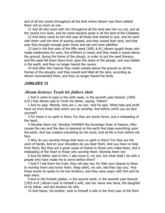and of all the ravens throughout all the land where Abram was there settled there not so much as one.

21 And all who were with him throughout all the land saw him cry out, and all the ravens turn back, and his name became great in all the land of the Chaldees.

22 And there came to him this year all those that wished to sow, and he went with them until the time of sowing ceased: and they sowed their land, and that year they brought enough grain home and eat and were satisfied.

23 And in the first year of the fifth week [1891 A.M.] Abram taught those who made implements for oxen, the artificers in wood, and they made a vessel above the ground, facing the frame of the plough, in order to put the seed thereon, and the seed fell down there from upon the share of the plough, and was hidden in the earth, and they no longer feared the ravens.

24 And after this manner they made vessels above the ground on all the frames of the ploughs, and they sowed and tilled all the land, according as Abram commanded them, and they no longer feared the birds.

#### *JUBILEES 12*

# *Abram destroys Terah his fathers idols*

1 And it came to pass in the sixth week, in the seventh year thereof, [1904 A.M.] that Abram said to Terah his father, saying, 'Father!'

2 And he said, 'Behold, here am I, my son.' And he said, 'What help and profit have we from those idols which you do worship, And before which you do bow yourself?

3 For there is no spirit in them, For they are dumb forms, and a misleading of the heart.

4 Worship them not: Worship YAHWEH the Sovereign Ruler of heaven, Who causes the rain and the dew to descend on the earth And does everything upon the earth, And has created everything by His word, And all life is from before His face.

5 Why do you worship things that have no spirit in them? For they are the work of hands, And on your shoulders do you bear them, And you have no help from them, But they are a great cause of shame to those who make them, And a misleading of the heart to those who worship them: Worship them not.'

6 And his father said to him, I also know it, my son, but what shall I do with a people who have made me to serve before them?

7 And if I tell them the truth, they will slay me; for their soul cleaves to them to worship them and honor them. Keep silent, my son, lest they slay you.' And these words he spoke to his two brothers, and they were angry with him and he kept silent.

9 And in the fortieth jubilee, in the second week, in the seventh year thereof, [1925 A.M.] Abram took to himself a wife, and her name was Sarai, the daughter of his father, and she became his wife.

10 And Haran, his brother, took to himself a wife in the third year of the third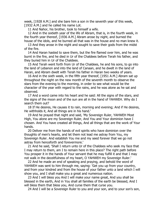week, [1928 A.M.] and she bare him a son in the seventh year of this week, [1932 A.M.] and he called his name Lot.

11 And Nahor, his brother, took to himself a wife.

12 And in the sixtieth year of the life of Abram, that is, in the fourth week, in the fourth year thereof, [1936 A.M.] Abram arose by night, and burned the house of the idols, and he burned all that was in the house and no man knew it.

13 And they arose in the night and sought to save their gods from the midst of the fire.

14 And Haran hasted to save them, but the fire flamed over him, and he was burnt in the fire, and he died in Ur of the Chaldees before Terah his father, and they buried him in Ur of the Chaldees.

15 And Terah went forth from Ur of the Chaldees, he and his sons, to go into the land of Lebanon and into the land of Canaan, and he dwelt in the land of Haran, and Abram dwelt with Terah his father in Haran two weeks of years.

16 And in the sixth week, in the fifth year thereof, [1951 A.M.] Abram sat up throughout the night on the new month of the seventh month to observe the stars from the evening to the morning, in order to see what would be the character of the year with regard to the rains, and he was alone as he sat and observed.

17 And a word came into his heart and he said: All the signs of the stars, and the signs of the moon and of the sun are all in the hand of YAHWEH. Why do I search them out?

18 If He desires, He causes it to rain, morning and evening; And if He desires, He withholds it, And all things are in his hand.'

19 And he prayed that night and said, 'My Sovereign Ruler, YAHWEH Most High, You alone are my Sovereign Ruler, And You and Your dominion have I chosen. And You have created all things, And all things that are the work of Your hands.

20 Deliver me from the hands of evil spirits who have dominion over the thoughts of men's hearts, and let them not lead me astray from You, my Sovereign Ruler. And establish You me and my seed forever that we go not astray from henceforth and forevermore.'

21 And he said, 'Shall I return unto Ur of the Chaldees who seek my face that I may return to them, am I to remain here in this place? The right path before You prosper it in the hands of Your servant that he may fulfill it and that I may not walk in the deceitfulness of my heart, O YAHWEH my Sovereign Ruler.'

22 And he made an end of speaking and praying, and behold the word of YAHWEH was sent to him through me, saying: 'Get you up from your country, and from your kindred and from the house of your father unto a land which I will show you, and I shall make you a great and numerous nation.

23 And I will bless you And I will make your name great, And you shall be blessed in the earth, And in You shall all families of the earth be blessed, And I will bless them that bless you, And curse them that curse you.

24 And I will be a Sovereign Ruler to you and your son, and to your son's son,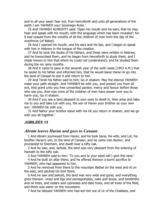and to all your seed: fear not, from henceforth and unto all generations of the earth I am YAHWEH your Sovereign Ruler.'

25 And YAHWEH ALMIGHTY said: 'Open his mouth and his ears, that he may hear and speak with his mouth, with the language which has been revealed'; for it had ceased from the mouths of all the children of men from the day of the overthrow (of Babel).

26 And I opened his mouth, and his ears and his lips, and I began to speak with him in Hebrew in the tongue of the creation.

27 And he took the books of his fathers, and these were written in Hebrew, and he transcribed them, and he began from henceforth to study them, and I made known to him that which he could not (understand), and he studied them during the six rainy months.

28 And it came to pass in the seventh year of the sixth week [1953 A.M.] that he spoke to his father and informed him, that he would leave Haran to go into the land of Canaan to see it and return to him.

29 And Terah his father said to him; Go in shalom: May the eternal YAHWEH make your path straight. And YAHWEH be with you, and protect you from all evil, And grant unto you free unmerited pardon, mercy and favour before those who see you, And may none of the children of men have power over you to harm you; Go in shalom.

30 And if you see a land pleasant to your eyes to dwell in, then arise and take me to you and take Lot with you, the son of Haran your brother as your own son: YAHWEH be with you.

31 And Nahor your brother leave with me till you return in shalom, and we go with you all together.'

#### *JUBILEES 13*

### *Abram leaves Haran and goes to Canaan*

1 And Abram journeyed from Haran, and he took Sarai, his wife, and Lot, his brother Haran's son, to the land of Canaan, and he came into Asshur, and proceeded to Shechem, and dwelt near a lofty oak.

2 And he saw, and, behold, the land was very pleasant from the entering of Hamath to the lofty oak.

3 And YAHWEH said to him: 'To you and to your seed will I give this land.'

4 And he built an altar there, and he offered thereon a burnt sacrifice to YAHWEH, who had appeared to him.

5 And he removed from there to the mountain Bethel on the west and Ai on the east, and pitched his tent there.

6 And he saw and behold, the land was very wide and good, and everything grew thereon -vines and figs and pomegranates, oaks and ilexes, and terebinths and oil trees, and cedars and cypresses and date trees, and all trees of the field, and there was water on the mountains.

7 And he blessed YAHWEH who had led him out of Ur of the Chaldees, and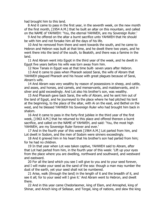had brought him to this land.

8 And it came to pass in the first year, in the seventh week, on the new month of the first month, [1954 A.M.] that he built an altar on this mountain, and called on the NAME of YAHWEH: 'You, the eternal YAHWEH, are my Sovereign Ruler.'

9 And he offered on the altar a burnt sacrifice unto YAHWEH that He should be with him and not forsake him all the days of his life.

10 And he removed from there and went towards the south, and he came to Hebron and Hebron was built at that time, and he dwelt there two years, and he went there into the land of the south, to Bealoth, and there was a famine in the land.

11 And Abram went into Egypt in the third year of the week, and he dwelt in Egypt five years before his wife was torn away from him.

12 Now Tanais in Egypt was at that time built- seven years after Hebron.

13 And it came to pass when Pharaoh seized Sarai, the wife of Abram that YAHWEH plagued Pharaoh and his house with great plagues because of Sarai, Abram's wife.

14 And Abram was very wealthy by reason of possessions in sheep, and cattle, and asses, and horses, and camels, and menservants, and maidservants, and in silver and gold exceedingly. And Lot also his brother's son, was wealthy.

15 And Pharaoh gave back Sarai, the wife of Abram, and he sent him out of the land of Egypt, and he journeyed to the place where he had pitched his tent at the beginning, to the place of the altar, with Ai on the east, and Bethel on the west, and he blessed YAHWEH his Sovereign Ruler who had brought him back in shalom.

16 And it came to pass in the forty-first jubilee in the third year of the first week, [1963 A.M.] that he returned to this place and offered thereon a burnt sacrifice, and called on the NAME of YAHWEH, and said: 'You, the most high YAHWEH, are my Sovereign Ruler forever and ever.'

17 And in the fourth year of this week [1964 A.M.] Lot parted from him, and Lot dwelt in Sodom, and the men of Sodom were sinners exceedingly.

18 And it grieved him in his heart that his brother's son had parted from him; for he had no children.

19 In that year when Lot was taken captive, YAHWEH said to Abram, after that Lot had parted from him, in the fourth year of this week: 'Lift up your eyes from the place where you are dwelling, northward and southward, and westward and eastward.

20 For all the land which you see I will give to you and to your seed forever, and I will make your seed as the sand of the sea: though a man may number the dust of the earth, yet your seed shall not be numbered.

21 Arise, walk (through the land) in the length of it and the breadth of it, and see it all; for to your seed will I give it.' And Abram went to Hebron, and dwelt there.

22 And in this year came Chedorlaomer, king of Elam, and Amraphel, king of Shinar, and Arioch king of Sellasar, and Tergal, king of nations, and slew the king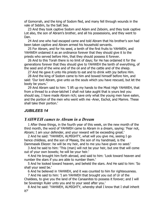of Gomorrah, and the king of Sodom fled, and many fell through wounds in the vale of Siddim, by the Salt Sea.

23 And they took captive Sodom and Adam and Zeboim, and they took captive Lot also, the son of Abram's brother, and all his possessions, and they went to Dan.

24 And one who had escaped came and told Abram that his brother's son had been taken captive and Abram armed his household servants.

25 For Abram, and for his seed, a tenth of the first fruits to YAHWEH, and YAHWEH ordained it as an ordinance forever that they should give it to the priests who served before Him, that they should possess it forever.

26 And to this Torah there is no limit of days; for He has ordained it for the generations forever that they should give to YAHWEH the tenth of everything, of the seed and of the wine and of the oil and of the cattle and of the sheep.

27 And He gave it unto His priests to eat and to drink with joy before Him.

28 And the king of Sodom came to him and bowed himself before him, and said: 'Our lord Abram, give unto us the souls which you have rescued, but let the booty be yours.'

29 And Abram said to him: 'I lift up my hands to the Most High YAHWEH, that from a thread to a shoe-latchet I shall not take aught that is yours lest you should say, I have made Abram rich; save only what the young men have eaten, and the portion of the men who went with me -Aner, Eschol, and Mamre. These shall take their portion.'

# *JUBILEES 14*

# *YAHWEH cames to Abram in a Dream*

1 After these things, in the fourth year of this week, on the new month of the third month, the word of YAHWEH came to Abram in a dream, saying: 'Fear not, Abram; I am your defender, and your reward will be exceeding great.'

2 And he said: 'YAHWEH, ALMIGHTY, what will you give me, seeing I go hence childless, and the son of Maseq, the son of my handmaid, is the Dammasek Eliezer: he will be my heir, and to me you have given no seed.'

3 And he said to him: 'This (man) will not be your heir, but one that will come out of your own bowels; he will be your heir.'

4 And He brought him forth abroad, and said to him: 'Look toward heaven and number the stars if you are able to number them.'

5 And he looked toward heaven, and beheld the stars. And He said to him: 'So shall your seed be.'

6 And he believed in YAHWEH, and it was counted to him for righteousness.

7 And He said to him: 'I am YAHWEH that brought you out of Ur of the Chaldees, to give you the land of the Canaanites to possess it forever; and I will be Sovereign Ruler unto you and to your seed after you.'

8 And he said: 'YAHWEH, ALMIGHTY, whereby shall I know that I shall inherit it?'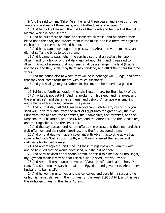9 And He said to him: 'Take Me an heifer of three years, and a goat of three years, and a sheep of three years, and a turtle-dove, and a pigeon.'

10 And he took all these in the middle of the month and he dwelt at the oak of Mamre, which is near Hebron.

11 And he built there an altar, and sacrificed all these; and he poured their blood upon the altar, and divided them in the midst, and laid them over against each other; but the birds divided he not.

12 And birds came down upon the pieces, and Abram drove them away, and did not suffer the birds to touch them.

13 And it came to pass, when the sun had set, that an ecstasy fell upon Abram, and lo! a horror of great darkness fell upon him, and it was said to Abram: 'Know of a surety that your seed shall be a stranger in a land (that is) not theirs, and they shall bring them into bondage, and afflict them four hundred years.

14 And the nation also to whom they will be in bondage will I judge, and after that they shall come forth thence with much substance.

15 And you shall go to your fathers in shalom, and be buried in a good old age.

16 But in the fourth generation they shall return here; for the iniquity of the

17 Amorites is not yet full.' And he awoke from his sleep, and he arose, and the sun had set; and there was a flame, and behold! A furnace was smoking, and a flame of fire passed between the pieces.

18 And on that day YAHWEH made a covenant with Abram, saying: 'To your seed will I give this land, from the river of Egypt unto the great river, the river Euphrates, the Kenites, the Kenizzites, the Kadmonites, the Perizzites, and the Rephaim, the Phakorites, and the Hivites, and the Amorites, and the Canaanites, and the Girgashites, and the Jebusites.

19 And the day passed, and Abram offered the pieces, and the birds, and their fruit offerings, and their drink offerings, and the fire devoured them.

20 And on that day we made a covenant with Abram, according as we had covenanted with Noah in this month; and Abram renewed the festival and ordinance for himself forever.

21 And Abram rejoiced, and made all these things known to Sarai his wife; and he believed that he would have seed, but she did not bear.

22 And Sarai advised her husband Abram, and said to him: 'Go in unto Hagar, my Egyptian maid: it may be that I shall build up seed unto you by her.'

23 And Abram listened unto the voice of Sarai his wife, and said to her, 'Do (so).' And Sarai took Hagar, her maid, the Egyptian, and gave her to Abram, her husband, to be his wife.

24 And he went in unto her, and she conceived and bare him a son, and he called his name Ishmael, in the fifth year of this week [1965 A.M.]; and this was the eighty-sixth year in the life of Abram.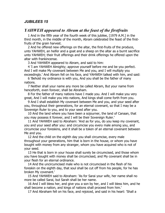# *JUBILEES 15*

# *YAHWEH appeared to Abram at the feast of the firstfruits*

1 And in the fifth year of the fourth week of this jubilee, [1979 A.M.] in the third month, in the middle of the month, Abram celebrated the feast of the firstfruits of the grain harvest.

2 And he offered new offerings on the altar, the first-fruits of the produce, unto YAHWEH, an heifer and a goat and a sheep on the altar as a burnt sacrifice unto YAHWEH; their fruit offerings and their drink offerings he offered upon the altar with frankincense.

3 And YAHWEH appeared to Abram, and said to him:

4 'I am YAHWEH Almighty; approve yourself before me and be you perfect. And I will make My covenant between Me and you, and I will multiply you exceedingly.' And Abram fell on his face, and YAHWEH talked with him, and said:

6 'Behold my ordinance is with you, And you shall be the father of many nations.

7 Neither shall your name any more be called Abram, But your name from henceforth, even forever, shall be Abraham.

8 For the father of many nations have I made you. And I will make you very great, And I will make you into nations, And kings shall come forth from you.

9 And I shall establish My covenant between Me and you, and your seed after you, throughout their generations, for an eternal covenant, so that I may be a Sovereign Ruler to you, and to your seed after you.

10 And the land where you have been a sojourner, the land of Canaan, that you may possess it forever, and I will be their Sovereign Ruler.'

11 And YAHWEH said to Abraham: 'And as for you, do you keep my covenant, you and your seed after you: and circumcise you every male among you, and circumcise your foreskins, and it shall be a token of an eternal covenant between Me and you.

12 And the child on the eighth day you shall circumcise, every male throughout your generations, him that is born in the house, or whom you have bought with money from any stranger, whom you have acquired who is not of your seed.

13 He that is born in your house shall surely be circumcised, and those whom you have bought with money shall be circumcised, and My covenant shall be in your flesh for an eternal ordinance.

14 And the uncircumcised male who is not circumcised in the flesh of his foreskin on the eighth day, that soul shall be cut off from his people, for he has broken My covenant.'

15 And YAHWEH said to Abraham: 'As for Sarai your wife, her name shall no more be called Sarai, but Sarah shall be her name.

16 And I will bless her, and give you a son by her, and I will bless him, and he shall become a nation, and kings of nations shall proceed from him.'

17 And Abraham fell on his face, and rejoiced, and said in his heart: 'Shall a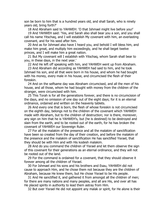son be born to him that is a hundred years old, and shall Sarah, who is ninety years old, bring forth?'

18 And Abraham said to YAHWEH: 'O that Ishmael might live before you!'

19 And YAHWEH said: 'Yes, and Sarah also shall bear you a son, and you shall call his name Yitschaq, and I will establish My covenant with him, an everlasting covenant, and for his seed after him.

20 And as for Ishmael also have I heard you, and behold I will bless him, and make him great, and multiply him exceedingly, and he shall beget twelve princes, and I will make him a great nation.

21 But My covenant will I establish with Yitschaq, whom Sarah shall bear to you, in these days, in the next year.'

22 And He left off speaking with him, and YAHWEH went up from Abraham.

23 And Abraham did according as YAHWEH had said to him, and he took Ishmael his son, and all that were born in his house, and whom he had bought with his money, every male in his house, and circumcised the flesh of their foreskin.

24 And on the selfsame day was Abraham circumcised, and all the men of his house, and all those, whom he had bought with money from the children of the stranger, were circumcised with him.

25 This Torah is for all the generations forever, and there is no circumcision of the days, and no omission of one day out of the eight days; for it is an eternal ordinance, ordained and written on the heavenly tablets.

26 And every one that is born, the flesh of whose foreskin is not circumcised on the eighth day, belongs not to the children of the covenant which YAHWEH made with Abraham, but to the children of destruction; nor is there, moreover, any sign on him that he is YAHWEH's, but (he is destined) to be destroyed and slain from the earth, and to be rooted out of the earth, for he has broken the covenant of YAHWEH our Sovereign Ruler.

27 For all the malakim of the presence and all the malakim of sanctification have been so created from the day of their creation, and before the malakim of the presence and the malakim of sanctification He has sanctified Yisrael, that they should be with Him and with His kodesh malakim.

28 And do you command the children of Yisrael and let them observe the sign of this covenant for their generations as an eternal ordinance, and they will not be rooted out of the land.

29 For the command is ordained for a covenant, that they should observe it forever among all the children of Yisrael.

30 For Ishmael and his sons and his brothers and Esau, YAHWEH did not cause to approach Him, and he chose them not because they are the children of Abraham, because He knew them, but He chose Yisrael to be His people.

31 And He sanctified it, and gathered it from amongst all the children of men; for there are many nations and many peoples, and all are His, and over all has He placed spirits in authority to lead them astray from Him.

32 But over Yisrael He did not appoint any malak or spirit, for He alone is their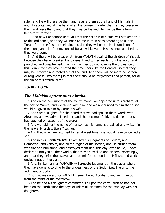ruler, and He will preserve them and require them at the hand of His malakim and His spirits, and at the hand of all His powers in order that He may preserve them and bless them, and that they may be His and He may be theirs from henceforth forever.

33 And now I announce unto you that the children of Yisrael will not keep true to this ordinance, and they will not circumcise their sons according to all this Torah; for in the flesh of their circumcision they will omit this circumcision of their sons, and all of them, sons of Belial, will leave their sons uncircumcised as they were born.

34 And there will be great wrath from YAHWEH against the children of Yisrael, because they have forsaken His covenant and turned aside from His word, and provoked and blasphemed, inasmuch as they do not observe the ordinance of this Torah; for they have treated their members like the Gentiles, so that they may be removed and rooted out of the land. And there will no more be pardon or forgiveness unto them [so that there should be forgiveness and pardon] for all the sin of this eternal error.

#### *JUBILEES 16*

# *The Malakim appear unto Abraham*

1 And on the new month of the fourth month we appeared unto Abraham, at the oak of Mamre, and we talked with him, and we announced to him that a son would be given to him by Sarah his wife.

2 And Sarah laughed, for she heard that we had spoken these words with Abraham, and we admonished her, and she became afraid, and denied that she had laughed on account of the words.

3 And we told her the name of her son, as his name is ordained and written in the heavenly tablets (i.e.) Yitschaq,

4 And that when we returned to her at a set time, she would have conceived a son.

5 And in this month YAHWEH executed his judgments on Sodom, and Gomorrah, and Zeboim, and all the region of the Jordan, and He burned them with fire and brimstone, and destroyed them until this day, even as [lo] I have declared unto you all their works, that they are wicked and sinners exceedingly, and that they defile themselves and commit fornication in their flesh, and work uncleanness on the earth.

6 And, in like manner, YAHWEH will execute judgment on the places where they have done according to the uncleanness of the Sodomites, like unto the judgment of Sodom.

7 But Lot we saved; for YAHWEH remembered Abraham, and sent him out from the midst of the overthrow.

8 And he and his daughters committed sin upon the earth, such as had not been on the earth since the days of Adam till his time; for the man lay with his daughters.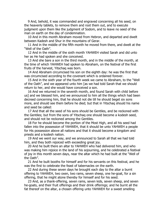9 And, behold, it was commanded and engraved concerning all his seed, on the heavenly tablets, to remove them and root them out, and to execute judgment upon them like the judgment of Sodom, and to leave no seed of the man on earth on the day of condemnation.

10 And in this month Abraham moved from Hebron, and departed and dwelt between Kadesh and Shur in the mountains of Gerar.

11 And in the middle of the fifth month he moved from there, and dwelt at the "Well of the Oath".

12 And in the middle of the sixth month YAHWEH visited Sarah and did unto her as He had spoken and she conceived.

13 And she bare a son in the third month, and in the middle of the month, at the time of which YAHWEH had spoken to Abraham, on the festival of the first fruits of the harvest, Yitschaq was born.

14 And Abraham circumcised his son on the eighth day: he was the first that was circumcised according to the covenant which is ordained forever.

15 And in the sixth year of the fourth week we came to Abraham, to the "Well of the Oath", and we appeared unto him [as we had told Sarah that we should return to her, and she would have conceived a son.

16 And we returned in the seventh month, and found Sarah with child before us] and we blessed him, and we announced to him all the things which had been decreed concerning him, that he should not die till he should beget six sons more, and should see them before he died; but that in Yitschaq should his name and seed be called:

17 And that all the seed of his sons should be Gentiles, and be reckoned with the Gentiles; but from the sons of Yitschaq one should become a kodesh seed, and should not be reckoned among the Gentiles.

18 For he should become the portion of the Most High, and all his seed had fallen into the possession of YAHWEH, that it should be unto YAHWEH a people for His possession above all nations and that it should become a kingdom and priests and a kodesh nation.

19 And we went our way, and we announced to Sarah all that we had told him, and they both rejoiced with exceeding great joy.

20 And he built there an altar to YAHWEH who had delivered him, and who was making him rejoice in the land of his sojourning, and he celebrated a festival of joy in this month seven days, near the altar which he had built at the "Well of the Oath".

21 And he built booths for himself and for his servants on this festival, and he was the first to celebrate the feast of tabernacles on the earth.

22 And during these seven days he brought each day to the altar a burnt offering to YAHWEH, two oxen, two rams, seven sheep, one he-goat, for a sin offering, that he might atone thereby for himself and for his seed.

23 And, as a thank-offering, seven rams, seven kids, seven sheep, and seven he-goats, and their fruit offerings and their drink offerings; and he burnt all the fat thereof on the altar, a chosen offering unto YAHWEH for a sweet smelling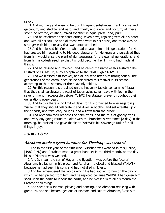savor.

24 And morning and evening he burnt fragrant substances, frankincense and galbanum, and stackte, and nard, and myrrh, and spice, and costum; all these seven he offered, crushed, mixed together in equal parts (and) pure.

25 And he celebrated this feast during seven days, rejoicing with all his heart and with all his soul, he and all those who were in his house, and there was no stranger with him, nor any that was uncircumcised.

26 And he blessed his Creator who had created him in his generation, for He had created him according to His good pleasure; for He knew and perceived that from him would arise the plant of righteousness for the eternal generations, and from him a kodesh seed, so that it should become like Him who had made all things.

27 And he blessed and rejoiced, and he called the name of this festival "The Festival of YAHWEH", a joy acceptable to the Most High YAHWEH.

28 And we blessed him forever, and all his seed after him throughout all the generations of the earth, because he celebrated this festival in its season, according to the testimony of the heavenly tablets.

29 For this reason it is ordained on the heavenly tablets concerning Yisrael, that they shall celebrate the feast of tabernacles seven days with joy, in the seventh month, acceptable before YAHWEH -a statute forever throughout their generations every year.

30 And to this there is no limit of days; for it is ordained forever regarding Yisrael that they should celebrate it and dwell in booths, and set wreaths upon their heads, and take leafy boughs, and willows from the brook.

31 And Abraham took branches of palm trees, and the fruit of goodly trees, and every day going round the altar with the branches seven times [a day] in the morning, he praised and gave thanks to YAHWEH his Sovereign Ruler for all things in joy.

# *JUBILEES 17*

### *Abraham made a great banquet for Yitschaq was weaned*

1 And in the first year of the fifth week Yitschaq was weaned in this jubilee, [1982 A.M.] and Abraham made a great banquet in the third month, on the day his son Yitschaq was weaned.

2 And Ishmael, the son of Hagar, the Egyptian, was before the face of Abraham, his father, in his place, and Abraham rejoiced and blessed YAHWEH because he had seen his sons and had not died childless.

3 And he remembered the words which He had spoken to him on the day on which Lot had parted from him, and he rejoiced because YAHWEH had given him seed upon the earth to inherit the earth, and he blessed with all his mouth the Creator of all things.

4 And Sarah saw Ishmael playing and dancing, and Abraham rejoicing with great joy, and she became jealous of Ishmael and said to Abraham, 'Cast out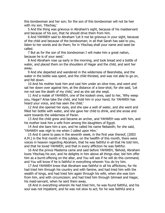this bondwoman and her son; for the son of this bondwoman will not be heir with my son, Yitschaq.'

5 And the thing was grievous in Abraham's sight, because of his maidservant and because of his son, that he should drive them from him.

6 And YAHWEH said to Abraham 'Let it not be grievous in your sight, because of the child and because of the bondwoman; in all that Sarah has said to you, listen to her words and do them; for in Yitschaq shall your name and seed be called.

7 But as for the son of this bondwoman I will make him a great nation, because he is of your seed.'

8 And Abraham rose up early in the morning, and took bread and a bottle of water, and placed them on the shoulders of Hagar and the child, and sent her away.

9 And she departed and wandered in the wilderness of Beersheba, and the water in the bottle was spent, and the child thirsted, and was not able to go on, and fell down.

10 And his mother took him and cast him under an olive tree, and went and sat her down over against him, at the distance of a bow-shot; for she said, 'Let me not see the death of my child,' and as she sat she wept.

11 And a malak of YAHWEH, one of the kodesh ones, said to her, 'Why weep you, Hagar? Arise take the child, and hold him in your hand; for YAHWEH has heard your voice, and has seen the child.'

12 And she opened her eyes, and she saw a well of water, and she went and filled her bottle with water, and she gave her child to drink, and she arose and went towards the wilderness of Paran.

13 And the child grew and became an archer, and YAHWEH was with him, and his mother took him a wife from among the daughters of Egypt.

14 And she bare him a son, and he called his name Nebaioth; for she said, 'YAHWEH was nigh to me when I called upon Him.'

15 And it came to pass in the seventh week, in the first year thereof, [2003 A.M.] in the first month in this jubilee, on the twelfth of this month, there were voices in heaven regarding Abraham, that he was faithful in all that He told him, and that he loved YAHWEH, and that in every affliction he was faithful.

16 And the prince Mastema came and said before YAHWEH, 'Behold, Abraham loves Yitschaq his son, and he delights in him above all things else; bid him offer him as a burnt-offering on the altar, and You will see if he will do this command, and You will know if he is faithful in everything wherein You do try him.

17 And YAHWEH knew that Abraham was faithful in all his afflictions; for He had tried him through his country and with famine, and had tried him with the wealth of kings, and had tried him again through his wife, when she was torn from him, and with circumcision; and had tried him through Ishmael and Hagar, his maid-servant, when he sent them away.

18 And in everything wherein He had tried him, he was found faithful, and his soul was not impatient, and he was not slow to act; for he was faithful and a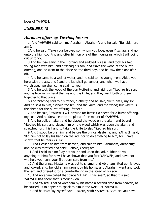lover of YAHWEH.

### *JUBILEES 18*

# *Abraham offers up Yitschaq his son*

1, And YAHWEH said to him, 'Abraham, Abraham'; and he said, 'Behold, here am I.'

2And he said, 'Take your beloved son whom you love, even Yitschaq, and go unto the high country, and offer him on one of the mountains which I will point out unto you.'

3 And he rose early in the morning and saddled his ass, and took his two young men with him, and Yitschaq his son, and clave the wood of the burnt offering, and he went to the place on the third day, and he saw the place afar off.

4 And he came to a well of water, and he said to his young men, 'Abide you here with the ass, and I and the lad shall go yonder, and when we have worshipped we shall come again to you.'

5 And he took the wood of the burnt-offering and laid it on Yitschaq his son, and he took in his hand the fire and the knife, and they went both of them together to that place.

6 And Yitschaq said to his father, 'Father;' and he said, 'Here am I, my son.' And he said to him, 'Behold the fire, and the knife, and the wood; but where is the sheep for the burnt-offering, father?'

7 And he said, ' YAHWEH will provide for himself a sheep for a burnt-offering, my son.' And he drew near to the place of the mount of YAHWEH.

8 And he built an altar, and he placed the wood on the altar, and bound Yitschaq his son, and placed him on the wood which was upon the altar, and stretched forth his hand to take the knife to slay Yitschaq his son.

9 And I stood before him, and before the prince Mastema, and YAHWEH said, 'Bid him not to lay his hand on the lad, nor to do anything to him, for I have shown that he fears YAHWEH.'

10 And I called to him from heaven, and said to him: 'Abraham, Abraham;' and he was terrified and said: 'Behold, (here) am I.'

11 And I said to him: 'Lay not your hand upon the lad, neither do you anything to him; for now I have shown that you fear YAHWEH, and have not withheld your son, your first-born son, from me.'

12 And the prince Mastema was put to shame; and Abraham lifted up his eyes and looked, and, behold a ram caught by his horns, and Abraham went and took the ram and offered it for a burnt-offering in the stead of his son.

13 And Abraham called that place 'YAHWEH has seen', so that it is said YAHWEH has seen: that is Mount Zion.

14 And YAHWEH called Abraham by his name a second time from heaven, as he caused us to appear to speak to him in the NAME of YAHWEH.

15 And he said: 'By Myself have I sworn, saith YAHWEH, Because you have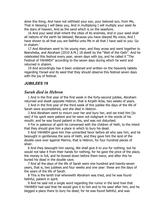done this thing, And have not withheld your son, your beloved son, from Me, That in blessing I will bless you, And in multiplying I will multiply your seed As the stars of heaven, And as the sand which is on the seashore.

16 And your seed shall inherit the cities of its enemies, And in your seed shall all nations of the earth be blessed; Because you have obeyed My voice, And I have shown to all that you are faithful unto Me in all that I have said to you: Go in shalom.'

17 And Abraham went to his young men, and they arose and went together to Beersheba, and Abraham [2010 A.M.] 18 dwelt by the "Well of the Oath". And he celebrated this festival every year, seven days with joy, and he called it "The Festival of YAHWEH" according to the seven days during which he went and returned in shalom.

19 And accordingly has it been ordained and written on the heavenly tablets regarding Yisrael and its seed that they should observe this festival seven days with the joy of festival.

### *JUBILEES 19*

# *Sarah died in Hebron*

1 And in the first year of the first week in the forty-second jubilee, Abraham returned and dwelt opposite Hebron, that is Kirjath Arba, two weeks of years.

2 And in the first year of the third week of this jubilee the days of the life of Sarah were accomplished, and she died in Hebron.

3 And Abraham went to mourn over her and bury her, and we tried him [to see] if his spirit were patient and he were not indignant in the words of his mouth; and he was found patient in this, and was not disturbed.

4 For in patience of spirit he conversed with the children of Heth, to the intent that they should give him a place in which to bury his dead.

5 And YAHWEH gave him free unmerited favor before all who saw him, and he besought in gentleness the sons of Heth, and they gave him the land of the double cave over against Mamre, that is Hebron, for four hundred pieces of silver.

6 And they besought him saying, We shall give it to you for nothing; but he would not take it from their hands for nothing, for he gave the price of the place, the money in full, and he bowed down before them twice, and after this he buried his dead in the double cave.

7 And all the days of the life of Sarah were one hundred and twenty-seven years, that is, two jubilees and four weeks and one year: these are the days of the years of the life of Sarah.

8 This is the tenth trial wherewith Abraham was tried, and he was found faithful, patient in spirit.

9 And he said not a single word regarding the rumor in the land how that YAHWEH had said that He would give it to him and to his seed after him, and he begged a place there to bury his dead; for he was found faithful, and was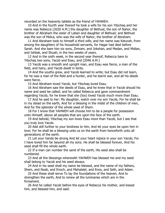recorded on the heavenly tablets as the friend of YAHWEH.

10 And in the fourth year thereof he took a wife for his son Yitschaq and her name was Rebecca [2020 A.M.] the daughter of Bethuel, the son of Nahor, the brother of Abraham the sister of Laban and daughter of Bethuel; and Bethuel was the son of Melca, who was the wife of Nahor, the brother of Abraham.

11 And Abraham took to himself a third wife, and her name was Keturah, from among the daughters of his household servants, for Hagar had died before Sarah. And she bare him six sons, Zimram, and Jokshan, and Medan, and Midian, and Ishbak, and Shuah, in the two weeks of years.

12 And in the sixth week, in the second year thereof, Rebecca bare to Yitschaq two sons, Yacob and Esau, and [2046 A.M.]

13 Yacob was a smooth and upright man, and Esau was fierce, a man of the field, and hairy, and Yacob dwelt in tents.

14 And the youths grew, and Yacob learned to write; but Esau did not learn, for he was a man of the field and a hunter, and he learnt war, and all his deeds were fierce.

15 And Abraham loved Yacob, but Yitschaq loved Esau.

16 And Abraham saw the deeds of Esau, and he knew that in Yacob should his name and seed be called; and he called Rebecca and gave commandment regarding Yacob, for he knew that she (too) loved Yacob much more than Esau.

17 And he said to her: My daughter, watch over my son Yacob, For he shall be in my stead on the earth, And for a blessing in the midst of the children of men, And for the splendor of the whole seed of Shem.

18 For I know that YAHWEH will choose him to be a people for possession unto Himself, above all peoples that are upon the face of the earth.

19 And behold, Yitschaq my son loves Esau more than Yacob, but I see that you truly love Yacob.

20 Add still further to your kindness to him, And let your eyes be upon him in love; For he shall be a blessing unto us on the earth from henceforth unto all generations of the earth.

21 Let your hands be strong And let your heart rejoice in your son Yacob; For I have loved him far beyond all my sons. He shall be blessed forever, And his seed shall fill the whole earth.

22 If a man can number the sand of the earth, His seed also shall be numbered.

23 And all the blessings wherewith YAHWEH has blessed me and my seed shall belong to Yacob and his seed always.

24 And in his seed shall my name be blessed, and the name of my fathers, Shem, and Noab, and Enoch, and Mahalalel, and Enos, and Seth, and Adam.

25 And these shall serve To lay the foundations of the heaven, And to strengthen the earth, And to renew all the luminaries which are in the firmament.

26 And he called Yacob before the eyes of Rebecca his mother, and kissed him, and blessed him, and said: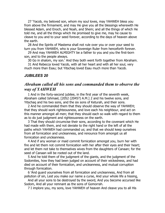27 'Yacob, my beloved son, whom my soul loves, may YAHWEH bless you from above the firmament, and may He give you all the blessings wherewith He blessed Adam, and Enoch, and Noah, and Shem; and all the things of which He told me, and all the things which He promised to give me, may he cause to cleave to you and to your seed forever, according to the days of heaven above the earth.

28 And the Spirits of Mastema shall not rule over you or over your seed to turn you from YAHWEH, who is your Sovereign Ruler from henceforth forever.

29 And may YAHWEH ALMIGHTY be a father to you and you the first-born son, and to the people always.

30 Go in shalom, my son.' And they both went forth together from Abraham.

31 And Rebecca loved Yacob, with all her heart and with all her soul, very much more than Esau; but Yitschaq loved Esau much more than Yacob.

#### *JUBILEES 20*

# *Abraham called all his sons and commanded them to observe the way of YAHWEH*

1 And in the forty-second jubilee, in the first year of the seventh week, Abraham called Ishmael, [2052 (2045?) A.M.] 2 and his twelve sons, and Yitschaq and his two sons, and the six sons of Keturah, and their sons.

2 And he commanded them that they should observe the way of YAHWEH; that they should work righteousness, and love each his neighbour, and act on this manner amongst all men; that they should each so walk with regard to them as to do just judgment and righteousness on the earth.

3 That they should circumcise their sons, according to the covenant which He had made with them, and not deviate to the right hand or the left of all the paths which YAHWEH had commanded us; and that we should keep ourselves from all fornication and uncleanness, and renounce from amongst us all fornication and uncleanness.

4 And if any woman or maid commit fornication amongst you, burn her with fire and let them not commit fornication with her after their eyes and their heart; and let them not take to themselves wives from the daughters of Canaan; for the seed of Canaan will be rooted out of the land.

5 And he told them of the judgment of the giants, and the judgment of the Sodomites, how they had been judged on account of their wickedness, and had died on account of their fornication, and uncleanness, and mutual corruption through fornication.

6 'And guard yourselves from all fornication and uncleanness, And from all pollution of sin, Lest you make our name a curse, And your whole life a hissing,

And all your sons to be destroyed by the sword, And you become accursed like Sodom, And all your remnant as the sons of Gomorrah.

7 I implore you, my sons, love YAHWEH of heaven And cleave you to all His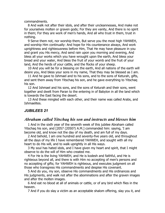commandments.

8 And walk not after their idols, and after their uncleannesses, And make not for yourselves molten or graven gods; For they are vanity, And there is no spirit in them; For they are work of men's hands, And all who trust in them, trust in nothing.

9 Serve them not, nor worship them, But serve you the most high YAHWEH, and worship Him continually: And hope for His countenance always, And work uprightness and righteousness before Him, That He may have pleasure in you and grant you His mercy, And send rain upon you morning and evening, And bless all your works which you have wrought upon the earth, And bless your bread and your water, And bless the fruit of your womb and the fruit of your land, And the herds of your cattle, and the flocks of your sheep.

10 And you will be for a blessing on the earth, And all nations of the earth will desire you, And bless your sons in my name, That they may be blessed as I am.

11 And he gave to Ishmael and to his sons, and to the sons of Keturah, gifts, and sent them away from Yitschaq his son, and he gave everything to Yitschaq his son.

12 And Ishmael and his sons, and the sons of Keturah and their sons, went together and dwelt from Paran to the entering in of Babylon in all the land which is towards the East facing the desert.

13 And these mingled with each other, and their name was called Arabs, and Ishmaelites.

### *JUBILEES 21*

### *Abraham called Yitschaq his son and instructs and blesses him*

1 And in the sixth year of the seventh week of this jubilee Abraham called Yitschaq his son, and [2057 (2050?) A.M.] commanded him: saying, 'I am become old, and know not the day of my death, and am full of my days.

2 And behold, I am one hundred and seventy-five years old, and throughout all the days of my life I have remembered YAHWEH, and sought with all my heart to do His will, and to walk uprightly in all His ways.

3 My soul has hated idols, and I have given my heart and spirit, that I might observe to do the will of Him who created me.

4 For He is the living YAHWEH, and He is kodesh and faithful, and He is righteous beyond all, and there is with Him no accepting of men's persons and no accepting of gifts; for YAHWEH is righteous, and executes judgment on all those who transgress His commandments and despise His covenant.

5 And do you, my son, observe His commandments and His ordinances and His judgments, and walk not after the abominations and after the graven images and after the molten images.

6 And eat no blood at all of animals or cattle, or of any bird which flies in the heaven.

7 And if you do slay a victim as an acceptable shalom offering, slay you it, and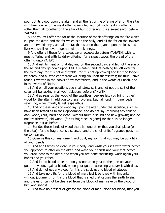pour out its blood upon the altar, and all the fat of the offering offer on the altar with fine flour and the meat offering mingled with oil, with its drink offering -offer them all together on the altar of burnt offering; it is a sweet savor before YAHWEH.

8 And you will offer the fat of the sacrifice of thank offerings on the fire which is upon the altar, and the fat which is on the belly, and all the fat on the inwards and the two kidneys, and all the fat that is upon them, and upon the loins and liver you shall remove, together with the kidneys.

9 And offer all these for a sweet savor acceptable before YAHWEH, with its meat-offering and with its drink-offering, for a sweet savor, the bread of the offering unto YAHWEH.

10 And eat its meat on that day and on the second day, and let not the sun on the second day go down upon it till it is eaten, and let nothing be left over for the third day; for it is not acceptable [for it is not approved] and let it no longer be eaten, and all who eat thereof will bring sin upon themselves; for thus I have found it written in the books of my forefathers, and in the words of Enoch, and in the words of Noah.

11 And on all your oblations you shall strew salt, and let not the salt of the covenant be lacking in all your oblations before YAHWEH.

12 And as regards the wood of the sacrifices, beware lest you bring (other) wood for the altar in addition to these: cypress, bay, almond, fir, pine, cedar, savin, fig, olive, myrrh, laurel, aspalathus.

13 And of these kinds of wood lay upon the altar under the sacrifice, such as have been tested as to their appearance, and do not lay (thereon) any split or dark wood, (but) hard and clean, without fault, a sound and new growth; and do not lay (thereon) old wood, [for its fragrance is gone] for there is no longer fragrance in it as before.

14 Besides these kinds of wood there is none other that you shall place (on the altar), for the fragrance is dispersed, and the smell of its fragrance goes not up to heaven.

15 Observe this commandment and do it, my son, that you may be upright in all your deeds.

16 And at all times be clean in your body, and wash yourself with water before you approach to offer on the altar, and wash your hands and your feet before you draw near to the altar; and when you are done sacrificing, wash again your hands and your feet.

17 And let no blood appear upon you nor upon your clothes; be on your guard, my son, against blood, be on your guard exceedingly; cover it with dust.

18 And do not eat any blood for it is the soul; eat no blood whatever.

19 And take no gifts for the blood of man, lest it be shed with impunity, without judgment; for it is the blood that is shed that causes the earth to sin, and the earth cannot be cleansed from the blood of man save by the blood of him who shed it.

20 And take no present or gift for the blood of man: blood for blood, that you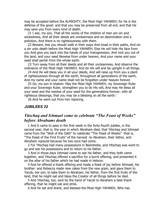may be accepted before the ALMIGHTY, the Most High YAHWEH; for He is the defense of the good: and that you may be preserved from all evil, and that He may save you from every kind of death.

21 I see, my son, That all the works of the children of men are sin and wickedness, And all their deeds are uncleanness and an abomination and a pollution, And there is no righteousness with them.

22 Beware, lest you should walk in their ways And tread in their paths, And sin a sin unto death before the Most High YAHWEH. Else He will hide His face from you And give you back into the hands of your transgression, And root you out of the land, and your seed likewise from under heaven, And your name and your seed shall perish from the whole earth.

23 Turn away from all their deeds and all their uncleanness, And observe the ordinance of the Most High YAHWEH, And do His will and be upright in all things.

24 And He will bless you in all your deeds, And will raise up from you a plant of righteousness through all the earth, throughout all generations of the earth, And my name and your name shall not be forgotten under heaven forever.

25 Go, my son in shalom. May the Most High YAHWEH, my Sovereign Ruler and your Sovereign Ruler, strengthen you to do His will, And may He bless all your seed and the residue of your seed for the generations forever, with all righteous blessings, that you may be a blessing on all the earth.'

26 And he went out from him rejoicing.

#### *JUBILEES 22*

# *Yitschaq and Ishmael come to celebrate "The Feast of Weeks" before Abrahams death*

1 And it came to pass in the first week in the forty-fourth jubilee, in the second year, that is, the year in which Abraham died, that Yitschaq and Ishmael came from the "Well of the Oath" to celebrate "The Feast of Weeks" -that is, "The Feast of the First Fruits" of the harvest -to Abraham, their father, and Abraham rejoiced because his two sons had come.

2 For Yitschaq had many possessions in Beersheba, and Yitschaq was wont to go and see his possessions and to return to his father.

3 And in those days Ishmael came to see his father, and they both came together, and Yitschaq offered a sacrifice for a burnt offering, and presented it on the altar of his father which he had made in Hebron.

4 And he offered a thank offering and made a feast of joy before Ishmael, his brother: and Rebecca made new cakes from the new grain, and gave them to Yacob, her son, to take them to Abraham, his father, from the first fruits of the land, that he might eat and bless the Creator of all things before he died.

5 And Yitschaq, too, sent by the hand of Yacob to Abraham a best thank offering, that he might eat and drink.

6 And he eat and drank, and blessed the Most High YAHWEH, Who has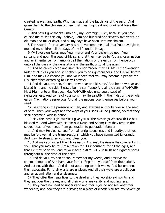created heaven and earth, Who has made all the fat things of the earth, And given them to the children of men That they might eat and drink and bless their Creator.

7 'And now I give thanks unto You, my Sovereign Ruler, because you have caused me to see this day: behold, I am one hundred and seventy five years, an old man and full of days, and all my days have been unto me shalom.

8 The sword of the adversary has not overcome me in all that You have given me and my children all the days of my life until this day.

9 My Sovereign Ruler, may Your mercy and Your shalom be upon Your servant, and upon the seed of his sons, that they may be to You a chosen nation and an inheritance from amongst all the nations of the earth from henceforth unto all the days of the generations of the earth, unto all the ages.'

10 And he called Yacob and said: 'My son Yacob, may YAHWEH the Sovereign Ruler of all bless you and strengthen you to do righteousness, and His will before Him, and may He choose you and your seed that you may become a people for His inheritance according to His will always.

11 And do you, my son, Yacob, draw near and kiss me.' And he drew near and kissed him, and he said: 'Blessed be my son Yacob And all the sons of YAHWEH Most High, unto all the ages: May YAHWEH give unto you a seed of righteousness; And some of your sons may He sanctify in the midst of the whole earth; May nations serve you, And all the nations bow themselves before your seed.

12 Be strong in the presence of men, And exercise authority over all the seed of Seth. Then your ways and the ways of your sons will be justified, So that they shall become a kodesh nation.

13 May the Most High YAHWEH give you all the blessings Wherewith He has blessed me And wherewith He blessed Noah and Adam; May they rest on the sacred head of your seed from generation to generation forever.

14 And may He cleanse you from all unrighteousness and impurity, that you may be forgiven all the transgressions; which you have committed ignorantly. And may He strengthen you, and bless you.

15 And may you inherit the whole earth, And may He renew His covenant with you. That you may be to Him a nation for His inheritance for all the ages, and that He may be to you and to your seed a ALMIGHTY in truth and righteousness throughout all the days of the earth.

16 And do you, my son Yacob, remember my words, And observe the commandments of Abraham, your father: Separate yourself from the nations, And eat not with them: And do not according to their works, And become not their associate; For their works are unclean, And all their ways are a pollution and an abomination and uncleanness.

17 They offer their sacrifices to the dead and they worship evil spirits, and they eat over the graves, and all their works are vanity and nothingness.

18 They have no heart to understand and their eyes do not see what their works are, and how they err in saying to a piece of wood: 'You are my Sovereign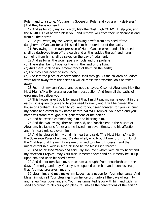Ruler,' and to a stone: 'You are my Sovereign Ruler and you are my deliverer.' [And they have no heart.]

19 And as for you, my son Yacob, May the Most High YAHWEH help you, and the ALMIGHTY of heaven bless you, and remove you from their uncleanness and from all their error.

20 Be you ware, my son Yacob, of taking a wife from any seed of the daughters of Canaan; for all his seed is to be rooted out of the earth.

21 For, owing to the transgression of Ham, Canaan erred, and all his seed shall be destroyed from off the earth and all the residue thereof, and none springing from him shall be saved on the day of judgment.

22 And as for all the worshippers of idols and the profane

(b) There shall be no hope for them in the land of the living;

(c) And there shall be no remembrance of them on the earth;

(c) For they shall descend into Sheol,

(d) And into the place of condemnation shall they go, As the children of Sodom were taken away from the earth So will all those who worship idols be taken away.

23 Fear not, my son Yacob, and be not dismayed, O son of Abraham: May the Most High YAHWEH preserve you from destruction, And from all the paths of error may he deliver you.

24 This house have I built for myself that I might put my name upon it in the earth: [it is given to you and to your seed forever], and it will be named the house of Abraham; it is given to you and to your seed forever; for you will build my house and establish my name before YAHWEH forever: your seed and your name will stand throughout all generations of the earth.'

25 And he ceased commanding him and blessing him.

26 And the two lay together on one bed, and Yacob slept in the bosom of Abraham, his father's father and he kissed him seven times, and his affection and his heart rejoiced over him.

27 And he blessed him with all his heart and said: 'The Most High YAHWEH, the Sovereign Ruler of all, and Creator of all, who brought me forth from Ur of the Chaldees that He might give me this land to inherit it forever, and that I might establish a kodesh seed-blessed be the Most High forever.'

28 And he blessed Yacob and said: 'My son, over whom with all my heart and my affection I rejoice, may Your free unmerited favor and Your mercy be lift up upon him and upon his seed always.

29 And do not forsake him, nor set him at naught from henceforth unto the days of eternity, and may Your eyes be opened upon him and upon his seed, that You may preserve him, and

30 bless him, and may make him kodesh as a nation for Your inheritance; And bless him with all Your blessings from henceforth unto all the days of eternity, and renew Your covenant and Your free unmerited favor with him and with his seed according to all Your good pleasure unto all the generations of the earth.'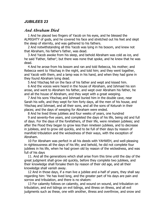### *JUBILEES 23*

### *And Abraham Died*

1 And he placed two fingers of Yacob on his eyes, and he blessed the ALMIGHTY of gods, and he covered his face and stretched out his feet and slept the sleep of eternity, and was gathered to his fathers.

2 And notwithstanding all this Yacob was lying in his bosom, and knew not that Abraham, his father's father, was dead.

3 And Yacob awoke from his sleep, and behold Abraham was cold as ice, and he said 'Father, father'; but there was none that spoke, and he knew that he was dead.

4 And he arose from his bosom and ran and told Rebecca, his mother; and Rebecca went to Yitschaq in the night, and told him; and they went together, and Yacob with them, and a lamp was in his hand, and when they had gone in they found Abraham lying dead.

5 And Yitschaq fell on the face of his father and wept and kissed him.

6 And the voices were heard in the house of Abraham, and Ishmael his son arose, and went to Abraham his father, and wept over Abraham his father, he and all the house of Abraham, and they wept with a great weeping.

7 And his sons Yitschaq and Ishmael buried him in the double cave, near Sarah his wife, and they wept for him forty days, all the men of his house, and Yitschaq and Ishmael, and all their sons, and all the sons of Keturah in their places; and the days of weeping for Abraham were ended.

8 And he lived three jubilees and four weeks of years, one hundred

9 and seventy-five years, and completed the days of his life, being old and full of days. For the days of the forefathers, of their life, were nineteen jubilees; and after the Flood they began to grow less than nineteen jubilees, and to decrease in jubilees, and to grow old quickly, and to be full of their days by reason of manifold tribulation and the wickedness of their ways, with the exception of Abraham.

10 For Abraham was perfect in all his deeds with YAHWEH, and well-pleasing in righteousness all the days of his life; and behold, he did not complete four jubilees in his life, when he had grown old by reason of the wickedness, and was full of his days

11. And all the generations which shall arise from this time until the day of the great judgment shall grow old quickly, before they complete two jubilees, and their knowledge shall forsake them by reason of their old age, and all their knowledge shall vanish away.

12 And in those days, if a man live a jubilee and a-half of years, they shall say regarding him: 'He has lived long, and the greater part of his days are pain and sorrow and tribulation, and there is no shalom:

13 For calamity follows on calamity, and wound on wound, and tribulation on tribulation, and evil tidings on evil tidings, and illness on illness, and all evil judgments such as these, one with another, illness and overthrow, and snow and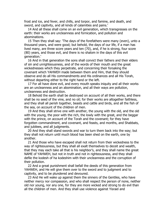frost and ice, and fever, and chills, and torpor, and famine, and death, and sword, and captivity, and all kinds of calamities and pains.'

14 And all these shall come on an evil generation, which transgresses on the earth: their works are uncleanness and fornication, and pollution and abominations.

15 Then they shall say: 'The days of the forefathers were many (even), unto a thousand years, and were good; but behold, the days of our life, if a man has lived many, are three score years and ten (70), and, if he is strong, four score (80) years, and those evil, and there is no shalom in the days of this evil generation.'

16 And in that generation the sons shall convict their fathers and their elders of sin and unrighteousness, and of the words of their mouth and the great wickednesses which they perpetrate, and concerning their forsaking the covenant which YAHWEH made between them and Him, that they should observe and do all His commandments and His ordinances and all His Torah, without departing either to the right hand or the left.

17 For all have done evil, and every mouth speaks iniquity and all their works are an uncleanness and an abomination, and all their ways are pollution, uncleanness and destruction.

18 Behold the earth shall be destroyed on account of all their works, and there shall be no seed of the vine, and no oil; for their works are altogether faithless, and they shall all perish together, beasts and cattle and birds, and all the fish of the sea, on account of the children of men.

19 And they shall strive one with another, the young with the old, and the old with the young, the poor with the rich, the lowly with the great, and the beggar with the prince, on account of the Torah and the covenant; for they have forgotten commandment, and covenant, and feasts, and months, and Shabbats, and jubilees, and all judgments.

20 And they shall stand swords and war to turn them back into the way; but they shall not return until much blood has been shed on the earth, one by another.

21 And those who have escaped shall not return from their wickedness to the way of righteousness, but they shall all exalt themselves to deceit and wealth, that they may each take all that is his neighbor's, and they shall name the great NAME of YAHWEH, but not in truth and not in righteousness, and they shall defile the kodesh of ha kodeshim with their uncleanness and the corruption of their pollution.

22 And a great punishment shall befall the deeds of this generation from YAHWEH, and He will give them over to the sword and to judgment and to captivity, and to be plundered and devoured.

23 And He will wake up against them the sinners of the Gentiles, who have neither mercy nor compassion, and who shall respect the person of none, neither old nor young, nor any one, for they are more wicked and strong to do evil than all the children of men. And they shall use violence against Yisrael and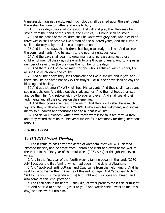transgression against Yacob, And much blood shall be shed upon the earth, And there shall be none to gather and none to bury.

24 In those days they shall cry aloud, And call and pray that they may be saved from the hand of the sinners, the Gentiles; But none shall be saved.

25 And the heads of the children shall be white with grey hair, And a child of three weeks shall appear old like a man of one hundred years, And their stature shall be destroyed by tribulation and oppression.

26 And in those days the children shall begin to study the laws, And to seek the commandments, And to return to the path of righteousness.

27 And the days shall begin to grow many and increase amongst those children of men till their days draw nigh to one thousand years. And to a greater number of years than (before) was the number of the days.

28 And there shall be no old man Nor one who is satisfied with his days, For all shall be as children and youths.

29 And all their days they shall complete and live in shalom and in joy, And there shall be no Satan nor any evil destroyer; For all their days shall be days of blessing and healing.

30 And at that time YAHWEH will heal His servants, And they shall rise up and see great shalom, And drive out their adversaries. And the righteous shall see and be thankful, And rejoice with joy forever and ever, And shall see all their judgments and all their curses on their enemies.

31 And their bones shall rest in the earth, And their spirits shall have much joy, And they shall know that it is YAHWEH who executes judgment, And shows mercy to hundreds and thousands and to all that love Him

32 And do you, Mosheh, write down these words; for thus are they written, and they record them on the heavenly tablets for a testimony for the generations forever.

#### *JUBILEES 24*

# *YAHWEH blessed Yitschaq*

1 And it came to pass after the death of Abraham, that YAHWEH blessed Yitschaq his son, and he arose from Hebron and went and dwelt at the Well of the Vision in the first year of the third week [2073 A.M.] of this jubilee, seven years.

2 And in the first year of the fourth week a famine began in the land, [2080 A.M.] besides the first famine, which had been in the days of Abraham.

3 And Yacob sod lentil pottage, and Esau came from the field hungry. And he said to Yacob his brother: 'Give me of this red pottage.' And Yacob said to him: 'Sell to me your [primogeniture, this] birthright and I will give you bread, and also some of this lentil pottage.'

4 And Esau said in his heart: 'I shall die; of what profit to me is this birthright?

5 'And he said to Yacob: 'I give it to you.' And Yacob said: 'Swear to me, this day,' and he swore unto him.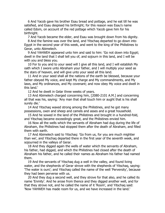6 And Yacob gave his brother Esau bread and pottage, and he eat till he was satisfied, and Esau despised his birthright; for this reason was Esau's name called Edom, on account of the red pottage which Yacob gave him for his birthright.

7 And Yacob became the elder, and Esau was brought down from his dignity.

8 And the famine was over the land, and Yitschaq departed to go down into Egypt in the second year of this week, and went to the king of the Philistines to Gerar, unto Abimelech.

9 And YAHWEH appeared unto him and said to him: 'Go not down into Egypt; dwell in the land that I shall tell you of, and sojourn in this land, and I will be with you and bless you.

10 For to you and to your seed will I give all this land, and I will establish My oath which I swore unto Abraham your father, and I will multiply your seed as the stars of heaven, and will give unto your seed all this land.

11 And in your seed shall all the nations of the earth be blessed, because your father obeyed My voice, and kept My charge and My commandments, and My laws, and My ordinances, and My covenant; and now obey My voice and dwell in this land.'

12 And he dwelt in Gelar three weeks of years.

13 And Abimelech charged concerning him, [2080-2101 A.M.] and concerning all that was his, saying: 'Any man that shall touch him or aught that is his shall surely die.'

14 And Yitschaq waxed strong among the Philistines, and he got many possessions, oxen and sheep and camels and asses and a great household.

15 And he sowed in the land of the Philistines and brought in a hundred-fold, and Yitschaq became exceedingly great, and the Philistines envied him.

16 Now all the wells which the servants of Abraham had dug during the life of Abraham, the Philistines had stopped them after the death of Abraham, and filled them with earth.

17 And Abimelech said to Yitschaq: 'Go from us, for you are much mightier than we', and Yitschaq departed there in the first year of the seventh week, and sojourned in the valleys of Gerar.

18 And they digged again the wells of water which the servants of Abraham, his father, had digged, and which the Philistines had closed after the death of Abraham his father, and he called their names as Abraham his father had named them.

19 And the servants of Yitschaq dug a well in the valley, and found living water, and the shepherds of Gerar strove with the shepherds of Yitschaq, saying: 'The water is ours'; and Yitschaq called the name of the well 'Perversity', because they had been perverse with us.

20 And they dug a second well, and they strove for that also, and he called its name 'Enmity'. And he arose from thence and they digged another well, and for that they strove not, and he called the name of it 'Room', and Yitschaq said: 'Now YAHWEH has made room for us, and we have increased in the land.'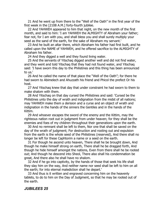21 And he went up from there to the "Well of the Oath" in the first year of the first week in the [2108 A.M.] forty-fourth jubilee.

22 And YAHWEH appeared to him that night, on the new month of the first month, and said to him: 'I am YAHWEH the ALMIGHTY of Abraham your father; fear not, for I am with you, and shall bless you and shall surely multiply your seed as the sand of the earth, for the sake of Abraham my servant.'

23 And he built an altar there, which Abraham his father had first built, and he called upon the NAME of YAHWEH, and he offered sacrifice to the ALMIGHTY of Abraham his father.

24 And they digged a well and they found living water.

25 And the servants of Yitschaq digged another well and did not find water, and they went and told Yitschaq that they had not found water, and Yitschaq said: 'I have sworn this day to the Philistines and this thing has been announced to us.'

26 And he called the name of that place the "Well of the Oath"; for there he had sworn to Abimelech and Ahuzzath his friend and Phicol the prefect Or his host.

27 And Yitschaq knew that day that under constraint he had sworn to them to make shalom with them.

28 And Yitschaq on that day cursed the Philistines and said: 'Cursed be the Philistines unto the day of wrath and indignation from the midst of all nations; may YAHWEH make them a derision and a curse and an object of wrath and indignation in the hands of the sinners the Gentiles and in the hands of the Kittim.

29 And whoever escapes the sword of the enemy and the Kittim, may the righteous nation root out in judgment from under heaven; for they shall be the enemies and foes of my children throughout their generations upon the earth.

30 And no remnant shall be left to them, Nor one that shall be saved on the day of the wrath of judgment; For destruction and rooting out and expulsion from the earth is the whole seed of the Philistines (reserved), And there shall no longer be left for these Caphtorim a name or a seed on the earth.

31 For though he ascend unto heaven, There shall he be brought down, And though he make himself strong on earth, There shall he be dragged forth, And though he hide himself amongst the nations, Even from there shall he be rooted out; And though he descend into Sheol, There also shall his condemnation be great, And there also he shall have no shalom.

32 And if he go into captivity, by the hands of those that seek his life shall they slay him on the way, And neither name nor seed shall be left to him on all the earth; for into eternal malediction shall he depart.'

33 And thus is it written and engraved concerning him on the heavenly tablets, to do to him on the Day of Judgment, so that he may be rooted out of the earth.

#### *JUBILEES 25*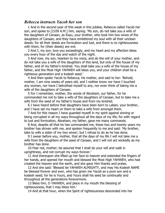### *Rebecca instructs Yacob her son*

1 And in the second year of this week in this jubilee, Rebecca called Yacob her son, and spoke to [2109 A.M.] him, saying: 'My son, do not take you a wife of the daughters of Canaan, as Esau, your brother, who took him two wives of the daughters of Canaan, and they have embittered my soul with all their unclean deeds: for all their deeds are fornication and lust, and there is no righteousness with them, for (their deeds) are evil.

2 And I, my son, love you exceedingly, and my heart and my affection bless you every hour of the day and watch of the night.

3 And now, my son, hearken to my voice, and do the will of your mother, and do not take you a wife of the daughters of this land, but only of the house of my father, and of my father's kindred. You shall take you a wife of the house of my father, and the Most High YAHWEH will bless you, and your children shall be a righteous generation and a kodesh seed.'

4 And then spoke Yacob to Rebecca, his mother, and said to her: 'Behold, mother, I am nine weeks of years old, and I neither know nor have I touched any woman, nor have I betrothed myself to any, nor even think of taking me a wife of the daughters of Canaan.

5 For I remember, mother, the words of Abraham, our father, for he commanded me not to take a wife of the daughters of Canaan, but to take me a wife from the seed of my father's house and from my kindred.

6 I have heard before that daughters have been born to Laban, your brother, and I have set my heart on them to take a wife from amongst them.

7 And for this reason I have guarded myself in my spirit against sinning or being corrupted in all my ways throughout all the days of my life; for with regard to lust and fornication, Abraham, my father, gave me many commands.

8 And, despite all that he has commanded me, these two and twenty years my brother has striven with me, and spoken frequently to me and said: 'My brother, take to wife a sister of my two wives'; but I refuse to do as he has done.

9 I swear before you, mother, that all the days of my life I will not take me a wife from the daughters of the seed of Canaan, and I will not act wickedly as my brother has done.

10 Fear not, mother; be assured that I shall do your will and walk in uprightness, and not corrupt my ways forever.'

11 And thereupon she lifted up her face to heaven and extended the fingers of her hands, and opened her mouth and blessed the Most High YAHWEH, who had created the heaven and the earth, and she gave Him thanks and praise.

12 And she said: 'Blessed be YAHWEH ALMIGHTY, and may His Kodesh NAME be blessed forever and ever, who has given me Yacob as a pure son and a kodesh seed; for he is Yours, and Yours shall his seed be continually and throughout all the generations forevermore.

13 Bless him, O YAHWEH, and place in my mouth the blessing of righteousness, that I may bless him.'

14 And at that hour, when the Spirit of righteousness descended into her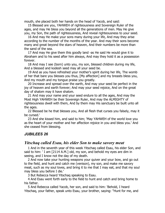mouth, she placed both her hands on the head of Yacob, and said:

15 Blessed are you, YAHWEH of righteousness and Sovereign Ruler of the ages, and may He bless you beyond all the generations of men. May He give you, my Son, the path of righteousness, And reveal righteousness to your seed.

16 And may He make your sons many during your life, And may they arise according to the number of the months of the year. And may their sons become many and great beyond the stars of heaven, And their numbers be more than the sand of the sea.

17 And may He give them this goodly land -as He said He would give it to Abraham and to his seed after him always, And may they hold it as a possession forever.

18 And may I see (born) unto you, my son, blessed children during my life, And a blessed and kodesh seed may all your seed be.

19 And as you have refreshed your mother's spirit during her life, The womb of her that bare you blesses you thus, [My affection] and my breasts bless you, And my mouth and my tongue praise you greatly.

20 Increase and spread over the earth, And may your seed be perfect in the joy of heaven and earth forever; And may your seed rejoice, And on the great day of shalom may it have shalom.

21 And may your name and your seed endure to all the ages, And may the Most High YAHWEH be their Sovereign Ruler, And may the ALMIGHTY of righteousness dwell with them, And by them may His sanctuary be built unto all the ages.

22 Blessed be he that blesses you, And all flesh that curses you falsely, may it be cursed.'

23 And she kissed him, and said to him; 'May YAHWEH of the world love you as the heart of your mother and her affection rejoice in you and bless you.' And she ceased from blessing.

### *JUBILEES 26*

### *Yitschaq called Esau, his elder Son to make savory meat*

1 And in the seventh year of this week Yitschaq called Esau, his elder Son, and said to him: ' I am [2114 A.M.] old, my son, and behold my eyes are dim in seeing, and I know not the day of my death.

2 And now take your hunting weapons your quiver and your bow, and go out to the field, and hunt and catch me (venison), my son, and make me savory meat, such as my soul loves, and bring it to me that I may eat, and that my soul may bless you before I die.'

3 But Rebecca heard Yitschaq speaking to Esau.

4 And Esau went forth early to the field to hunt and catch and bring home to his father.

5 And Rebecca called Yacob, her son, and said to him: 'Behold, I heard Yitschaq, your father, speak unto Esau, your brother, saying: "Hunt for me, and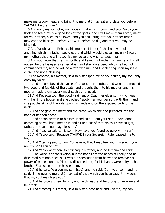make me savory meat, and bring it to me that I may eat and bless you before YAHWEH before I die."

6 And now, my son, obey my voice in that which I command you: Go to your flock and fetch me two good kids of the goats, and I will make them savory meat for your father, such as he loves, and you shall bring it to your father that he may eat and bless you before YAHWEH before he die, and that you may be blessed.'

7 And Yacob said to Rebecca his mother: 'Mother, I shall not withhold anything which my father would eat, and which would please him: only I fear, my mother, that he will recognise my voice and wish to touch me.

8 And you know that I am smooth, and Esau, my brother, is hairy, and I shall appear before his eyes as an evildoer, and shall do a deed which he had not commanded me, and he will be wroth with me, and I shall bring upon myself a curse, and not a blessing.'

9 And Rebecca, his mother, said to him: 'Upon me be your curse, my son, only obey my voice.'

10 And Yacob obeyed the voice of Rebecca, his mother, and went and fetched two good and fat kids of the goats, and brought them to his mother, and his mother made them savory meat such as he loved.

11 And Rebecca took the goodly raiment of Esau, her elder son, which was with her in the house, and she clothed Yacob, her younger son, with them, and she put the skins of the kids upon his hands and on the exposed parts of his neck.

12 And she gave the meat and the bread which she had prepared into the hand of her son Yacob.

13 And Yacob went in to his father and said: 'I am your son: I have done according as you bade me: arise and sit and eat of that which I have caught, father, that your soul may bless me.'

14 And Yitschaq said to his son: 'How have you found so quickly, my son?'

15 And Yacob said: 'Because (YAHWEH your Sovereign Ruler caused me to find.'

16 And Yitschaq said to him: Come near, that I may feel you, my son, if you are my son Esau or not.'

17 And Yacob went near to Yitschaq, his father, and he felt him and said:

18 'The voice is Yacob's voice, but the hands are the hands of Esau,' and he discerned him not, because it was a dispensation from heaven to remove his power of perception and Yitschaq discerned not, for his hands were hairy as his brother Esau's, so that he blessed him.

19 And he said: 'Are you my son Esau?' and he said: 'I am your son': and he said, 'Bring near to me that I may eat of that which you have caught, my son, that my soul may bless you.'

20 And he brought near to him, and he did eat, and he brought him wine and he drank.

21 And Yitschaq, his father, said to him: 'Come near and kiss me, my son.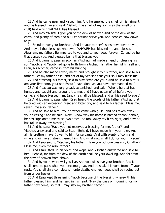22 And he came near and kissed him. And he smelled the smell of his raiment, and he blessed him and said: 'Behold, the smell of my son is as the smell of a (full) field which YAHWEH has blessed.

23 And may YAHWEH give you of the dew of heaven And of the dew of the earth, and plenty of corn and oil: Let nations serve you, And peoples bow down to you.

24 Be ruler over your brethren, And let your mother's sons bow down to you; And may all the blessings wherewith YAHWEH has blessed me and blessed Abraham, my father; Be imparted to you and to your seed forever: Cursed be he that curses you, And blessed be he that blesses you.'

25 And it came to pass as soon as Yitschaq had made an end of blessing his son Yacob, and Yacob had gone forth from Yitschaq his father he hid himself and Esau, his brother, came in from his hunting.

26 And he also made savory meat, and brought it to his father, and said to his father: 'Let my father arise, and eat of my venison that your soul may bless me.'

27 And Yitschaq, his father, said to him: 'Who are you? 'And he said to him: 'I am your first born, your son Esau: I have done as you have commanded me.'

28 And Yitschaq was very greatly astonished, and said: 'Who is he that has hunted and caught and brought it to me, and I have eaten of all before you came, and have blessed him: (and) he shall be blessed, and all his seed forever.'

29 And it came to pass when Esau heard the words of his father Yitschaq that he cried with an exceeding great and bitter cry, and said to his father: 'Bless me, (even) me also, father.'

30 And he said to him: 'Your brother came with guile, and has taken away your blessing.' And he said: 'Now I know why his name is named Yacob: behold, he has supplanted me these two times: he took away my birth-right, and now he has taken away my blessing.'

31 And he said: 'Have you not reserved a blessing for me, father?' and Yitschaq answered and said to Esau: 'Behold, I have made him your ruler, And all his brethren have I given to him for servants, And with plenty of corn and wine and oil have I strengthened him: And what now shall I do for you, my son?'

32 And Esau said to Yitschaq, his father: 'Have you but one blessing, O father? Bless me, even me also, father.'

33 And Esau lifted up his voice and wept. And Yitschaq answered and said to him: 'Behold, far from the dew of the earth shall be your dwelling, And far from the dew of heaven from above.

34 And by your sword will you live, And you will serve your brother. And it shall come to pass when you become great, And do shake his yoke from off your neck, You shall sin a complete sin unto death, And your seed shall be rooted out from under heaven.'

35 And Esau kept threatening Yacob because of the blessing wherewith his father blessed him, and he: said in his heart: 'May the days of mourning for my father now come, so that I may slay my brother Yacob.'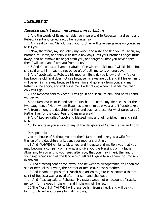# *JUBILEES 27*

# *Rebecca calls Yacob and sends him to Laban*

1 And the words of Esau, her elder son, were told to Rebecca in a dream, and Rebecca sent and called Yacob her younger son,

2 And said to him: 'Behold Esau your brother will take vengeance on you so as to kill you.

3 Now, therefore, my son, obey my voice, and arise and flee you to Laban, my brother, to Haran, and tarry with him a few days until your brother's anger turns away, and he remove his anger from you, and forget all that you have done; then I will send and fetch you from there.'

4,5 And Yacob said: 'I am not afraid; if he wishes to kill me, I will kill him.' But she said unto him: 'Let me not be bereft of both my sons on one day.'

6 And Yacob said to Rebecca his mother: 'Behold, you know that my father has become old, and does not see because his eyes are dull, and if I leave him it will be evil in his eyes, because I leave him and go away from you, and my father will be angry, and will curse me. I will not go; when he sends me, then only will I go.'

7 And Rebecca said to Yacob: 'I will go in and speak to him, and he will send you away.'

8 And Rebecca went in and said to Yitschaq: 'I loathe my life because of the two daughters of Heth, whom Esau has taken him as wives; and if Yacob take a wife from among the daughters of the land such as these, for what purpose do I further live, for the daughters of Canaan are evil.'

9 And Yitschaq called Yacob and blessed him, and admonished him and said to him:

10 'Do not take you a wife of any of the daughters of Canaan; arise and go to

#### Mesopotamia

, to the house of Bethuel, your mother's father, and take you a wife from thence of the daughters of Laban, your mother's brother.

11 And YAHWEH Almighty bless you and increase and multiply you that you may become a company of nations, and give you the blessings of my father Abraham, to you and to your seed after you, that you may inherit the land of your sojournings and all the land which YAHWEH gave to Abraham: go, my son, in shalom.'

12 And Yitschaq sent Yacob away, and he went to Mesopotamia, to Laban the son of Bethuel the Syrian, the brother of Rebecca, Yacob's mother.

13 And it came to pass after Yacob had arisen to go to Mesopotamia that the spirit of Rebecca was grieved after her son, and she wept.

14 And Yitschaq said to Rebecca: 'My sister, weep not on account of Yacob, my son; for he goes in shalom, and in shalom will he return.

15 The Most High YAHWEH will preserve him from all evil, and will be with him; for He will not forsake him all his days;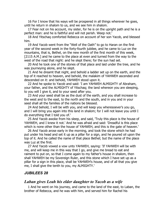16 For I know that his ways will be prospered in all things wherever he goes, until he return in shalom to us, and we see him in shalom.

17 Fear not on his account, my sister, for he is on the upright path and he is a perfect man: and he is faithful and will not perish. Weep not.'

18 And Yitschaq comforted Rebecca on account of her son Yacob, and blessed him.

19 And Yacob went from the "Well of the Oath" to go to Haran on the first year of the second week in the forty-fourth jubilee, and he came to Luz on the mountains, that is, Bethel, on the new month of the first month of this week, [2115 A.M.] and he came to the place at even and turned from the way to the west of the road that night: and he slept there; for the sun had set.

20 And he took one of the stones of that place and laid under the tree, and he was journeying alone, and he slept.

21 And he dreamt that night, and behold a ladder set up on the earth, and the top of it reached to heaven, and behold, the malakim of YAHWEH ascended and descended on it: and behold, YAHWEH stood upon it.

22 And he spoke to Yacob and said: 'I am YAHWEH ALMIGHTY of Abraham, your father, and the ALMIGHTY of Yitschaq; the land whereon you are sleeping, to you will I give it, and to your seed after you.

23 And your seed shall be as the dust of the earth, and you shall increase to the west and to the east, to the north and the south, and in you and in your seed shall all the families of the nations be blessed.

24 And behold, I will be with you, and will keep you wheresoever's you go, and I will bring you again into this land in shalom; for I will not leave you until I do everything that I told you of.'

25 And Yacob awoke from his sleep, and said, 'Truly this place is the house of YAHWEH, and I knew it not.' And he was afraid and said: 'Dreadful is this place which is none other than the house of YAHWEH, and this is the gate of heaven.'

26 And Yacob arose early in the morning, and took the stone which he had put under his head and set it up as a pillar for a sign, and he poured oil upon the top of it. And he called the name of that place Bethel; but the name of the place was Luz at the first.

27 And Yacob vowed a vow unto YAHWEH, saying: 'If YAHWEH will be with me, and will keep me in this way that I go, and give me bread to eat and raiment to put on, so that I come again to my father's house in shalom, then shall YAHWEH be my Sovereign Ruler, and this stone which I have set up as a pillar for a sign in this place, shall be YAHWEH's house, and of all that you give me, I shall give the tenth to you, my ALMIGHTY.'

#### *JUBILEES 28*

#### *Laban gives Leah his elder daughter to Yacob as a wife*

1 And he went on his journey, and came to the land of the east, to Laban, the brother of Rebecca, and he was with him, and served him for Rachel his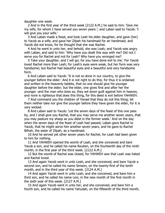daughter one week.

2 And in the first year of the third week [2122 A.M.] he said to him: 'Give me my wife, for whom I have served you seven years '; and Laban said to Yacob: 'I will give you your wife.'

3 And Laban made a feast, and took Leah his elder daughter, and gave (her) to Yacob as a wife, and gave her Zilpah his handmaid for an handmaid; and Yacob did not know, for he thought that she was Rachel.

4 And he went in unto her, and behold, she was Leah; and Yacob was angry with Laban, and said to him: 'Why have you dealt this way with me? Did not I serve you for Rachel and not for Leah? Why have you wronged me?

5 Take your daughter, and I will go; for you have done evil to me.' For Yacob loved Rachel more than Leah; for Leah's eyes were weak, but her form was very handsome; but Rachel had beautiful eyes and a beautiful and very handsome form.

6 And Laban said to Yacob: 'It is not so done in our country, to give the younger before the elder.' And it is not right to do this; for thus it is ordained and written in the heavenly tablets, that no one should give his younger daughter before the elder; but the elder, one gives first and after her the younger -and the man who does so, they set down guilt against him in heaven, and none is righteous that does this thing, for this deed is evil before YAHWEH.

7 And command you the children of Yisrael that they do not this thing; let them neither take nor give the younger before they have given the elder, for it is very wicked.

8 And Laban said to Yacob: 'Let the seven days of the feast of this one pass by, and I shall give you Rachel, that you may serve me another seven years, that you may pasture my sheep as you didst in the former week.' And on the day when the seven days of the feast of Leah had passed, Laban gave Rachel to Yacob, that he might serve him another seven years, and he gave to Rachel Bilhah, the sister of Zilpah, as a handmaid.

10 And he served yet other seven years for Rachel, for Leah had been given to him for nothing.

11 And YAHWEH opened the womb of Leah, and she conceived and bare Yacob a son, and he called his name Reuben, on the fourteenth day of the ninth month, in the first year of the third week. [2122 A.M.]

12 But the womb of Rachel was closed, for YAHWEH saw that Leah was hated and Rachel loved.

13 And again Yacob went in unto Leah, and she conceived, and bare Yacob a second son, and he called his name Simeon, on the twenty-first of the tenth month, and in the third year of this week. [2124 A.M.]

14 And again Yacob went in unto Leah, and she conceived, and bare him a third son, and he called his name Levi, in the new month of the first month in the sixth year of this week. [2127 A.M.]

15 And again Yacob went in unto her, and she conceived, and bare him a fourth son, and he called his name Yahudah, on the fifteenth of the third month,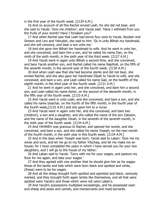in the first year of the fourth week. [2129 A.M.]

16 And on account of all this Rachel envied Leah, for she did not bear, and she said to Yacob: 'Give me children'; and Yacob said: 'Have I withheld from you the fruits of your womb? Have I forsaken you?'

17 And when Rachel saw that Leah had borne four sons to Yacob, Reuben and Simeon and Levi and Yahudah, she said to him: 'Go in unto Bilhah my handmaid, and she will conceive, and bear a son unto me.'

18 And she gave him Bilhah her handmaid to wife. And he went in unto her, and she conceived, and bare him a son, and he called his name Dan, on the ninth of the sixth month, in the sixth year of the third week. [2127 A.M.]

19 And Yacob went in again unto Bilhah a second time, and she conceived, and bare Yacob another son, and Rachel called his name Napthali, on the fifth of the seventh month, in the second year of the fourth week. [2130 A.M.]

20 And when Leah saw that she had become sterile and did not bear, she envied Rachel, and she also gave her handmaid Zilpah to Yacob to wife, and she conceived, and bare a son, and Leah called his name Gad, on the twelfth of the eighth month, in the third year of the fourth week. [2131 A.M.]

21 And he went in again unto her, and she conceived, and bare him a second son, and Leah called his name Asher, on the second of the eleventh month, in the fifth year of the fourth week. [2133 A.M.]

22 And Yacob went in unto Leah, and she conceived, and bare a son, and she called his name Issachar, on the fourth of the fifth month, in the fourth year of the fourth week,[2132 A.M.] and she gave him to a nurse.

23 And Yacob went in again unto her, and she conceived, and bare two (children), a son and a daughter, and she called the name of the son Zabulon, and the name of the daughter Dinah, in the seventh of the seventh month, in the sixth year of the fourth week. [2134 A.M.]

24 And YAHWEH was gracious to Rachel, and opened her womb, and she conceived, and bare a son, and she called his name Yoseph, on the new month of the fourth month, in the sixth year in this fourth week. [2134 A.M.]

25 And in the days when Yoseph was born, Yacob said to Laban: 'Give me my wives and sons, and let me go to my father Yitschaq, and let me make me an house; for I have completed the years in which I have served you for your two daughters, and I will go to the house of my father.'

26 And Laban said to Yacob: 'Tarry with me for your wages, and pasture my flock for me again, and take your wages.'

27 And they agreed with one another that he should give him as his wages those of the lambs and kids which were born black and spotted and white, (these) were to be his wages.

28 And all the sheep brought forth spotted and speckled and black, variously marked, and they brought forth again lambs like themselves, and all that were spotted were Yacob's and those which were not were Laban's.

29 And Yacob's possessions multiplied exceedingly, and he possessed oxen and sheep and asses and camels, and menservants and maid-servants.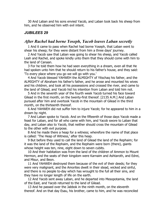30 And Laban and his sons envied Yacob, and Laban took back his sheep from him, and he observed him with evil intent.

#### *JUBILEES 29*

#### *After Rachel had borne Yoseph, Yacob leaves Laban secretly*

1 And it came to pass when Rachel had borne Yoseph, that Laban went to shear his sheep; for they were distant from him a three days' journey.

2 And Yacob saw that Laban was going to shear his sheep, and Yacob called Leah and Rachel, and spoke kindly unto them that they should come with him to the land of Canaan.

3 For he told them how he had seen everything in a dream, even all that He had spoken unto him that he should return to his father's house, and they said: 'To every place where you go we will go with you.'

4 And Yacob blessed YAHWEH the ALMIGHTY of Yitschaq his father, and the ALMIGHTY of Abraham his father's father, and he arose and mounted his wives and his children, and took all his possessions and crossed the river, and came to the land of Gilead, and Yacob hid his intention from Laban and told him not.

5 And in the seventh year of the fourth week Yacob turned his face toward Gilead in the first month, on the twenty-first thereof. [2135 A.M.] And Laban pursued after him and overtook Yacob in the mountain of Gilead in the third month, on the thirteenth thereof.

6 And YAHWEH did not suffer him to injure Yacob; for he appeared to him in a dream by night.

7 And Laban spoke to Yacob. And on the fifteenth of those days Yacob made a feast for Laban, and for all who came with him, and Yacob swore to Laban that day, and Laban also to Yacob, that neither should cross the mountain of Gilead to the other with evil purpose.

8 And he made there a heap for a witness; wherefore the name of that place is called: 'The Heap of Witness,' after this heap.

9 But before they used to call the land of Gilead the land of the Rephaim; for it was the land of the Rephaim, and the Rephaim were born (there), giants whose height was ten, nine, eight down to seven cubits.

10 And their habitation was from the land of the children of Ammon to Mount Hermon, and the seats of their kingdom were Karnaim and Ashtaroth, and Edrei, and Misur, and Beon.

11 And YAHWEH destroyed them because of the evil of their deeds; for they were very malignant, and the Amorites dwelt in their stead, wicked and sinful, and there is no people to-day which has wrought to the full all their sins, and they have no longer length of life on the earth.

12 And Yacob sent away Laban, and he departed into Mesopotamia, the land of the East, and Yacob returned to the land of Gilead.

13 And he passed over the Jabbok in the ninth month, on the eleventh thereof. And on that day Esau, his brother, came to him, and he was reconciled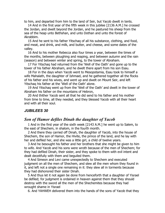to him, and departed from him to the land of Seir, but Yacob dwelt in tents.

14 And in the first year of the fifth week in this jubilee [2136 A.M.] he crossed the Jordan, and dwelt beyond the Jordan, and he pastured his sheep from the sea of the heap unto Bethshan, and unto Dothan and unto the forest of Akrabbim.

15 And he sent to his father Yitschaq of all his substance, clothing, and food, and meat, and drink, and milk, and butter, and cheese, and some dates of the valley.

16 And to his mother Rebecca also four times a year, between the times of the months, between ploughing and reaping, and between autumn and the rain (season) and between winter and spring, to the tower of Abraham.

17 For Yitschaq had returned from the 'Well of the Oath' and gone up to the tower of his father Abraham, and he dwelt there apart from his son Esau.

18 For in the days when Yacob went to Mesopotamia, Esau took to himself a wife Mahalath, the daughter of Ishmael, and he gathered together all the flocks of his father and his wives, and went up and dwelt on Mount Seir, and left Yitschaq his father at the 'Well of the Oath' alone.

19 And Yitschaq went up from the 'Well of the Oath' and dwelt in the tower of Abraham his father on the mountains of Hebron,

20 And thither Yacob sent all that he did send to his father and his mother from time to time, all they needed, and they blessed Yacob with all their heart and with all their soul.

# *JUBILEES 30*

# *Son of Hamor defiles Dinah the daughter of Yacob*

1 And in the first year of the sixth week [2143 A.M.] he went up to Salem, to the east of Shechem, in shalom, in the fourth month.

2 And there they carried off Dinah, the daughter of Yacob, into the house of Shechem, the son of Hamor, the Hivite, the prince of the land, and he lay with her and defiled her, and she was a little girl, a child of twelve years.

3 And he besought his father and her brothers that she might be given to him to wife. And Yacob and his sons were wroth because of the men of Shechem; for they had defiled Dinah, their sister, and they spoke to them with evil intent and dealt deceitfully with them and beguiled them.

4 And Simeon and Levi came unexpectedly to Shechem and executed judgment on all the men of Shechem, and slew all the men whom they found in it, and left not a single one remaining in it: they slew all in torments because they had dishonored their sister Dinah.

5 And thus let it not again be done from henceforth that a daughter of Yisrael be defiled; for judgment is ordained in heaven against them that they should destroy with the sword all the men of the Shechemites because they had wrought shame in Yisrael

6. And YAHWEH delivered them into the hands of the sons of Yacob that they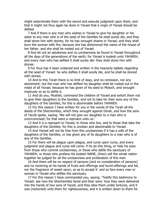might exterminate them with the sword and execute judgment upon them, and that it might not thus again be done in Yisrael that a virgin of Yisrael should be defiled.

7 And if there is any man who wishes in Yisrael to give his daughter or his sister to any man who is of the seed of the Gentiles he shall surely die, and they shall stone him with stones; for he has wrought shame in Yisrael; and they shall burn the woman with fire, because she has dishonored the name of the house of her father, and she shall be rooted out of Yisrael.

8 And let not an adulteress and no uncleanness be found in Yisrael throughout all the days of the generations of the earth; for Yisrael is kodesh unto YAHWEH, and every man who has defiled it shall surely die: they shall stone him with stones.

9 For thus has it been ordained and written in the heavenly tablets regarding all the seed of Yisrael: he who defiles it shall surely die, and he shall be stoned with stones.

10 And to this Torah there is no limit of days, and no remission, nor any atonement: but the man who has defiled his daughter shall be rooted out in the midst of all Yisrael, because he has given of his seed to Moloch, and wrought impiously so as to defile it.

11 And do you, Mosheh, command the children of Yisrael and exhort them not to give their daughters to the Gentiles, and not to take for their sons any of the daughters of the Gentiles, for this is abominable before YAHWEH.

12 For this reason I have written for you in the words of the Torah all the deeds of the Shechemites, which they wrought against Dinah, and how the sons of Yacob spoke, saying: 'We will not give our daughter to a man who is uncircumcised; for that were a reproach unto us.'

13 And it is a reproach to Yisrael, to those who live, and to those that take the daughters of the Gentiles; for this is unclean and abominable to Yisrael.

14 And Yisrael will not be free from this uncleanness if it has a wife of the daughters of the Gentiles, or has given any of its daughters to a man who is of any of the Gentiles.

15 For there will be plague upon plague, and curse upon curse, and every judgment and plague and curse will come: if he do this thing, or hide his eyes from those who commit uncleanness, or those who defile the sanctuary of YAHWEH, or those who profane His kodesh NAME, (then) will the whole nation together be judged for all the uncleanness and profanation of this man.

16 And there will be no respect of persons [and no consideration of persons] and no receiving at his hands of fruits and offerings and burnt-offerings and fat, nor the fragrance of sweet savor, so as to accept it: and so fare every man or woman in Yisrael who defiles the sanctuary.

17 For this reason I have commanded you, saying: 'Testify this testimony to Yisrael: see how the Shechemites fared and their sons: how they were delivered into the hands of two sons of Yacob, and they slew them under tortures, and it was (reckoned) unto them for righteousness, and it is written down to them for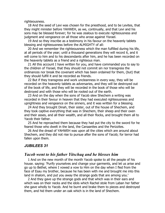righteousness.

18 And the seed of Levi was chosen for the priesthood, and to be Levites, that they might minister before YAHWEH, as we, continually, and that Levi and his sons may be blessed forever; for he was zealous to execute righteousness and judgment and vengeance on all those who arose against Yisrael.

19 And so they inscribe as a testimony in his favour on the heavenly tablets blessing and righteousness before the ALMIGHTY of all:

20 And we remember the righteousness which the man fulfilled during his life, at all periods of the year; until a thousand generations they will record it, and it will come to him and to his descendants after him, and he has been recorded on the heavenly tablets as a friend and a righteous man.

21 All this account I have written for you, and have commanded you to say to the children of Yisrael, that they should not commit sin nor transgress the ordinances nor break the covenant which has been ordained for them, (but) that they should fulfill it and be recorded as friends.

22 But if they transgress and work uncleanness in every way, they will be recorded on the heavenly tablets as adversaries, and they will be destroyed out of the book of life, and they will be recorded in the book of those who will be destroyed and with those who will be rooted out of the earth.

23 And on the day when the sons of Yacob slew Shechem a writing was recorded in their favour in heaven that they had executed righteousness and uprightness and vengeance on the sinners, and it was written for a blessing.

24 And they brought Dinah, their sister, out of the house of Shechem, and they took captive everything that was in Shechem, their sheep and their oxen and their asses, and all their wealth, and all their flocks, and brought them all to Yacob their father.

25 And he reproached them because they had put the city to the sword for he feared those who dwelt in the land, the Canaanites and the Perizzites.

26 And the dread of YAHWEH was upon all the cities which are around about Shechem, and they did not rise to pursue after the sons of Yacob; for terror had fallen upon them.

#### *JUBILEES 31*

# *Yacob went to his father Yitschaq and he blesses him*

1 And on the new month of the month Yacob spoke to all the people of his house. saying: 'Purify yourselves and change your garments, and let us arise and go up to Bethel, where I vowed a vow to Him on the day when I fled from the face of Esau my brother, because he has been with me and brought me into this land in shalom, and put you away the strange gods that are among you.'

2 And they gave up the strange gods and that which was in their ears and which was on their necks and the idols which Rachel stole from Laban her father she gave wholly to Yacob. And he burnt and brake them to pieces and destroyed them, and hid them under an oak which is in the land of Shechem.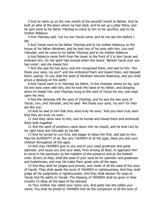3 And he went up on the new month of the seventh month to Bethel. And he built an altar at the place where he had slept, and he set up a pillar there, and he sent word to his father Yitschaq to come to him to his sacrifice, and to his mother Rebecca.

4 And Yitschaq said: 'Let my son Yacob come, and let me see him before I die.'

5 And Yacob went to his father Yitschaq and to his mother Rebecca, to the house of his father Abraham, and he took two of his sons with him, Levi and Yahudah, and he came to his father Yitschaq and to his mother Rebecca.

6 And Rebecca came forth from the tower to the front of it to kiss Yacob and embrace him; for her spirit had revived when she heard: 'Behold Yacob your son has come'; and she kissed him.

7 And she saw his two sons, and she recognised them, and said to him: 'Are these your sons, my son?' and she embraced them and kissed them, and blessed them, saying: 'In you shall the seed of Abraham become illustrious, and you shall prove a blessing on the earth.'

8 And Yacob went in to Yitschaq his father, to the chamber where he lay, and his two sons were with him, and he took the hand of his father, and stooping down he kissed him, and Yitschaq clung to the neck of Yacob his son, and wept upon his neck.

9 And the darkness left the eyes of Yitschaq, and he saw the two sons of Yacob, Levi, and Yahudah, and he said: 'Are these your sons, my son? for they are like you.'

10 And he said to him that they were truly his sons: 'And you have truly seen that they are truly my sons'.

11 And they came near to him, and he turned and kissed them and embraced them both together.

12 And the spirit of prophecy came down into his mouth, and he took Levi by his right hand and Yahudah by his left.

13 And he turned to Levi first, and began to bless him first, and said to him: May the ALMIGHTY of all, the very YAHWEH of all the ages, bless you and your children throughout all the ages.

14 And may YAHWEH give to you and to your seed greatness and great splendor, and cause you and your seed, from among all flesh, to approach Him to serve in His sanctuary as the malakim of the presence and as the kodesh ones. (Even) as they, shall the seed of your sons be for splendor and greatness and kodeshness, and may He make them great unto all the ages.

15 And they shall be judges and princes, and chiefs of all the seed of the sons of Yacob; They shall speak the word of YAHWEH in righteousness, And they shall judge all His judgments in righteousness. And they shall declare My ways to Yacob And My paths to Yisrael. The blessing of YAHWEH shall be given in their mouths To bless all the seed of the beloved.

16 Your mother has called your name Levi, And justly has she called your name; You shall be joined to YAHWEH And be the companion of all the sons of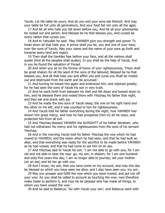Yacob; Let His table be yours, And do you and your sons eat thereof; And may your table be full unto all generations, And your food fail not unto all the ages.

17 And let all who hate you fall down before you, And let all your adversaries be rooted out and perish; And blessed be he that blesses you, And cursed be every nation that curses you.'

18 And to Yahudah he said: 'May YAHWEH give you strength and power To tread down all that hate you; A prince shall you be, you and one of your sons, over the sons of Yacob; May your name and the name of your sons go forth and traverse every land and region.

19 Then shall the Gentiles fear before your face, and all the nations shall quake [And all the peoples shall quake]. In you shall be the help of Yacob, And in you be found the salvation of Yisrael.

20 And when you sit on the throne of honor of your righteousness, There shall be great shalom for all the seed of the sons of the beloved; Blessed be he that blesses you, And all that hate you and afflict you and curse you Shall be rooted out and destroyed from the earth and be accursed.'

21 And turning he kissed him again and embraced him, and rejoiced greatly; for he had seen the sons of Yacob his son in very truth.

22 And he went forth from between his feet and fell down and bowed down to him, and he blessed them and rested there with Yitschaq his father that night, and they eat and drank with joy.

23 And he made the two sons of Yacob sleep, the one on his right hand and the other on his left, and it was counted to him for righteousness.

24 And Yacob told his father everything during the night, how YAHWEH had shown him great mercy, and how he had prospered (him in) all his ways, and protected him from all evil.

25 And Yitschaq blessed YAHWEH the ALMIGHTY of his father Abraham, who had not withdrawn his mercy and his righteousness from the sons of his servant Yitschaq.

26 And in the morning Yacob told his father Yitschaq the vow which he had vowed to YAHWEH, and the vision which he had seen, and that he had built an altar, and that everything was ready for the sacrifice to be made before YAHWEH as he had vowed, and that he had come to set him on an ass.

27 And Yitschaq said to Yacob his son: 'I am not able to go with you; for I am old and not able to bear the way: go, my son, in shalom; for I am one hundred and sixty-five years this day; I am no longer able to journey; set your mother (on an ass) and let her go with you.

28 And I know, my son, that you have come on my account, and may this day be blessed on which you have seen me alive, and I also have seen you, my son.

29 May you prosper and fulfill the vow which you have vowed; and put not off your vow; for you shall be called to account as touching the vow; now therefore make haste to perform it, and may He be pleased who has made all things, to whom you have vowed the vow.'

30 And he said to Rebecca: 'Go with Yacob your son'; and Rebecca went with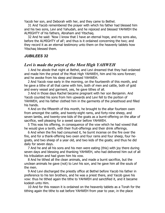Yacob her son, and Deborah with her, and they came to Bethel.

31 And Yacob remembered the prayer with which his father had blessed him and his two sons, Levi and Yahudah, and he rejoiced and blessed YAHWEH the ALMIGHTY of his fathers, Abraham and Yitschaq.

32 And he said: 'Now I know that I have an eternal hope, and my sons also, before the ALMIGHTY of all'; and thus is it ordained concerning the two; and they record it as an eternal testimony unto them on the heavenly tablets how Yitschaq blessed them.

### *JUBILEES 32*

# *Levi is made the priest of the Most High YAHWEH*

1 And he abode that night at Bethel, and Levi dreamed that they had ordained and made him the priest of the Most High YAHWEH, him and his sons forever; and he awoke from his sleep and blessed YAHWEH.

2 And Yacob rose early in the morning, on the fourteenth of this month, and he gave a tithe of all that came with him, both of men and cattle, both of gold and every vessel and garment, yes, he gave tithes of all.

3 And in those days Rachel became pregnant with her son Benjamin. And Yacob counted his sons from him upwards and Levi fell to the portion of YAHWEH, and his father clothed him in the garments of the priesthood and filled his hands.

4 And on the fifteenth of this month, he brought to the altar fourteen oxen from amongst the cattle, and twenty-eight rams, and forty-nine sheep, and seven lambs, and twenty-one kids of the goats as a burnt-offering on the altar of sacrifice, well pleasing for a sweet savor before YAHWEH.

5 This was his offering, in consequence of the vow which he had vowed that he would give a tenth, with their fruit-offerings and their drink offerings.

6 And when the fire had consumed it, he burnt incense on the fire over the fire, and for a thank-offering two oxen and four rams and four sheep, four hegoats, and two sheep of a year old, and two kids of the goats; and thus he did daily for seven days.

7 And he and all his sons and his men were eating (this) with joy there during seven days and blessing and thanking YAHWEH, who had delivered him out of all his tribulation and had given him his vow.

8 And he tithed all the clean animals, and made a burnt sacrifice, but the unclean animals he gave (not) to Levi his son, and he gave him all the souls of the men.

9 And Levi discharged the priestly office at Bethel before Yacob his father in preference to his ten brothers, and he was a priest there, and Yacob gave his vow: thus he tithed again the tithe to YAHWEH and sanctified it, and it became kodesh unto Him.

10 And for this reason it is ordained on the heavenly tablets as a Torah for the tithing again the tithe to eat before YAHWEH from year to year, in the place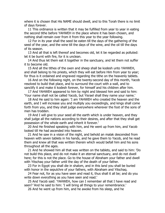where it is chosen that His NAME should dwell, and to this Torah there is no limit of days forever.

11 This ordinance is written that it may be fulfilled from year to year in eating the second tithe before YAHWEH in the place where it has been chosen, and nothing shall remain over from it from this year to the year following.

12 For in its year shall the seed be eaten till the days of the gathering of the seed of the year, and the wine till the days of the wine, and the oil till the days of its season.

13 And all that is left thereof and becomes old, let it be regarded as polluted: let it be burnt with fire, for it is unclean.

14 And thus let them eat it together in the sanctuary, and let them not suffer it to become old.

15 And all the tithes of the oxen and sheep shall be kodesh unto YAHWEH, and shall belong to his priests, which they will eat before Him from year to year; for thus is it ordained and engraved regarding the tithe on the heavenly tablets.

16 And on the following night, on the twenty-second day of this month, Yacob resolved to build that place, and to surround the court with a wall, and to sanctify it and make it kodesh forever, for himself and his children after him.

17 And YAHWEH appeared to him by night and blessed him and said to him: 'Your name shall not be called Yacob, but Yisrael shall they name your name.'

18 And He said to him again: 'I am YAHWEH who created the heaven and the earth, and I will increase you and multiply you exceedingly, and kings shall come forth from you, and they shall judge everywhere wherever the foot of the sons of men has trodden.

19 And I will give to your seed all the earth which is under heaven, and they shall judge all the nations according to their desires, and after that they shall get possession of the whole earth and inherit it forever.'

20 And He finished speaking with him, and He went up from him, and Yacob looked till He had ascended into heaven.

21 And he saw in a vision of the night, and behold an malak descended from heaven with seven tablets in his hands, and he gave them to Yacob, and he read them and knew all that was written therein which would befall him and his sons throughout all the ages.

21 And he showed him all that was written on the tablets, and said to him: 'Do not build this place, and do not make it an eternal sanctuary, and do not dwell here; for this is not the place. Go to the house of Abraham your father and dwell with Yitschaq your father until the day of the death of your father.

23 For in Egypt you shall die in shalom, and in this land you shall be buried with honor in the sepulchre of your fathers, with Abraham and Yitschaq.

24 Fear not, for as you have seen and read it, thus shall it all be; and do you write down everything as you have seen and read.'

25 And Yacob said: 'YAHWEH, how can I remember all that I have read and seen? 'And he said to him: 'I will bring all things to your remembrance.'

26 And he went up from him, and he awoke from his sleep, and he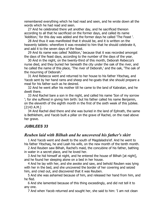remembered everything which he had read and seen, and he wrote down all the words which he had read and seen.

27 And he celebrated there yet another day, and he sacrificed thereon according to all that he sacrificed on the former days, and called its name 'Addition,' for this day was added and the former days he called 'The Feast '.

28 And thus it was manifested that it should be, and it is written on the heavenly tablets: wherefore it was revealed to him that he should celebrate it, and add it to the seven days of the feast.

29 And its name was called 'Addition,' because that it was recorded amongst the days of the feast days, according to the number of the days of the year.

30 And in the night, on the twenty-third of this month, Deborah Rebecca's nurse died, and they buried her beneath the city under the oak of the river, and he called the name of this place, 'The river of Deborah,' and the oak, 'The oak of the mourning of Deborah.'

31 And Rebecca went and returned to her house to his father Yitschaq, and Yacob sent by her hand rams and sheep and he-goats that she should prepare a meal for his father such as he desired.

32 And he went after his mother till he came to the land of Kabratan, and he dwelt there.

33 And Rachel bare a son in the night, and called his name 'Son of my sorrow '; for she suffered in giving him birth: but his father called his name Benjamin, on the eleventh of the eighth month in the first of the sixth week of this jubilee. [2143 A.M.]

34 And Rachel died there and she was buried in the land of Ephrath, the same is Bethlehem, and Yacob built a pillar on the grave of Rachel, on the road above her grave.

### *JUBILEES 33*

# *Reuben laid with Bilhah and he uncovered his father's skirt*

1 And Yacob went and dwelt to the south of Magdaladra'ef. And he went to his father Yitschaq, he and Leah his wife, on the new month of the tenth month.

2 And Reuben saw Bilhah, Rachel's maid, the concubine of his father, bathing in water in a secret place, and he loved her.

3 And he hid himself at night, and he entered the house of Bilhah [at night], and he found her sleeping alone on a bed in her house.

4 And he lay with her, and she awoke and saw, and behold Reuben was lying with her in the bed, and she uncovered the border of her covering and seized him, and cried out, and discovered that it was Reuben.

5 And she was ashamed because of him, and released her hand from him, and he fled.

6 And she lamented because of this thing exceedingly, and did not tell it to any one.

7 And when Yacob returned and sought her, she said to him: 'I am not clean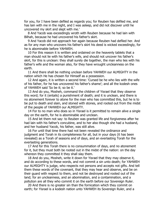for you, for I have been defiled as regards you; for Reuben has defiled me, and has lain with me in the night, and I was asleep, and did not discover until he uncovered my skirt and slept with me.'

8 And Yacob was exceedingly wroth with Reuben because he had lain with Bilhah, because he had uncovered his father's skirt.

9 And Yacob did not approach her again because Reuben had defiled her. And as for any man who uncovers his father's skirt his deed is wicked exceedingly, for he is abominable before YAHWEH.

10 For this reason it is written and ordained on the heavenly tablets that a man should not lie with his father's wife, and should not uncover his father's skirt, for this is unclean: they shall surely die together, the man who lies with his father's wife and the woman also, for they have wrought uncleanness on the earth.

11 And there shall be nothing unclean before YAHWEH our ALMIGHTY in the nation which He has chosen for Himself as a possession.

12 And again, it is written a second time: 'Cursed be he who lies with the wife of his father, for he has uncovered his father's shame'; and all the kodesh ones of YAHWEH said 'So be it; so be it.'

13 And do you, Mosheh, command the children of Yisrael that they observe this word; for it (entails) a punishment of death; and it is unclean, and there is no atonement forever to atone for the man who has committed this, but he is to be put to death and slain, and stoned with stones, and rooted out from the midst of the people of YAHWEH our ALMIGHTY.

14 For to no man who does so in Yisrael is it permitted to remain alive a single day on the earth, for he is abominable and unclean.

15 And let them not say: to Reuben was granted life and forgiveness after he had lain with his father's concubine, and to her also though she had a husband, and her husband Yacob, his father, was still alive.

16 For until that time there had not been revealed the ordinance and judgment and Torah in its completeness for all, but in your days (it has been revealed) as a Torah of seasons and of days, and an everlasting Torah for the everlasting generations.

17 And for this Torah there is no consummation of days, and no atonement for it, but they must both be rooted out in the midst of the nation: on the day whereon they committed it they shall slay them.

18 And do you, Mosheh, write it down for Yisrael that they may observe it, and do according to these words, and not commit a sin unto death; for YAHWEH our ALMIGHTY is judge, who respects not persons and accepts not gifts. And tell them these words of the covenant, that they may hear and observe, and be on their guard with respect to them, and not be destroyed and rooted out of the land; for an uncleanness, and an abomination, and a contamination, and a pollution are all they who commit it on the earth before our Sovereign Ruler.

20 And there is no greater sin than the fornication which they commit on earth; for Yisrael is a kodesh nation unto YAHWEH its Sovereign Ruler, and a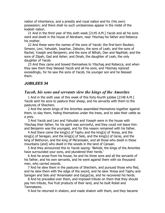nation of inheritance, and a priestly and royal nation and for (His own) possession; and there shall no such uncleanness appear in the midst of the kodesh nation.

21 And in the third year of this sixth week [2145 A.M.] Yacob and all his sons went and dwelt in the house of Abraham, near Yitschaq his father and Rebecca his mother.

22 And these were the names of the sons of Yacob: the first-born Reuben, Simeon, Levi, Yahudah, Issachar, Zebulon, the sons of Leah; and the sons of Rachel, Yoseph and Benjamin; and the sons of Bilhah, Dan and Naphtali; and the sons of Zilpah, Gad and Asher; and Dinah, the daughter of Leah, the only daughter of Yacob.

23 And they came and bowed themselves to Yitschaq and Rebecca, and when they saw them they blessed Yacob and all his sons, and Yitschaq rejoiced exceedingly, for he saw the sons of Yacob, his younger son and he blessed them.

## *JUBILEES 34*

# *Yacob, his sons and servants slew the kings of the Amorites*

1 And in the sixth year of this week of this forty-fourth jubilee [2148 A.M.] Yacob sent his sons to pasture their sheep, and his servants with them to the pastures of Shechem.

2 And the seven kings of the Amorites assembled themselves together against them, to slay them, hiding themselves under the trees, and to take their cattle as a prey.

3 And Yacob and Levi and Yahudah and Yoseph were in the house with Yitschaq their father; for his spirit was sorrowful, and they could not leave him: and Benjamin was the youngest, and for this reason remained with his father.

4 And there came the king[s] of Taphu and the king[s] of 'Aresa, and the king[s] of Seragan, and the king[s] of Selo, and the king[s] of Ga'as, and the king of Bethoron, and the king of Ma'anisakir, and all those who dwell in these mountains (and) who dwell in the woods in the land of Canaan.

5 And they announced this to Yacob saying: 'Behold, the kings of the Amorites have surrounded your sons, and plundered their herds.'

6 And he arose from his house, he and his three sons and all the servants of his father, and his own servants, and he went against them with six thousand men, who carried swords.

7 And he slew them in the pastures of Shechem, and pursued those who fled, and he slew them with the edge of the sword, and he slew 'Aresa and Taphu and Saregan and Selo and 'Amanisakir and Ga[ga]'as, and he recovered his herds.

8 And he prevailed over them, and imposed tribute on them that they should pay him tribute, five fruit products of their land, and he built Robel and Tamnatares.

9 And he returned in shalom, and made shalom with them, and they became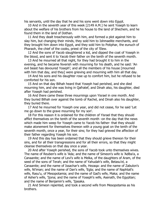his servants, until the day that he and his sons went down into Egypt.

10 And in the seventh year of this week [2149 A.M.] he sent Yoseph to learn about the welfare of his brothers from his house to the land of Shechem, and he found them in the land of Dothan.

11 And they dealt treacherously with him, and formed a plot against him to slay him, but changing their minds, they sold him to Ishmaelite merchants, and they brought him down into Egypt, and they sold him to Potiphar, the eunuch of Pharaoh, the chief of the cooks, priest of the city of 'Elew.

12 And the sons of Yacob slaughtered a kid, and dipped the coat of Yoseph in the blood, and sent it to Yacob their father on the tenth of the seventh month.

13 And he mourned all that night, for they had brought it to him in the evening, and he became feverish with mourning for his death, and he said: 'An evil beast has devoured Yoseph'; and all the members of his house [mourned with him that day, and they] were grieving and mourning with him all that day.

14 And his sons and his daughter rose up to comfort him, but he refused to be comforted for his son.

15 And on that day Bilhah heard that Yoseph had perished, and she died mourning him, and she was living in Qafratef, and Dinah also, his daughter, died after Yoseph had perished.

16 And there came these three mournings upon Yisrael in one month. And they buried Bilhah over against the tomb of Rachel, and Dinah also his daughter, they buried there.

17 And he mourned for Yoseph one year, and did not cease, for he said 'Let me go down to the grave mourning for my son'.

18 For this reason it is ordained for the children of Yisrael that they should afflict themselves on the tenth of the seventh month -on the day that the news which made him weep for Yoseph came to Yacob his father- that they should make atonement for themselves thereon with a young goat on the tenth of the seventh month, once a year, for their sins; for they had grieved the affection of their father regarding Yoseph his son.

19 And this day has been ordained that they should grieve thereon for their sins, and for all their transgressions and for all their errors, so that they might cleanse themselves on that day once a year.

20 And after Yoseph perished, the sons of Yacob took unto themselves wives. The name of Reuben's wife is 'Ada; and the name of Simeon's wife is 'Adlba'a, a Canaanite; and the name of Levi's wife is Melka, of the daughters of Aram, of the seed of the sons of Terah; and the name of Yahudah's wife, Betasu'el, a Canaanite; and the name of Issachar's wife, Hezaqa: and the name of Zabulon's wife, Ni'iman; and the name of Dan's wife, 'Egla; and the name of Naphtali's wife, Rasu'u, of Mesopotamia; and the name of Gad's wife, Maka; and the name of Asher's wife, 'Ijona; and the name of Yoseph's wife, Asenath, the Egyptian; and the name of Benjamin's wife, 'Ijasaka.

21 And Simeon repented, and took a second wife from Mesopotamia as his brothers.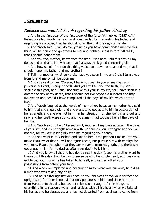## *JUBILEES 35*

## *Rebecca commanded Yacob regarding his father Yitschaq*

1 And in the first year of the first week of the forty-fifth jubilee [2157 A.M.] Rebecca called Yacob, her son, and commanded him regarding his father and regarding his brother, that he should honor them all the days of his life.

2 And Yacob said: 'I will do everything as you have commanded me; for this thing will be honor and greatness to me, and righteousness before YAHWEH, that I should honor them.

3 And you too, mother, know from the time I was born until this day, all my deeds and all that is in my heart, that I always think good concerning all.

4 And how should I not do this thing which you have commanded me, that I should honor my father and my brother!

5 Tell me, mother, what perversity have you seen in me and I shall turn away from it, and mercy will be upon me.'

6 And she said to him: 'My son, I have not seen in you all my days any perverse but (only) upright deeds. And yet I will tell you the truth, my son: I shall die this year, and I shall not survive this year in my life; for I have seen in a dream the day of my death, that I should not live beyond a hundred and fiftyfive years: and behold I have completed all the days of my life which I am to live.'

7 And Yacob laughed at the words of his mother, because his mother had said to him that she should die; and she was sitting opposite to him in possession of her strength, and she was not infirm in her strength; for she went in and out and saw, and her teeth were strong, and no ailment had touched her all the days of her life.

8 And Yacob said to her: 'Blessed am I, mother, if my days approach the days of your life, and my strength remain with me thus as your strength: and you will not die, for you are jesting idly with me regarding your death.'

9 And she went in to Yitschaq and said to him: 'One petition I make unto you: make Esau swear that he will not injure Yacob, nor pursue him with enmity; for you know Esau's thoughts that they are perverse from his youth, and there is no goodness in him; for he desires after your death to kill him.

10 And you know all that he has done since the day Yacob his brother went to Haran until this day: how he has forsaken us with his whole heart, and has done evil to us; your flocks he has taken to himself, and carried off all your possessions from before your face.

11 And when we implored and besought him for what was our own, he did as a man who was taking pity on us.

12 And he is bitter against you because you did bless Yacob your perfect and upright son; for there is no evil but only goodness in him, and since he came from Haran unto this day he has not robbed us of aught, for he brings us everything in its season always, and rejoices with all his heart when we take at his hands and he blesses us, and has not departed from us since he came from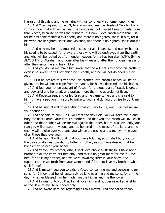Haran until this day, and he remains with us continually at home honoring us.'

13 And Yitschaq said to her: 'I, too, know and see the deeds of Yacob who is with us, how that with all his heart he honors us; but I loved Esau formerly more than Yacob, because he was the firstborn; but now I love Yacob more than Esau, for he has done manifold evil deeds, and there is no righteousness in him, for all his ways are unrighteousness and violence, and there is no righteousness around him.

14 And now my heart is troubled because of all his deeds, and neither he nor his seed is to be saved, for they are those who will be destroyed from the earth and who will be rooted out from under heaven, for he has forsaken YAHWEH the ALMIGHTY of Abraham and gone after his wives and after their uncleanness and after their error, he and his children.

15 And you do bid me make him swear that he will not slay Yacob his brother; even if he swear he will not abide by his oath, and he will not do good but evil only.

16 But if he desires to slay Yacob, his brother, into Yacob's hands will he be given, and he will not escape from his hands, for he will descend into his hands.

17 And fear you not on account of Yacob; for the guardian of Yacob is great and powerful and honored, and praised more than the guardian of Esau.'

18 And Rebecca sent and called Esau and he came to her, and she said to him: 'I have a petition, my son, to make to you, and do you promise to do it, my son.'

19 And he said: 'I will do everything that you say to me, and I will not refuse your petition.'

20 And she said to him: 'I ask you that the day I die, you will take me in and bury me near Sarah, your father's mother, and that you and Yacob will love each other and that neither will desire evil against the other, but mutual love only, and (so) you will prosper, my sons, and be honored in the midst of the land, and no enemy will rejoice over you, and you will be a blessing and a mercy in the eyes of all those that love you.'

21 And he said: 'I will do all that you have told me, and I shall bury you on the day you die near Sarah, my father's mother, as you have desired that her bones may be near your bones.

22 And Yacob, my brother, also, I shall love above all flesh; for I have not a brother in all the earth but him only: and this is no great merit for me if I love him; for he is my brother, and we were sown together in your body, and together came we forth from your womb, and if I do not love my brother, whom shall I love?

23 And I, myself, beg you to exhort Yacob concerning me and concerning my sons, for I know that he will assuredly be king over me and my sons, for on the day my father blessed him he made him the higher and me the lower.

24 And I swear unto you that I shall love him, and not desire evil against him all the days of my life but good only.'

25 And he swore unto her regarding all this matter. And she called Yacob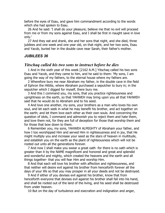before the eyes of Esau, and gave him commandment according to the words which she had spoken to Esau.

26 And he said: 'I shall do your pleasure; believe me that no evil will proceed from me or from my sons against Esau, and I shall be first in naught save in love only.'

27 And they eat and drank, she and her sons that night, and she died, three jubilees and one week and one year old, on that night, and her two sons, Esau and Yacob, buried her in the double cave near Sarah, their father's mother.

#### *JUBILEES 36*

### *Yitschaq called his two sons to instruct before he dies*

1 And in the sixth year of this week [2162 A.M.] Yitschaq called his two sons Esau and Yacob, and they came to him, and he said to them: 'My sons, I am going the way of my fathers, to the eternal house where my fathers are.

2 Wherefore bury me near Abraham my father, in the double cave in the field of Ephron the Hittite, where Abraham purchased a sepulcher to bury in; in the sepulcher which I digged for myself, there bury me.

3 And this I command you, my sons, that you practice righteousness and uprightness on the earth, so that YAHWEH may bring upon you all that YAHWEH said that he would do to Abraham and to his seed.

4 And love one another, my sons, your brothers as a man who loves his own soul, and let each seek in what he may benefit his brother, and act together on the earth; and let them love each other as their own souls. And concerning the question of idols, I command and admonish you to reject them and hate them, and love them not, for they are full of deception for those that worship them and for those that bow down to them.

6 Remember you, my sons, YAHWEH ALMIGHTY of Abraham your father, and how I too worshipped Him and served Him in righteousness and in joy, that He might multiply you and increase your seed as the stars of heaven in multitude, and establish you on the earth as the plant of righteousness which will not be rooted out unto all the generations forever.

7 And now I shall make you swear a great oath -for there is no oath which is greater than it by the NAME magnificent and honored and great and splendid and wonderful and mighty, which created the heavens and the earth and all things together- that you will fear Him and worship Him.

8 And that each will love his brother with affection and righteousness, and that neither will desire evil against his brother from henceforth forever all the days of your life so that you may prosper in all your deeds and not be destroyed.

9 And if either of you devises evil against his brother, know that from henceforth everyone that devises evil against his brother shall fall into his hand, and shall be rooted out of the land of the living, and his seed shall be destroyed from under heaven.

10 But on the day of turbulence and execration and indignation and anger,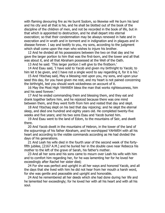with flaming devouring fire as He burnt Sodom, so likewise will He burn his land and his city and all that is his, and he shall be blotted out of the book of the discipline of the children of men, and not be recorded in the book of life, but in that which is appointed to destruction, and he shall depart into eternal execration; so that their condemnation may be always renewed in hate and in execration and in wrath and in torment and in indignation and in plagues and in disease forever. I say and testify to you, my sons, according to the judgment which shall come upon the man who wishes to injure his brother.

12 And he divided all his possessions between the two on that day and he gave the larger portion to him that was the first-born, and the tower and all that was about it, and all that Abraham possessed at the Well of the Oath.

13 And he said: 'This larger portion I will give to the firstborn.'

14 And Esau said, 'I have sold to Yacob and given my birthright to Yacob; to him let it be given, and I have not a single word to say regarding it, for it is his.'

15 And Yitschaq said, May a blessing rest upon you, my sons, and upon your seed this day, for you have given me rest, and my heart is not pained concerning the birthright, lest you should work wickedness on account of it.

16 May the Most High YAHWEH bless the man that works righteousness, him and his seed forever.'

17 And he ended commanding them and blessing them, and they eat and drank together before him, and he rejoiced because there was one mind between them, and they went forth from him and rested that day and slept.

18 And Yitschaq slept on his bed that day rejoicing; and he slept the eternal sleep, and died one hundred and eighty years old. He completed twenty-five weeks and five years; and his two sons Esau and Yacob buried him.

19 And Esau went to the land of Edom, to the mountains of Seir, and dwelt there.

20 And Yacob dwelt in the mountains of Hebron, in the tower of the land of the sojournings of his father Abraham, and he worshipped YAHWEH with all his heart and according to the visible commands according as He had divided the days of his generations.

21 And Leah his wife died in the fourth year of the second week of the fortyfifth jubilee, [2167 A.M.] and he buried her in the double cave near Rebecca his mother to the left of the grave of Sarah, his father's mother.

23 And all her sons and his sons came to mourn over Leah his wife with him and to comfort him regarding her, for he was lamenting her for he loved her exceedingly after Rachel her sister died;

24 For she was perfect and upright in all her ways and honored Yacob, and all the days that she lived with him he did not hear from her mouth a harsh word, for she was gentle and peaceable and upright and honorable.

24 And he remembered all her deeds which she had done during her life and he lamented her exceedingly; for he loved her with all his heart and with all his soul.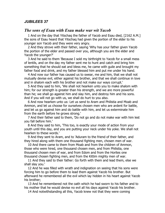## *JUBILEES 37*

## *The sons of Esau with Esau make war wit Yacob*

1 And on the day that Yitschaq the father of Yacob and Esau died, [2162 A.M.] the sons of Esau heard that Yitschaq had given the portion of the elder to his younger son Yacob and they were very angry.

2 And they strove with their father, saying 'Why has your father given Yacob the portion of the elder and passed over you, although you are the elder and Yacob the younger?'

3 And he said to them 'Because I sold my birthright to Yacob for a small mess of lentils, and on the day my father sent me to hunt and catch and bring him something that he should eat and bless me, he came with guile and brought my father food and drink, and my father blessed him and put me under his hand.

4 And now our father has caused us to swear, me and him, that we shall not mutually devise evil, either against his brother, and that we shall continue in love and in shalom each with his brother and not make our ways corrupt.'

5 And they said to him, 'We shall not hearken unto you to make shalom with him; for our strength is greater than his strength, and we are more powerful than he; we shall go against him and slay him, and destroy him and his sons. And if you will not go with us, we shall do hurt to you also.

6 And now hearken unto us: Let us send to Aram and Philistia and Moab and Ammon, and let us choose for ourselves chosen men who are ardent for battle, and let us go against him and do battle with him, and let us exterminate him from the earth before he grows strong.'

7 And their father said to them, 'Do not go and do not make war with him lest you fall before him.'

8 And they said to him, 'This too, is exactly your mode of action from your youth until this day, and you are putting your neck under his yoke. We shall not hearken to these words.'

9 And they sent to Aram, and to 'Aduram to the friend of their father, and they hired along with them one thousand fighting men, chosen men of war.

10 And there came to them from Moab and from the children of Ammon, those who were hired, one thousand chosen men, and from Philistia, one thousand chosen men of war, and from Edom and from the Horites one thousand chosen fighting men, and from the Kittim mighty men of war.

11 And they said to their father: Go forth with them and lead them, else we shall slay you.'

12 And he was filled with wrath and indignation on seeing that his sons were forcing him to go before them to lead them against Yacob his brother. But afterward he remembered all the evil which lay hidden in his heart against Yacob his brother;

13 And he remembered not the oath which he had sworn to his father and to his mother that he would devise no evil all his days against Yacob his brother.

14 And notwithstanding all this, Yacob knew not that they were coming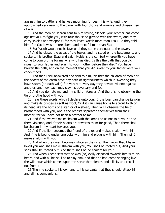against him to battle, and he was mourning for Leah, his wife, until they approached very near to the tower with four thousand warriors and chosen men of war.

15 And the men of Hebron sent to him saying, 'Behold your brother has come against you, to fight you, with four thousand girthed with the sword, and they carry shields and weapons'; for they loved Yacob more than Esau. So they told him; for Yacob was a more liberal and merciful man than Esau.

16 But Yacob would not believe until they came very near to the tower.

17 And he closed the gates of the tower; and he stood on the battlements and spoke to his brother Esau and said, 'Noble is the comfort wherewith you have come to comfort me for my wife who has died. Is this the oath that you did swear to your father and again to your mother before they died? You have broken the oath, and on the moment that you did swear to your father were you condemned.'

18 And then Esau answered and said to him, 'Neither the children of men nor the beasts of the earth have any oath of righteousness which in swearing they have sworn (an oath valid) forever; but every day they devise evil one against another, and how each may slay his adversary and foe.

19 And you do hate me and my children forever. And there is no observing the tie of brotherhood with you.

20 Hear these words which I declare unto you, 'If the boar can change its skin and make its bristles as soft as wool, Or if it can cause horns to sprout forth on its head like the horns of a stag or of a sheep, Then will I observe the tie of brotherhood with you, And if the breasts separated themselves from their mother, for you have not been a brother to me.

21 And if the wolves make shalom with the lambs so as not to devour or do them violence, And if their hearts are towards them for good, Then there shall be shalom in my heart towards you.

22 And if the lion becomes the friend of the ox and makes shalom with him, And if he is bound under one yoke with him and ploughs with him, Then will I make shalom with you.

23 And when the raven becomes white as the raza, Then know that I have loved you And shall make shalom with you, You shall be rooted out, And your sons shall be rooted out, And there shall be no shalom for you'

24 And when Yacob saw that he was (so) evilly disposed towards him with his heart, and with all his soul as to slay him, and that he had come springing like the wild boar which comes upon the spear that pierces and kills it, and recoils not from it;

25 Then he spoke to his own and to his servants that they should attack him and all his companions.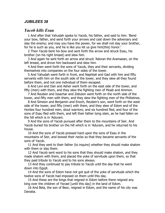## *JUBILEES 38*

## *Yacob kills Esau*

1 And after that Yahudah spoke to Yacob, his father, and said to him: 'Bend your bow, father, and send forth your arrows and cast down the adversary and slay the enemy; and may you have the power, for we shall not slay your brother, for he is such as you, and he is like you let us give him(this) honor.'

2 Then Yacob bent his bow and sent forth the arrow and struck Esau, his brother (on his right breast) and slew him.

3 And again he sent forth an arrow and struck 'Adoran the Aramaean, on the left breast, and drove him backward and slew him.

4 And then went forth the sons of Yacob, they and their servants, dividing themselves into companies on the four sides of the tower.

5 And Yahudah went forth in front, and Naphtali and Gad with him and fifty servants with him on the south side of the tower, and they slew all they found before them, and not one individual of them escaped.

6 And Levi and Dan and Asher went forth on the east side of the tower, and fifty (men) with them, and they slew the fighting men of Moab and Ammon.

7 And Reuben and Issachar and Zebulon went forth on the north side of the tower, and fifty men with them, and they slew the fighting men of the Philistines.

8 And Simeon and Benjamin and Enoch, Reuben's son, went forth on the west side of the tower, and fifty (men) with them, and they slew of Edom and of the Horites four hundred men, stout warriors; and six hundred fled, and four of the sons of Esau fled with them, and left their father lying slain, as he had fallen on the hill which is in 'Aduram.

9 And the sons of Yacob pursued after them to the mountains of Seir. And Yacob buried his brother on the hill which is in 'Aduram, and he returned to his house.

10 And the sons of Yacob pressed hard upon the sons of Esau in the mountains of Seir, and bowed their necks so that they became servants of the sons of Yacob.

11 And they sent to their father (to inquire) whether they should make shalom with them or slay them.

12 And Yacob sent word to his sons that they should make shalom, and they made shalom with them, and placed the yoke of servitude upon them, so that they paid tribute to Yacob and to his sons always.

13 And they continued to pay tribute to Yacob until the day that he went down into Egypt.

14 And the sons of Edom have not got quit of the yoke of servitude which the twelve sons of Yacob had imposed on them until this day.

15 And these are the kings that reigned in Edom before there reigned any king over the children of Yisrael [until this day] in the land of Edom.

16 And Bela, the son of Beor, reigned in Edom, and the name of his city was Danaba.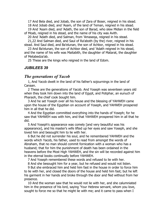17 And Bela died, and Jobab, the son of Zara of Boser, reigned in his stead.

18 And Jobab died, and 'Asam, of the land of Teman, reigned in his stead.

19 And 'Asam died, and 'Adath, the son of Barad, who slew Midian in the field of Moab, reigned in his stead, and the name of his city was Avith.

20 And 'Adath died, and Salman, from 'Amaseqa, reigned in his stead.

21,22 And Salman died, and Saul of Ra'aboth (by the) river, reigned in his stead. And Saul died, and Ba'elunan, the son of Achbor, reigned in his stead.

23 And Ba'elunan, the son of Achbor died, and 'Adath reigned in his stead, and the name of his wife was Maitabith, the daughter of Matarat, the daughter of Metabedza'ab.

25 These are the kings who reigned in the land of Edom.

## *JUBILEES 39*

## *The generations of Yacob*

1, And Yacob dwelt in the land of his father's sojournings in the land of Canaan.

2 These are the generations of Yacob. And Yoseph was seventeen years old when they took him down into the land of Egypt, and Potiphar, an eunuch of Pharaoh, the chief cook bought him.

3 And he set Yoseph over all his house and the blessing of YAHWEH came upon the house of the Egyptian on account of Yoseph, and YAHWEH prospered him in all that he did.

4 And the Egyptian committed everything into the hands of Yoseph; for he saw that YAHWEH was with him, and that YAHWEH prospered him in all that he did.

5 And Yoseph's appearance was comely [and very beautiful was his appearance], and his master's wife lifted up her eyes and saw Yoseph, and she loved him and besought him to lie with her.

6 But he did not surrender his soul, and he remembered YAHWEH and the words which Yacob, his father, used to read from amongst the words of Abraham, that no man should commit fornication with a woman who has a husband; that for him the punishment of death has been ordained in the heavens before the Most High YAHWEH, and the sin will be recorded against him in the eternal books continually before YAHWEH.

7 And Yoseph remembered these words and refused to lie with her.

8 And she besought him for a year, but he refused and would not listen.

9 But she embraced him and held him fast in the house in order to force him to lie with her, and closed the doors of the house and held him fast; but he left his garment in her hands and broke through the door and fled without from her presence.

10 And the woman saw that he would not lie with her, and she calumniated him in the presence of his lord, saying 'Your Hebrew servant, whom you love, sought to force me so that he might lie with me; and it came to pass when I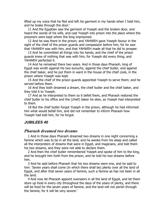lifted up my voice that he fled and left his garment in my hands when I held him, and he brake through the door.'

11 And the Egyptian saw the garment of Yoseph and the broken door, and heard the words of his wife, and cast Yoseph into prison into the place where the prisoners were kept whom the king imprisoned.

12 And he was there in the prison; and YAHWEH gave Yoseph favour in the sight of the chief of the prison guards and compassion before him, for he saw that YAHWEH was with him, and that YAHWEH made all that he did to prosper.

13 And he committed all things into his hands, and the chief of the prison guards knew of nothing that was with him, for Yoseph did every thing, and YAHWEH perfected it.

14 And he remained there two years. And in those days Pharaoh, king of Egypt was wroth against his two eunuchs, against the chief butler, and against the chief baker, and he put them in ward in the house of the chief cook, in the prison where Yoseph was kept.

15 And the chief of the prison guards appointed Yoseph to serve them; and he served before them.

16 And they both dreamed a dream, the chief butler and the chief baker, and they told it to Yoseph.

17 And as he interpreted to them so it befell them, and Pharaoh restored the chief butler to his office and the (chief) baker he slew, as Yoseph had interpreted to them.

18 But the chief butler forgot Yoseph in the prison, although he had informed him what would befall him, and did not remember to inform Pharaoh how Yoseph had told him, for he forgot.

## *JUBILEES 40*

## *Pharaoh dreamed two dreams*

1 And in those days Pharaoh dreamed two dreams in one night concerning a famine which was to be in all the land, and he awoke from his sleep and called all the interpreters of dreams that were in Egypt, and magicians, and told them his two dreams, and they were not able to declare them.

2 And then the chief butler remembered Yoseph and spoke of him to the king, and he brought him forth from the prison, and he told his two dreams before him.

3 And he said before Pharaoh that his two dreams were one, and he said to him: 'Seven years shall come (in which there shall be) plenty over all the land of Egypt, and after that seven years of famine, such a famine as has not been in all the land.

4 And now let Pharaoh appoint overseers in all the land of Egypt, and let them store up food in every city throughout the days of the years of plenty, and there will be food for the seven years of famine, and the land will not perish through the famine, for it will be very severe.'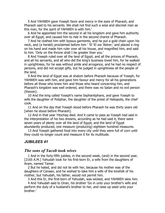5 And YAHWEH gave Yoseph favor and mercy in the eyes of Pharaoh, and Pharaoh said to his servants. We shall not find such a wise and discreet man as this man, for the spirit of YAHWEH is with him.'

6 And he appointed him the second in all his kingdom and gave him authority over all Egypt, and caused him to ride in the second chariot of Pharaoh.

7 And he clothed him with byssus garments, and he put a gold chain upon his neck, and (a herald) proclaimed before him ' 'El 'El wa 'Abirer,' and placed a ring on his hand and made him ruler over all his house, and magnified him, and said to him. 'Only on the throne shall I be greater than you.'

8 And Yoseph ruled over all the land of Egypt, and all the princes of Pharaoh, and all his servants, and all who did the king's business loved him, for he walked in uprightness, for he was without pride and arrogance, and he had no respect of persons, and did not accept gifts, but he judged in uprightness all the people of the land.

9 And the land of Egypt was at shalom before Pharaoh because of Yoseph, for YAHWEH was with him, and gave him favour and mercy for all his generations before all those who knew him and those who heard concerning him, and Pharaoh's kingdom was well ordered, and there was no Satan and no evil person (therein).

10 And the king called Yoseph's name Sephantiphans, and gave Yoseph to wife the daughter of Potiphar, the daughter of the priest of Heliopolis, the chief cook.

11 And on the day that Yoseph stood before Pharaoh he was thirty years old [when he stood before Pharaoh].

12 And in that year Yitschaq died. And it came to pass as Yoseph had said in the interpretation of his two dreams, according as he had said it, there were seven years of plenty over all the land of Egypt, and the land of Egypt abundantly produced, one measure (producing) eighteen hundred measures.

13 And Yoseph gathered food into every city until they were full of corn until they could no longer count and measure it for its multitude.

## *JUBILEES 41*

## *The sons of Yacob took wives*

1 And in the forty-fifth jubilee, in the second week, (and) in the second year, [2165 A.M.] Yahudah took for his first-born Er, a wife from the daughters of Aram, named Tamar.

2 But he hated, and did not lie with her, because his mother was of the daughters of Canaan, and he wished to take him a wife of the kinsfolk of his mother, but Yahudah, his father, would not permit him.

3 And this Er, the first-born of Yahudah, was wicked, and YAHWEH slew him.

4 And Yahudah said to Onan, his brother 'Go in unto your brother's wife and perform the duty of a husband's brother to her, and raise up seed unto your brother.'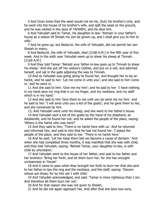5 And Onan knew that the seed would not be his, (but) his brother's only, and he went into the house of his brother's wife, and spilt the seed on the ground, and he was wicked in the eyes of YAHWEH, and He slew him.

6 And Yahudah said to Tamar, his daughter-in-law: 'Remain in your father's house as a widow till Shelah my son be grown up, and I shall give you to him to wife.'

7 And he grew up; but Bedsu'el, the wife of Yahudah, did not permit her son Shelah to marry.

8 And Bedsu'el, the wife of Yahudah, died [2168 A.M.] in the fifth year of this week. And in the sixth year Yahudah went up to shear his sheep at Timnah. [2169 A.M.]

9 And they told Tamar: 'Behold your father-in-law goes up to Timnah to shear his sheep.' And she put off her widow's clothes, and put on a veil, and adorned herself, and sat in the gate adjoining the way to Timnah.

10 And as Yahudah was going along he found her, and thought her to be an harlot, and he said to her: 'Let me come in unto you'; and she said to him Come in,' and he went in.

11 And she said to him: 'Give me my hire'; and he said to her: 'I have nothing in my hand save my ring that is on my finger, and my necklace, and my staff which is in my hand.'

12 And she said to him 'Give them to me until you do send me my hire', and he said to her: 'I will send unto you a kid of the goats'; and he gave them to her, and she conceived by him.

13, And Yahudah went unto his sheep, and she went to her father's house.

14 And Yahudah sent a kid of the goats by the hand of his shepherd, an Adullamite, and he found her not; and he asked the people of the place, saying: 'Where is the harlot who was here?'

15 And they said to him; 'There is no harlot here with us.' And he returned and informed him, and said to him that he had not found her: 'I asked the people of the place, and they said to me: "There is no harlot here.'

16 And he said: 'Let her keep them lest we become a cause of derision.' And when she had completed three months, it was manifest that she was with child, and they told Yahudah, saying: 'Behold Tamar, your daughter-in-law, is with child by whoredom.'

17 And Yahudah went to the house of her father, and said to her father and her brothers: 'Bring her forth, and let them burn her, for she has wrought uncleanness in Yisrael.'

18 And it came to pass when they brought her forth to burn her that she sent to her father-in-law the ring and the necklace, and the staff, saying: 'Discern whose are these, for by him am I with child.'

19 And Yahudah acknowledged, and said: 'Tamar is more righteous than I am. And therefore let them burn her not.'

20 And for that reason she was not given to Shelah,

21 And he did not again approach her, And after that she bare two sons,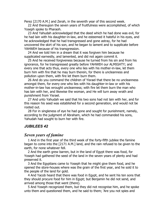Perez [2170 A.M.] and Zerah, in the seventh year of this second week.

22 And thereupon the seven years of fruitfulness were accomplished, of which Yoseph spoke to Pharaoh.

23 And Yahudah acknowledged that the deed which he had done was evil, for he had lain with his daughter-in-law, and he esteemed it hateful in his eyes, and he acknowledged that he had transgressed and gone astray, for he had uncovered the skirt of his son, and he began to lament and to supplicate before YAHWEH because of his transgression.

24 And we told him in a dream that it was forgiven him because he supplicated earnestly, and lamented, and did not again commit it.

25 And he received forgiveness because he turned from his sin and from his ignorance, for he transgressed greatly before YAHWEH our ALMIGHTY; and every one that acts thus, every one who lies with his mother-in-law, let them burn him with fire that he may burn therein, for there is uncleanness and pollution upon them, with fire let them burn them.

26 And do you command the children of Yisrael that there be no uncleanness amongst them, for every one who lies with his daughter-in-law or with his mother-in-law has wrought uncleanness; with fire let them burn the man who has lain with her, and likewise the woman, and He will turn away wrath and punishment from Yisrael.

27 And unto Yahudah we said that his two sons had not lain with her, and for this reason his seed was established for a second generation, and would not be rooted out.

28 For in singleness of eye he had gone and sought for punishment, namely, according to the judgment of Abraham, which he had commanded his sons, Yahudah had sought to burn her with fire.

## *JUBILEES 42*

## *Seven years of famine*

1 And in the first year of the third week of the forty-fifth jubilee the famine began to come into the [2171 A.M.] land, and the rain refused to be given to the earth, for none whatever fell.

2 And the earth grew barren, but in the land of Egypt there was food, for Yoseph had gathered the seed of the land in the seven years of plenty and had preserved it.

3 And the Egyptians came to Yoseph that he might give them food, and he opened the store-houses where was the grain of the first year, and he sold it to the people of the land for gold.

4 And Yacob heard that there was food in Egypt, and he sent his ten sons that they should procure food for him in Egypt; but Benjamin he did not send, and arrived among those that went (there).

5 And Yoseph recognized them, but they did not recognise him, and he spoke unto them and questioned them, and he said to them; 'Are you not spies and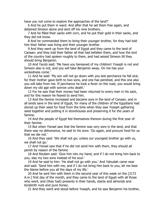have you not come to explore the approaches of the land?'

6 And he put them in ward. And after that he set them free again, and detained Simeon alone and sent off his nine brothers.

7 And he filled their sacks with corn, and he put their gold in their sacks, and they did not know.

8 And he commanded them to bring their younger brother, for they had told him their father was living and their younger brother.

9 And they went up from the land of Egypt and they came to the land of Canaan; and they told their father all that had befallen them, and how the lord of the country had spoken roughly to them, and had seized Simeon till they should bring Benjamin.

10 And Yacob said: 'Me have you bereaved of my children! Yoseph is not and Simeon also is not, and you will take Benjamin away. On me has your wickedness come.'

11 And he said: 'My son will not go down with you lest perchance he fall sick; for their mother gave birth to two sons, and one has perished, and this one also you will take from me. If perchance he took a fever on the road, you would bring down my old age with sorrow unto death.'

12 For he saw that their money had been returned to every man in his sack, and for this reason he feared to send him.

13 And the famine increased and became sore in the land of Canaan, and in all lands save in the land of Egypt, for many of the children of the Egyptians had stored up their seed for food from the time when they saw Yoseph gathering seed together and putting it in storehouses and preserving it for the years of famine.

14 And the people of Egypt fed themselves thereon during the first year of their famine.

15 But when Yisrael saw that the famine was very sore in the land, and that there was no deliverance, he said to his sons: 'Go again, and procure food for us that we die not.'

16 And they said: 'We shall not go; unless our youngest brother go with us, we shall not go.'

17 And Yisrael saw that if he did not send him with them, they should all perish by reason of the famine

18 And Reuben said: 'Give him into my hand, and if I do not bring him back to you, slay my two sons instead of his soul.'

19 And he said to him: 'He shall not go with you.' And Yahudah came near and said: 'Send him with me, and if I do not bring him back to you, let me bear the blame before you all the days of my life.'

20 And he sent him with them in the second year of this week on the [2172 A.m.] first day of the month, and they came to the land of Egypt with all those who went, and (they had) presents in their hands, stacte and almonds and terebinth nuts and pure honey.

21 And they went and stood before Yoseph, and he saw Benjamin his brother,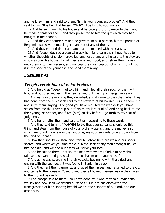and he knew him, and said to them: 'Is this your youngest brother?' And they said to him: 'It is he.' And he said 'YAHWEH be kind to you, my son!'

22 And he sent him into his house and he brought forth Simeon to them and he made a feast for them, and they presented to him the gift which they had brought in their hands.

23 And they eat before him and he gave them all a portion, but the portion of Benjamin was seven times larger than that of any of theirs.

24 And they eat and drank and arose and remained with their asses.

25 And Yoseph devised a plan whereby he might learn their thoughts as to whether thoughts of shalom prevailed amongst them, and he said to the steward who was over his house: 'Fill all their sacks with food, and return their money unto them into their vessels, and my cup, the silver cup out of which I drink, put it in the sack of the youngest, and send them away.'

#### *JUBILEES 43*

## *Yoseph reveals himself to his brothers*

1 And he did as Yoseph had told him, and filled all their sacks for them with food and put their money in their sacks, and put the cup in Benjamin's sack.

2 And early in the morning they departed, and it came to pass that, when they had gone from there, Yoseph said to the steward of his house: 'Pursue them, run and seize them, saying, "For good you have requited me with evil; you have stolen from me the silver cup out of which my lord drinks." And bring back to me their youngest brother, and fetch (him) quickly before I go forth to my seat of judgment.'

3 And he ran after them and said to them according to these words.

4 And they said to him: 'YAHWEH forbid that your servants should do this thing, and steal from the house of your lord any utensil, and the money also which we found in our sacks the first time, we your servants brought back from the land of Canaan.

5 How then should we steal any utensil? Behold here are we and our sacks search, and wherever you find the cup in the sack of any man amongst us, let him be slain, and we and our asses will serve your lord.'

6 And he said to them: 'Not so, the man with whom I find, him only shall I take as a servant, and you shall return in shalom unto your house.'

7 And as he was searching in their vessels, beginning with the eldest and ending with the youngest, it was found in Benjamin's sack.

8 And they rent their garments, and laded their asses, and returned to the city and came to the house of Yoseph, and they all bowed themselves on their faces to the ground before him.

9 And Yoseph said to them: 'You have done evil.' And they said: 'What shall we say and how shall we defend ourselves? Our lord has discovered the transgression of his servants; behold we are the servants of our lord, and our asses also.'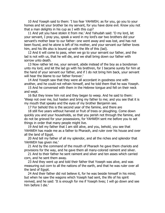10 And Yoseph said to them: 'I too fear YAHWEH; as for you, go you to your homes and let your brother be my servant, for you have done evil. Know you not that a man delights in his cup as I with this cup?

11 And yet you have stolen it from me.' And Yahudah said: 'O my lord, let your servant, I pray you, speak a word in my lord's ear two brothers did your servant's mother bear to our father: one went away and was lost, and has not been found, and he alone is left of his mother, and your servant our father loves him, and his life also is bound up with the life of this (lad).

12 And it will come to pass, when we go to your servant our father, and the lad is not with us, that he will die, and we shall bring down our father with sorrow unto death.

13 Now rather let me, your servant, abide instead of the boy as a bondsman unto my lord, and let the lad go with his brethren, for I became surety for him at the hand of your servant our father, and if I do not bring him back, your servant will hear the blame to our father forever.'

14 And Yoseph saw that they were all accordant in goodness one with another, and he could not refrain himself, and he told them that he was Yoseph.

15 And he conversed with them in the Hebrew tongue and fell on their neck and wept.

16 But they knew him not and they began to weep. And he said to them: 'Weep not over me, but hasten and bring my father to me; and you see that it is my mouth that speaks and the eyes of my brother Benjamin see.

17 For behold this is the second year of the famine, and there are

18 still five years without harvest or fruit of trees or ploughing. Come down quickly you and your households, so that you perish not through the famine, and do not be grieved for your possessions, for YAHWEH sent me before you to set things in order that many people might live.

19 And tell my father that I am still alive, and you, behold, you see that YAHWEH has made me as a father to Pharaoh, and ruler over his house and over all the land of Egypt.

20 And tell my father of all my splendor, and all the riches and splendor that YAHWEH has given me.'

21 And by the command of the mouth of Pharaoh he gave them chariots and provisions for the way, and he gave them all many-colored raiment and silver.

21 And to their father he sent raiment and silver and ten asses which carried corn, and he sent them away.

23 And they went up and told their father that Yoseph was alive, and was measuring out corn to all the nations of the earth, and that he was ruler over all the land of Egypt.

24 And their father did not believe it, for he was beside himself in his mind; but when he saw the wagons which Yoseph had sent, the life of his spirit revived, and he said: 'It is enough for me if Yoseph lives; I will go down and see him before I die.'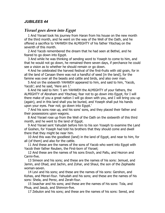## *JUBILEES 44*

## *Yisrael goes down into Egypt*

1 And Yisrael took his journey from Haran from his house on the new month of the third month, and he went on the way of the Well of the Oath, and he offered a sacrifice to YAHWEH the ALMIGHTY of his father Yitschaq on the seventh of this month.

2 And Yacob remembered the dream that he had seen at Bethel, and he feared to go down into Egypt.

3 And while he was thinking of sending word to Yoseph to come to him, and that he would not go down, he remained there seven days, if perchance he could see a vision as to whether he should remain or go down.

4 And he celebrated the harvest festival of the first-fruits with old grain, for in all the land of Canaan there was not a handful of seed [in the land], for the famine was over all the beasts and cattle and birds, and also over man.

5 And on the sixteenth YAHWEH appeared to him, and said to him, 'Yacob, Yacob'; and he said, 'Here am I.'

6 And He said to him: 'I am YAHWEH the ALMIGHTY of your fathers, the ALMIGHTY of Abraham and Yitschaq; fear not to go down into Egypt, for I will there make of you a great nation I will go down with you, and I will bring you up (again), and in this land shall you be buried, and Yoseph shall put his hands upon your eyes. Fear not; go down into Egypt.'

7 And his sons rose up, and his sons' sons, and they placed their father and their possessions upon wagons.

8 And Yisrael rose up from the Well of the Oath on the sixteenth of this third month, and he went to the land of Egypt.

9 And Yisrael sent Yahudah before him to his son Yoseph to examine the Land of Goshen, for Yoseph had told his brothers that they should come and dwell there that they might be near him.

10 And this was the goodliest (land) in the land of Egypt, and near to him, for all (of them) and also for the cattle.

11 And these are the names of the sons of Yacob who went into Egypt with Yacob their father Reuben, the First-born of Yisrael;

12 And these are the names of his sons Enoch, and Pallu, and Hezron and Carmi-five.

13 Simeon and his sons; and these are the names of his sons: Jemuel, and Jamin, and Ohad, and Jachin, and Zohar, and Shaul, the son of the Zephasite woman-seven.

14 Levi and his sons; and these are the names of his sons: Gershon, and Kohas, and Merari-four. Yahudah and his sons; and these are the names of his sons: Shela, and Perez, and Zerah-four.

15 Issachar and his sons; and these are the names of his sons: Tola, and Phua, and Jasub, and Shimron-five.

17 Zebulon and his sons; and these are the names of his sons: Sered, and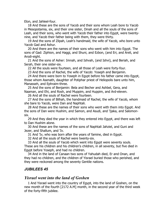Elon, and Jahleel-four.

18 And these are the sons of Yacob and their sons whom Leah bore to Yacob in Mesopotamia, six, and their one sister, Dinah and all the souls of the sons of Leah, and their sons, who went with Yacob their father into Egypt, were twentynine, and Yacob their father being with them, they were thirty.

19 And the sons of Zilpah, Leah's handmaid, the wife of Yacob, who bore unto Yacob Gad and Ashur.

20 And there are the names of their sons who went with him into Egypt. The sons of Gad: Ziphion, and Haggi, and Shuni, and Ezbon, (and Eri, and Areli, and Arodi-eight.

21 And the sons of Asher: Imnah, and Ishvah, (and Ishvi), and Beriah, and Serah, their one sister-six.

22 All the souls were fourteen, and all those of Leah were forty-four.

23 And the sons of Rachel, the wife of Yacob: Yoseph and Benjamin.

24 And there were born to Yoseph in Egypt before his father came into Egypt, those whom Asenath, daughter of Potiphar priest of Heliopolis bare unto him, Manasseh, and Ephraim-three.

25 And the sons of Benjamin: Bela and Becher and Ashbel, Gera, and Naaman, and Ehi, and Rosh, and Muppim, and Huppim, and Ard-eleven.

26 And all the souls of Rachel were fourteen.

27 And the sons of Bilhah, the handmaid of Rachel, the wife of Yacob, whom she bare to Yacob, were Dan and Naphtali.

28 And these are the names of their sons who went with them into Egypt. And the sons of Dan were Hushim, and Samon, and Asudi, and 'Ijaka, and Salomonsix.

29 And they died the year in which they entered into Egypt, and there was left to Dan Hushim alone.

30 And these are the names of the sons of Naphtali Jahziel, and Guni and Jezer, and Shallum, and 'Iv.

31 And 'Iv, who was born after the years of famine, died in Egypt.

32 And all the souls of Rachel were twenty-six.

33 And all the souls of Yacob which went into Egypt were seventy souls. These are his children and his children's children, in all seventy, but five died in Egypt before Yoseph, and had no children.

34 And in the land of Canaan two sons of Yahudah died, Er and Onan, and they had no children, and the children of Yisrael buried those who perished, and they were reckoned among the seventy Gentile nations.

## *JUBILEES 45*

## *Yisrael went into the land of Goshen*

1 And Yisrael went into the country of Egypt, into the land of Goshen, on the new month of the fourth [2172 A.M] month, in the second year of the third week of the forty-fifth jubilee.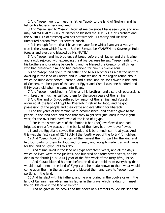2 And Yoseph went to meet his father Yacob, to the land of Goshen, and he fell on his father's neck and wept.

3 And Yisrael said to Yoseph: 'Now let me die since I have seen you, and now may YAHWEH ALMIGHTY of Yisrael be blessed the ALMIGHTY of Abraham and the ALMIGHTY of Yitschaq who has not withheld His mercy and His free unmerited pardon from His servant Yacob.

4 It is enough for me that I have seen your face whilst I am yet alive; yes, true is the vision which I saw at Bethel. Blessed be YAHWEH my Sovereign Ruler forever and ever, and blessed be His NAME.'

5 And Yoseph and his brothers eat bread before their father and drank wine, and Yacob rejoiced with exceeding great joy because he saw Yoseph eating with his brothers and drinking before him, and he blessed the Creator of all things who had preserved him, and had preserved for him his twelve sons.

6 And Yoseph had given to his father and to his brothers as a gift the right of dwelling in the land of Goshen and in Rameses and all the region round about, which he ruled over before Pharaoh. And Yisrael and his sons dwelt in the land of Goshen, the best part of the land of Egypt and Yisrael was one hundred and thirty years old when he came into Egypt.

7 And Yoseph nourished his father and his brethren and also their possessions with bread as much as sufficed them for the seven years of the famine.

8 And the land of Egypt suffered by reason of the famine, and Yoseph acquired all the land of Egypt for Pharaoh in return for food, and he got possession of the people and their cattle and everything for Pharaoh.

9 And the years of the famine were accomplished, and Yoseph gave to the people in the land seed and food that they might sow (the land) in the eighth year, for the river had overflowed all the land of Egypt.

10 For in the seven years of the famine it had (not) overflowed and had irrigated only a few places on the banks of the river, but now it overflowed

11 and the Egyptians sowed the land, and it bore much corn that year. And this was the first year of [2178 A.M.] the fourth week of the forty-fifth jubilee.

12 And Yoseph took of the corn of the harvest the fifth part for the king and left four parts for them for food and for seed, and Yoseph made it an ordinance for the land of Egypt until this day.

13 And Yisrael lived in the land of Egypt seventeen years, and all the days which he lived were three jubilees, one hundred and forty-seven years, and he died in the fourth [2188 A.M.] year of the fifth week of the forty-fifth jubilee.

14 And Yisrael blessed his sons before he died and told them everything that would befall them in the land of Egypt; and he made known to them what would come upon them in the last days, and blessed them and gave to Yoseph two portions in the land.

15 And he slept with his fathers, and he was buried in the double cave in the land of Canaan, near Abraham his father in the grave which he dug for himself in the double cave in the land of Hebron.

16 And he gave all his books and the books of his fathers to Levi his son that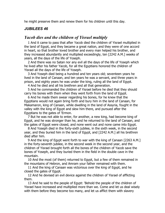he might preserve them and renew them for his children until this day.

# *JUBILEES 46*

# *Yacob dies and the children of Yisrael multiply*

1 And it came to pass that after Yacob died the children of Yisrael multiplied in the land of Egypt, and they became a great nation, and they were of one accord in heart, so that brother loved brother and every man helped his brother, and they increased abundantly and multiplied exceedingly, ten [2242 A.M.] weeks of years, all the days of the life of Yoseph.

2 And there was no Satan nor any evil all the days of the life of Yoseph which he lived after his father Yacob, for all the Egyptians honored the children of Yisrael all the days of the life of Yoseph.

3 And Yoseph died being a hundred and ten years old; seventeen years he lived in the land of Canaan, and ten years he was a servant, and three years in prison, and eighty years he was under the king, ruling all the land of Egypt.

4 And he died and all his brethren and all that generation.

5 And he commanded the children of Yisrael before he died that they should carry his bones with them when they went forth from the land of Egypt.

6 And he made them swear regarding his bones, for he knew that the Egyptians would not again bring forth and bury him in the land of Canaan, for Makamaron, king of Canaan, while dwelling in the land of Assyria, fought in the valley with the king of Egypt and slew him there, and pursued after the Egyptians to the gates of 'Ermon.

7 But he was not able to enter, for another, a new king, had become king of Egypt, and he was stronger than he, and he returned to the land of Canaan, and the gates of Egypt were closed, and none went out and none came into Egypt.

8 And Yoseph died in the forty-sixth jubilee, in the sixth week, in the second year, and they buried him in the land of Egypt, and [2242 A.M.] all his brethren died after him.

9 And the king of Egypt went forth to war with the king of Canaan [2263 A.M.] in the forty-seventh jubilee, in the second week in the second year, and the children of Yisrael brought forth all the bones of the children of Yacob save the bones of Yoseph, and they buried them in the field in the double cave in the mountain.

10 And the most (of them) returned to Egypt, but a few of them remained in the mountains of Hebron, and Amram your father remained with them.

11 And the king of Canaan was victorious over the king of Egypt, and he closed the gates of Egypt.

12 And he devised an evil device against the children of Yisrael of afflicting them.

13 And he said to the people of Egypt: 'Behold the people of the children of Yisrael have increased and multiplied more than we. Come and let us deal wisely with them before they become too many, and let us afflict them with slavery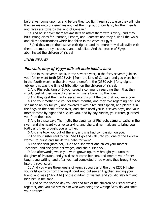before war come upon us and before they too fight against us; else they will join themselves unto our enemies and get them up out of our land, for their hearts and faces are towards the land of Canaan.'

14 And he set over them taskmasters to afflict them with slavery; and they built strong cities for Pharaoh, Pithom, and Raamses and they built all the walls and all the fortifications which had fallen in the cities of Egypt.

15 And they made them serve with rigour, and the more they dealt evilly with them, the more they increased and multiplied. And the people of Egypt abominated the children of Yisrael

#### *JUBILEES 47*

## *Pharaoh, king of Egypt kills all male babies born*

1 And in the seventh week, in the seventh year, in the forty-seventh jubilee, your father went forth [2303 A.M.] from the land of Canaan, and you were born in the fourth week, in the sixth year thereof, in the [2330 A.M.] forty-eighth jubilee; this was the time of tribulation on the children of Yisrael.

2 And Pharaoh, king of Egypt, issued a command regarding them that they should cast all their male children which were born into the river.

3 And they cast them in for seven months until the day that you were born

4 And your mother hid you for three months, and they told regarding her. And she made an ark for you, and covered it with pitch and asphalt, and placed it in the flags on the bank of the river, and she placed you in it seven days, and your mother came by night and suckled you, and by day Miriam, your sister, guarded you from the birds.

5 And in those days Tharmuth, the daughter of Pharaoh, came to bathe in the river, and she heard your voice crying, and she told her maidens to bring you forth, and they brought you unto her.

6 And she took you out of the ark, and she had compassion on you.

7 And your sister said to her: 'Shall I go and call unto you one of the Hebrew women to nurse and suckle this babe for you?'

8 And she said (unto her): 'Go.' And she went and called your mother Jochebed, and she gave her wages, and she nursed you.

9 And afterwards, when you were grown up, they brought you unto the daughter of Pharaoh, and you didst become her son, and Amram your father taught you writing, and after you had completed three weeks they brought you into the royal court.

10 And you were three weeks of years at court until the time [2351-] when you didst go forth from the royal court and did see an Egyptian smiting your friend who was [2372 A.M.] of the children of Yisrael, and you did slay him and hide him in the sand.

11 And on the second day you did and two of the children of Yisrael striving together, and you did say to him who was doing the wrong: 'Why do you smite your brother?'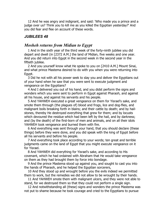12 And he was angry and indignant, and said: 'Who made you a prince and a judge over us? Think you to kill me as you killed the Egyptian yesterday?' And you did fear and flee on account of these words.

# *JUBILEES 48*

# *Mosheh returns from Midian to Egypt*

1 And in the sixth year of the third week of the forty-ninth jubilee you did depart and dwell (in [2372 A.M.] the land of Midian, five weeks and one year. And you did return into Egypt in the second week in the second year in the fiftieth jubilee.

2 And you yourself know what He spoke to you on [2410 A.M.] Mount Sinai, and what prince Mastema desired to do with you when you were returning into Egypt.

3 Did he not with all his power seek to slay you and deliver the Egyptians out of your hand when he saw that you were sent to execute judgment and vengeance on the Egyptians?

4 And I delivered you out of his hand, and you didst perform the signs and wonders which you were sent to perform in Egypt against Pharaoh, and against all his house, and against his servants and his people.

5 And YAHWEH executed a great vengeance on them for Yisrael's sake, and smote them through (the plagues of) blood and frogs, lice and dog-flies, and malignant boils breaking forth in blains; and their cattle by death; and by hailstones, thereby He destroyed everything that grew for them; and by locusts which devoured the residue which had been left by the hail, and by darkness; and (by the death) of the first-born of men and animals, and on all their idols YAHWEH took vengeance and burned them with fire.

6 And everything was sent through your hand, that you should declare (these things) before they were done, and you did speak with the king of Egypt before all his servants and before his people.

7 And everything took place according to your words; ten great and terrible judgments came on the land of Egypt that you might execute vengeance on it for Yisrael.

8 And YAHWEH did everything for Yisrael's sake, and according to His covenant, which he had ordained with Abraham that He would take vengeance on them as they had brought them by force into bondage.

9 And the prince Mastema stood up against you, and sought to cast you into the hands of Pharaoh, and he helped the Egyptian sorcerers,

10 And they stood up and wrought before you the evils indeed we permitted them to work, but the remedies we did not allow to be wrought by their hands.

11 And YAHWEH smote them with malignant ulcers, and they were not able to stand, for we destroyed them so that they could not perform a single sign.

12 And notwithstanding all (these) signs and wonders the prince Mastema was not put to shame because he took courage and cried to the Egyptians to pursue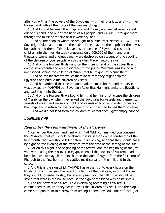after you with all the powers of the Egyptians, with their chariots, and with their horses, and with all the hosts of the peoples of Egypt.

13 And I stood between the Egyptians and Yisrael, and we delivered Yisrael out of his hand, and out of the hand of his people, and YAHWEH brought them through the midst of the sea as if it were dry land.

14 And all the peoples whom he brought to pursue after Yisrael, YAHWEH our Sovereign Ruler cast them into the midst of the sea, into the depths of the abyss beneath the children of Yisrael, even as the people of Egypt had cast their children into the river He took vengeance on 1,000,000 of them, and one thousand strong and energetic men were destroyed on account of one suckling of the children of your people which they had thrown into the river.

15 And on the fourteenth day and on the fifteenth and on the sixteenth and on the seventeenth and on the eighteenth the prince Mastema was bound and imprisoned behind the children of Yisrael that he might not accuse them.

16 And on the nineteenth we let them loose that they might help the Egyptians and pursue the children of Yisrael.

17 And he hardened their hearts and made them stubborn, and the device was devised by YAHWEH our Sovereign Ruler that He might smite the Egyptians and cast them into the sea.

18 And on the fourteenth we bound him that he might not accuse the children of Yisrael on the day when they asked the Egyptians for vessels and garments, vessels of silver, and vessels of gold, and vessels of bronze, in order to despoil the Egyptians in return for the bondage in which they had forced them to serve.

19 And we did not lead forth the children of Yisrael from Egypt empty handed.

#### *JUBILEES 49*

## *Remember the commandment of the Passover*

1 Remember the commandment which YAHWEH commanded you concerning the Passover, that you should celebrate it in its season on the fourteenth of the first month, that you should kill it before it is evening, and that they should eat it by night on the evening of the fifteenth from the time of the setting of the sun.

2 For on this night -the beginning of the festival and the beginning of the joyyou were eating the Passover in Egypt, when all the powers of Mastema had been let loose to slay all the first-born in the land of Egypt, from the first-born of Pharaoh to the first-born of the captive maid-servant in the mill, and to the cattle.

3 And this is the sign which YAHWEH gave them: Into every house on the lintels of which they saw the blood of a lamb of the first year, into that house they should not enter to slay, but should pass by it, that all those should be saved that were in the house because the sign of the blood was on its lintels.

4 And the powers of YAHWEH did everything according as YAHWEH commanded them, and they passed by all the children of Yisrael, and the plague came not upon them to destroy from amongst them any soul either of cattle, or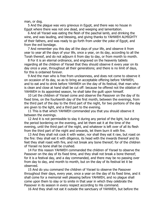man, or dog.

5 And the plague was very grievous in Egypt, and there was no house in Egypt where there was not one dead, and weeping and lamentation.

6 And all Yisrael was eating the flesh of the paschal lamb, and drinking the wine, and was lauding, and blessing, and giving thanks to YAHWEH ALMIGHTY of their fathers, and was ready to go forth from under the yoke of Egypt, and from the evil bondage.

7 And remember you this day all the days of your life, and observe it from year to year all the days of your life, once a year, on its day, according to all the Torah thereof, and do not adjourn it from day to day, or from month to month.

8 For it is an eternal ordinance, and engraved on the heavenly tablets regarding all the children of Yisrael that they should observe it every year on its day once a year, throughout all their generations; and there is no limit of days, for this is ordained forever.

9 And the man who is free from uncleanness, and does not come to observe it on occasion of its day, so as to bring an acceptable offering before YAHWEH, and to eat and to drink before YAHWEH on the day of its festival, that man who is clean and close at hand shall be cut off: because he offered not the oblation of YAHWEH in its appointed season, he shall take the guilt upon himself.

10 Let the children of Yisrael come and observe the Passover on the day of its fixed time, on the fourteenth day of the first month, between the evenings, from the third part of the day to the third part of the night, for two portions of the day are given to the light, and a third part to the evening.

11 This is that which YAHWEH commanded you that you should observe it between the evenings.

12 And it is not permissible to slay it during any period of the light, but during the period bordering on the evening, and let them eat it at the time of the evening, until the third part of the night, and whatever is left over of all its flesh from the third part of the night and onwards, let them burn it with fire.

13 And they shall not cook it with water, nor shall they eat it raw, but roast on the fire: they shall eat it with diligence, its head with the inwards thereof and its feet they shall roast with fire, and not break any bone thereof; for of the children of Yisrael no bone shall be crushed.

14 For this reason YAHWEH commanded the children of Yisrael to observe the Passover on the day of its fixed time, and they shall not break a bone thereof; for it is a festival day, and a day commanded, and there may be no passing over from day to day, and month to month, but on the day of its festival let it be observed.

15 And do you command the children of Yisrael to observe the Passover throughout their days, every year, once a year on the day of its fixed time, and it shall come for a memorial well pleasing before YAHWEH, and no plague shall come upon them to slay or to smite in that year in which they celebrate the Passover in its season in every respect according to His command.

16 And they shall not eat it outside the sanctuary of YAHWEH, but before the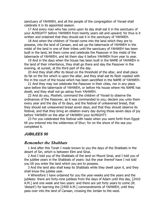sanctuary of YAHWEH, and all the people of the congregation of Yisrael shall celebrate it in its appointed season.

17 And every man who has come upon its day shall eat it in the sanctuary of your ALMIGHTY before YAHWEH from twenty years old and upward; for thus is it written and ordained that they should eat it in the sanctuary of YAHWEH.

18 And when the children of Yisrael come into the land which they are to possess, into the land of Canaan, and set up the tabernacle of YAHWEH in the midst of the land in one of their tribes until the sanctuary of YAHWEH has been built in the land, let them come and celebrate the Passover in the midst of the tabernacle of YAHWEH, and let them slay it before YAHWEH from year to year.

19 And in the days when the house has been built in the NAME of YAHWEH in the land of their inheritance, they shall go there and slay the Passover in the evening, at sunset, at the third part of the day.

20 And they shall offer its blood on the threshold of the altar, and shall place its fat on the fire which is upon the altar, and they shall eat its flesh roasted with fire in the court of the house which has been sanctified in the NAME of YAHWEH.

21 And they may not celebrate the Passover in their cities, nor in any place save before the tabernacle of YAHWEH, or before His house where His NAME has dwelt; and they shall not go astray from YAHWEH.

22 And do you, Mosheh, command the children of Yisrael to observe the ordinances of the Passover, as it was commanded to you; declare you unto them every year and the day of its days, and the festival of unleavened bread, that they should eat unleavened bread seven days, and that they should observe its festival, and that they bring an oblation every day during those seven days of joy before YAHWEH on the altar of YAHWEH your ALMIGHTY.

23 For you celebrated this festival with haste when you went forth from Egypt till you entered into the wilderness of Shur; for on the shore of the sea you completed it.

#### *JUBILEES 50*

#### *Remember the Shabbats*

1 And after this Torah I made known to you the days of the Shabbats in the desert of Sin, which is between Elim and Sinai.

2 And I told you of the Shabbats of the land on Mount Sinai, and I told you of the jubilee years in the Shabbats of years: but the year thereof have I not told you till you enter the land which you are to possess.

3 And the land also shall keep its Shabbats while they dwell upon it, and they shall know the jubilee year.

4 Wherefore I have ordained for you the year-weeks and the years and the jubilees: there are forty-nine jubilees from the days of Adam until this day, [2410 A.M.] and one week and two years: and there are yet forty years to come (lit. 'distant') for learning the [2450 A.M.] commandments of YAHWEH, until they pass over into the land of Canaan, crossing the Jordan to the west.